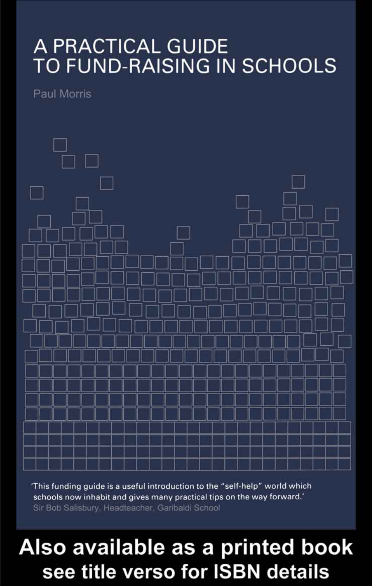### A PRACTICAL GUIDE TO FUND-RAISING IN SCHOOLS

Paul Morris



'This funding guide is a useful introduction to the "self-help" world which schools now inhabit and gives many practical tips on the way forward.' Sir Bob Salisbury, Headteacher, Garibaldi School

## Also available as a printed book see title verso for ISBN details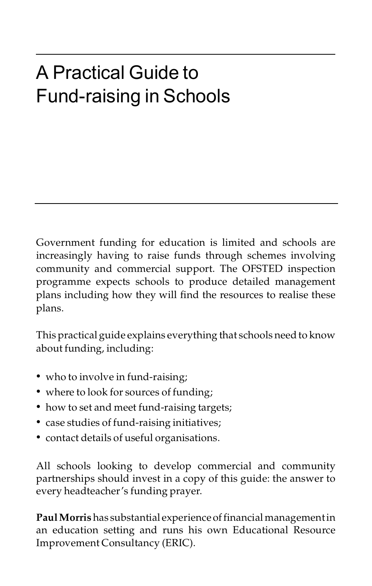## A Practical Guide to Fund-raising in Schools

Government funding for education is limited and schools are increasingly having to raise funds through schemes involving community and commercial support. The OFSTED inspection programme expects schools to produce detailed management plans including how they will find the resources to realise these plans.

This practical guide explains everything that schools need to know about funding, including:

- who to involve in fund-raising;
- where to look for sources of funding;
- how to set and meet fund-raising targets;
- case studies of fund-raising initiatives;
- contact details of useful organisations.

All schools looking to develop commercial and community partnerships should invest in a copy of this guide: the answer to every headteacher's funding prayer.

**Paul Morris** has substantial experience of financial management in an education setting and runs his own Educational Resource Improvement Consultancy (ERIC).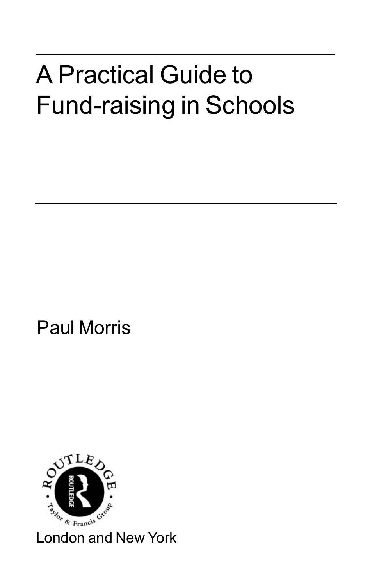# A Practical Guide to Fund-raising in Schools

Paul Morris

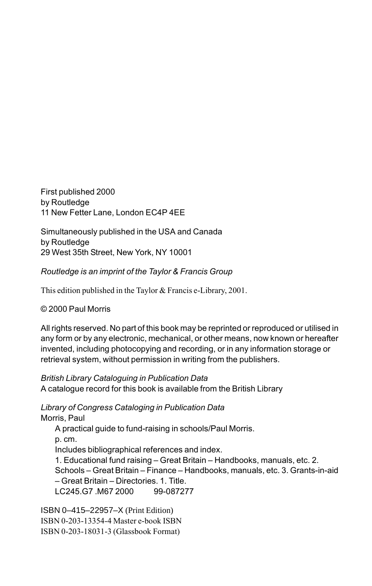First published 2000 by Routledge 11 New Fetter Lane, London EC4P 4EE

Simultaneously published in the USA and Canada by Routledge 29 West 35th Street, New York, NY 10001

*Routledge is an imprint of the Taylor & Francis Group* 

This edition published in the Taylor & Francis e-Library, 2001.

© 2000 Paul Morris

All rights reserved. No part of this book may be reprinted or reproduced or utilised in any form or by any electronic, mechanical, or other means, now known or hereafter invented, including photocopying and recording, or in any information storage or retrieval system, without permission in writing from the publishers.

*British Library Cataloguing in Publication Data*  A catalogue record for this book is available from the British Library

*Library of Congress Cataloging in Publication Data*  Morris, Paul

A practical guide to fund-raising in schools/Paul Morris. p. cm. Includes bibliographical references and index. 1. Educational fund raising – Great Britain – Handbooks, manuals, etc. 2. Schools – Great Britain – Finance – Handbooks, manuals, etc. 3. Grants-in-aid – Great Britain – Directories. 1. Title. LC245.G7 .M67 2000 99-087277

ISBN 0–415–22957–X (Print Edition) ISBN 0-203-13354-4 Master e-book ISBN ISBN 0-203-18031-3 (Glassbook Format)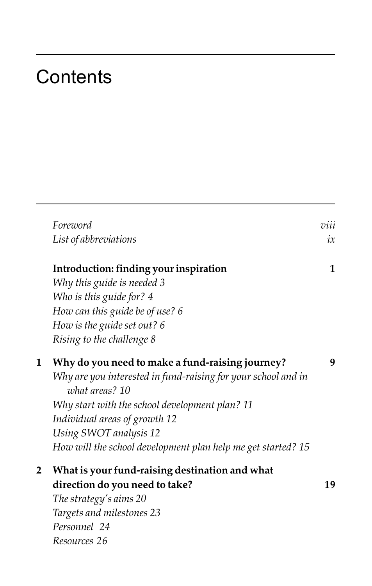## **Contents**

|   | Foreword                                                                        | viii |  |
|---|---------------------------------------------------------------------------------|------|--|
|   | List of abbreviations                                                           | ix   |  |
|   | Introduction: finding your inspiration                                          | 1    |  |
|   | Why this guide is needed 3                                                      |      |  |
|   | Who is this guide for? 4                                                        |      |  |
|   | How can this guide be of use? 6                                                 |      |  |
|   | How is the guide set out? 6                                                     |      |  |
|   | Rising to the challenge 8                                                       |      |  |
| 1 | Why do you need to make a fund-raising journey?                                 | 9    |  |
|   | Why are you interested in fund-raising for your school and in<br>what areas? 10 |      |  |
|   | Why start with the school development plan? 11                                  |      |  |
|   | Individual areas of growth 12                                                   |      |  |
|   | Using SWOT analysis 12                                                          |      |  |
|   | How will the school development plan help me get started? 15                    |      |  |
| 2 | What is your fund-raising destination and what                                  |      |  |
|   | direction do you need to take?                                                  | 19   |  |
|   | The strategy's aims 20                                                          |      |  |
|   | Targets and milestones 23                                                       |      |  |
|   | Personnel 24                                                                    |      |  |
|   | Resources 26                                                                    |      |  |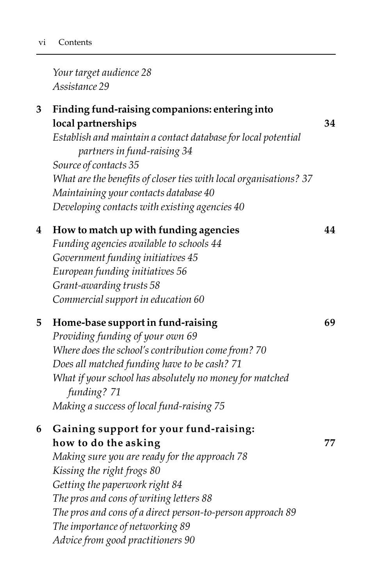*Your target audience 28 Assistance 29*

#### **3 Finding fund-raising companions: entering into local partnerships 34**

*Establish and maintain a contact database for local potential partners in fund-raising 34 Source of contacts 35 What are the benefits of closer ties with local organisations? 37 Maintaining your contacts database 40 Developing contacts with existing agencies 40*

#### **4 How to match up with funding agencies 44**

*Funding agencies available to schools 44 Government funding initiatives 45 European funding initiatives 56 Grant-awarding trusts 58 Commercial support in education 60*

#### **5 Home-base support in fund-raising 69**

*Providing funding of your own 69 Where does the school's contribution come from? 70 Does all matched funding have to be cash? 71 What if your school has absolutely no money for matched funding? 71 Making a success of local fund-raising 75*

#### **6 Gaining support for your fund-raising: how to do the asking 77**

*Making sure you are ready for the approach 78 Kissing the right frogs 80 Getting the paperwork right 84 The pros and cons of writing letters 88 The pros and cons of a direct person-to-person approach 89 The importance of networking 89 Advice from good practitioners 90*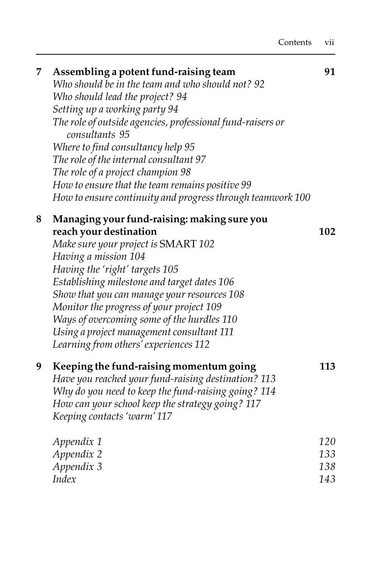| 7 | Assembling a potent fund-raising team                                        | 91  |
|---|------------------------------------------------------------------------------|-----|
|   | Who should be in the team and who should not? 92                             |     |
|   | Who should lead the project? 94                                              |     |
|   | Setting up a working party 94                                                |     |
|   | The role of outside agencies, professional fund-raisers or<br>consultants 95 |     |
|   | Where to find consultancy help 95                                            |     |
|   | The role of the internal consultant 97                                       |     |
|   | The role of a project champion 98                                            |     |
|   | How to ensure that the team remains positive 99                              |     |
|   | How to ensure continuity and progress through teamwork 100                   |     |
| 8 | Managing your fund-raising: making sure you                                  |     |
|   | reach your destination                                                       | 102 |
|   | Make sure your project is SMART 102                                          |     |
|   | Having a mission 104                                                         |     |
|   | Having the 'right' targets 105                                               |     |
|   | Establishing milestone and target dates 106                                  |     |
|   | Show that you can manage your resources 108                                  |     |
|   | Monitor the progress of your project 109                                     |     |
|   | Ways of overcoming some of the hurdles 110                                   |     |
|   | Using a project management consultant 111                                    |     |
|   | Learning from others' experiences 112                                        |     |
| 9 | Keeping the fund-raising momentum going                                      | 113 |
|   | Have you reached your fund-raising destination? 113                          |     |
|   | Why do you need to keep the fund-raising going? 114                          |     |
|   | How can your school keep the strategy going? 117                             |     |
|   | Keeping contacts 'warm' 117                                                  |     |
|   | Appendix 1                                                                   | 120 |
|   | Appendix 2                                                                   | 133 |
|   | Appendix 3                                                                   | 138 |
|   | Index                                                                        | 143 |
|   |                                                                              |     |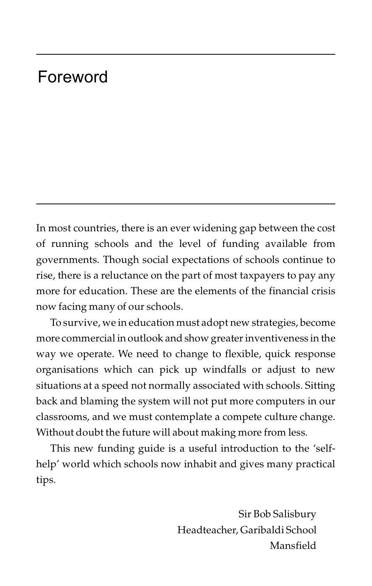### Foreword

In most countries, there is an ever widening gap between the cost of running schools and the level of funding available from governments. Though social expectations of schools continue to rise, there is a reluctance on the part of most taxpayers to pay any more for education. These are the elements of the financial crisis now facing many of our schools.

To survive, we in education must adopt new strategies, become more commercial in outlook and show greater inventiveness in the way we operate. We need to change to flexible, quick response organisations which can pick up windfalls or adjust to new situations at a speed not normally associated with schools. Sitting back and blaming the system will not put more computers in our classrooms, and we must contemplate a compete culture change. Without doubt the future will about making more from less.

This new funding guide is a useful introduction to the 'selfhelp' world which schools now inhabit and gives many practical tips.

> Sir Bob Salisbury Headteacher, Garibaldi School Mansfield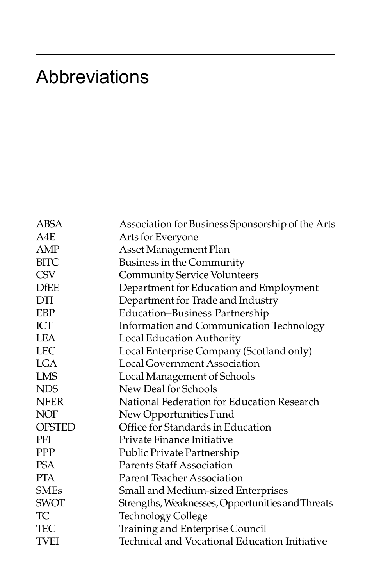## Abbreviations

| <b>ABSA</b>   | Association for Business Sponsorship of the Arts |
|---------------|--------------------------------------------------|
| A4E           | Arts for Everyone                                |
| AMP           | Asset Management Plan                            |
| <b>BITC</b>   | Business in the Community                        |
| <b>CSV</b>    | <b>Community Service Volunteers</b>              |
| <b>DfEE</b>   | Department for Education and Employment          |
| <b>DTI</b>    | Department for Trade and Industry                |
| EBP           | <b>Education-Business Partnership</b>            |
| <b>ICT</b>    | Information and Communication Technology         |
| <b>LEA</b>    | Local Education Authority                        |
| <b>LEC</b>    | Local Enterprise Company (Scotland only)         |
| LGA           | Local Government Association                     |
| <b>LMS</b>    | Local Management of Schools                      |
| <b>NDS</b>    | New Deal for Schools                             |
| <b>NFER</b>   | National Federation for Education Research       |
| <b>NOF</b>    | New Opportunities Fund                           |
| <b>OFSTED</b> | Office for Standards in Education                |
| <b>PFI</b>    | Private Finance Initiative                       |
| <b>PPP</b>    | Public Private Partnership                       |
| <b>PSA</b>    | <b>Parents Staff Association</b>                 |
| <b>PTA</b>    | <b>Parent Teacher Association</b>                |
| <b>SMEs</b>   | Small and Medium-sized Enterprises               |
| <b>SWOT</b>   | Strengths, Weaknesses, Opportunities and Threats |
| TC.           | Technology College                               |
| <b>TEC</b>    | Training and Enterprise Council                  |
| TVEI          | Technical and Vocational Education Initiative    |
|               |                                                  |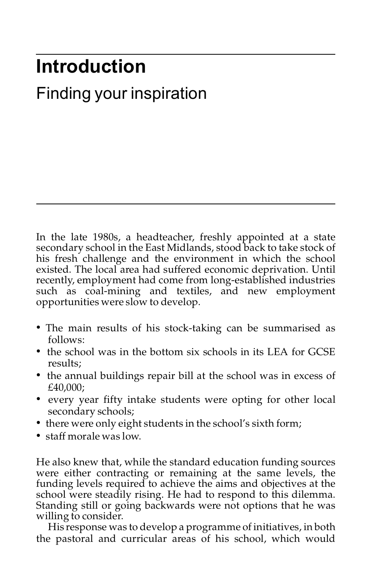### **Introduction**  Finding your inspiration

In the late 1980s, a headteacher, freshly appointed at a state secondary school in the East Midlands, stood back to take stock of his fresh challenge and the environment in which the school existed. The local area had suffered economic deprivation. Until recently, employment had come from long-established industries such as coal-mining and textiles, and new employment opportunities were slow to develop.

- The main results of his stock-taking can be summarised as follows:
- the school was in the bottom six schools in its LEA for GCSE results;
- the annual buildings repair bill at the school was in excess of £40,000:
- every year fifty intake students were opting for other local secondary schools;
- there were only eight students in the school's sixth form;
- staff morale was low.

He also knew that, while the standard education funding sources were either contracting or remaining at the same levels, the funding levels required to achieve the aims and objectives at the school were steadily rising. He had to respond to this dilemma. Standing still or going backwards were not options that he was willing to consider.

His response was to develop a programme of initiatives, in both the pastoral and curricular areas of his school, which would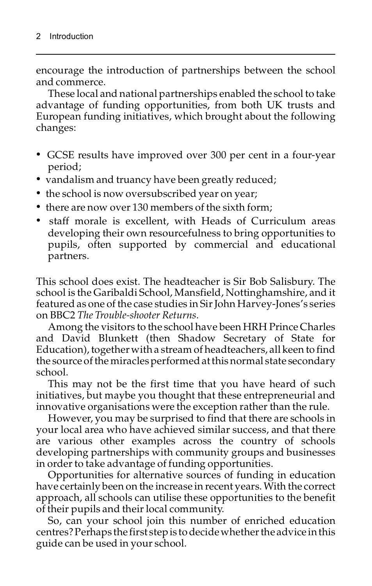encourage the introduction of partnerships between the school and commerce.

These local and national partnerships enabled the school to take advantage of funding opportunities, from both UK trusts and European funding initiatives, which brought about the following changes:

- GCSE results have improved over 300 per cent in a four-year period;
- vandalism and truancy have been greatly reduced;
- the school is now oversubscribed year on year;
- there are now over 130 members of the sixth form;
- staff morale is excellent, with Heads of Curriculum areas developing their own resourcefulness to bring opportunities to pupils, often supported by commercial and educational partners.

This school does exist. The headteacher is Sir Bob Salisbury. The school is the Garibaldi School, Mansfield, Nottinghamshire, and it featured as one of the case studies in Sir John Harvey-Jones's series on BBC2 *The Trouble-shooter Returns.* 

Among the visitors to the school have been HRH Prince Charles and David Blunkett (then Shadow Secretary of State for Education), together with a stream of headteachers, all keen to find the source of the miracles performed at this normal state secondary school.

This may not be the first time that you have heard of such initiatives, but maybe you thought that these entrepreneurial and innovative organisations were the exception rather than the rule.

However, you may be surprised to find that there are schools in your local area who have achieved similar success, and that there are various other examples across the country of schools developing partnerships with community groups and businesses in order to take advantage of funding opportunities.

Opportunities for alternative sources of funding in education have certainly been on the increase in recent years. With the correct approach, all schools can utilise these opportunities to the benefit of their pupils and their local community.

So, can your school join this number of enriched education centres? Perhaps the first step is to decide whether the advice in this guide can be used in your school.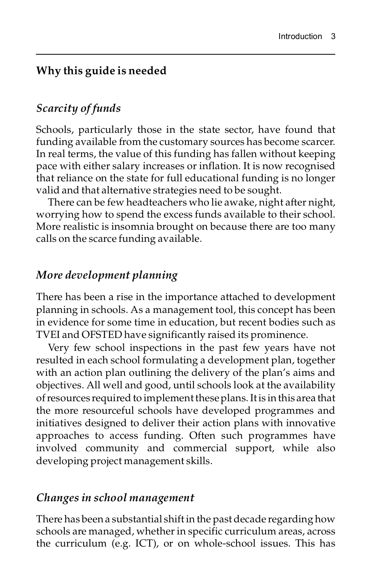#### **Why this guide is needed**

#### *Scarcity of funds*

Schools, particularly those in the state sector, have found that funding available from the customary sources has become scarcer. In real terms, the value of this funding has fallen without keeping pace with either salary increases or inflation. It is now recognised that reliance on the state for full educational funding is no longer valid and that alternative strategies need to be sought.

There can be few headteachers who lie awake, night after night, worrying how to spend the excess funds available to their school. More realistic is insomnia brought on because there are too many calls on the scarce funding available.

#### *More development planning*

There has been a rise in the importance attached to development planning in schools. As a management tool, this concept has been in evidence for some time in education, but recent bodies such as TVEI and OFSTED have significantly raised its prominence.

Very few school inspections in the past few years have not resulted in each school formulating a development plan, together with an action plan outlining the delivery of the plan's aims and objectives. All well and good, until schools look at the availability of resources required to implement these plans. It is in this area that the more resourceful schools have developed programmes and initiatives designed to deliver their action plans with innovative approaches to access funding. Often such programmes have involved community and commercial support, while also developing project management skills.

#### *Changes in school management*

There has been a substantial shift in the past decade regarding how schools are managed, whether in specific curriculum areas, across the curriculum (e.g. ICT), or on whole-school issues. This has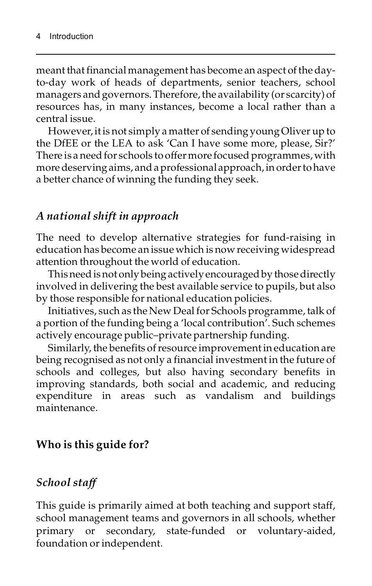meant that financial management has become an aspect of the dayto-day work of heads of departments, senior teachers, school managers and governors. Therefore, the availability (or scarcity) of resources has, in many instances, become a local rather than a central issue.

However, it is not simply a matter of sending young Oliver up to the DfEE or the LEA to ask 'Can I have some more, please, Sir?' There is a need for schools to offer more focused programmes, with more deserving aims, and a professional approach, in order to have a better chance of winning the funding they seek.

#### *A national shift in approach*

The need to develop alternative strategies for fund-raising in education has become an issue which is now receiving widespread attention throughout the world of education.

This need is not only being actively encouraged by those directly involved in delivering the best available service to pupils, but also by those responsible for national education policies.

Initiatives, such as the New Deal for Schools programme, talk of a portion of the funding being a 'local contribution'. Such schemes actively encourage public–private partnership funding.

Similarly, the benefits of resource improvement in education are being recognised as not only a financial investment in the future of schools and colleges, but also having secondary benefits in improving standards, both social and academic, and reducing expenditure in areas such as vandalism and buildings maintenance.

#### **Who is this guide for?**

#### *School staff*

This guide is primarily aimed at both teaching and support staff, school management teams and governors in all schools, whether primary or secondary, state-funded or voluntary-aided, foundation or independent.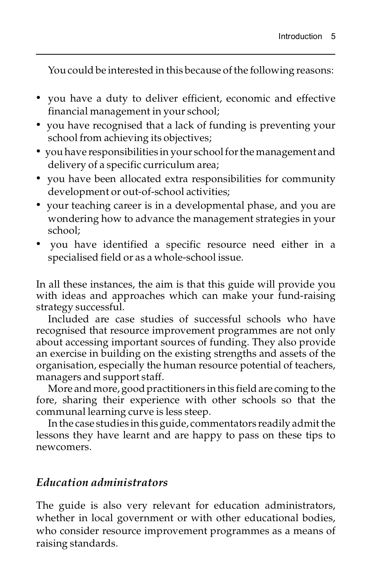You could be interested in this because of the following reasons:

- you have a duty to deliver efficient, economic and effective financial management in your school;
- you have recognised that a lack of funding is preventing your school from achieving its objectives;
- you have responsibilities in your school for the management and delivery of a specific curriculum area;
- you have been allocated extra responsibilities for community development or out-of-school activities;
- your teaching career is in a developmental phase, and you are wondering how to advance the management strategies in your school;
- you have identified a specific resource need either in a specialised field or as a whole-school issue.

In all these instances, the aim is that this guide will provide you with ideas and approaches which can make your fund-raising strategy successful.

Included are case studies of successful schools who have recognised that resource improvement programmes are not only about accessing important sources of funding. They also provide an exercise in building on the existing strengths and assets of the organisation, especially the human resource potential of teachers, managers and support staff.

More and more, good practitioners in this field are coming to the fore, sharing their experience with other schools so that the communal learning curve is less steep.

In the case studies in this guide, commentators readily admit the lessons they have learnt and are happy to pass on these tips to newcomers.

#### *Education administrators*

The guide is also very relevant for education administrators, whether in local government or with other educational bodies, who consider resource improvement programmes as a means of raising standards.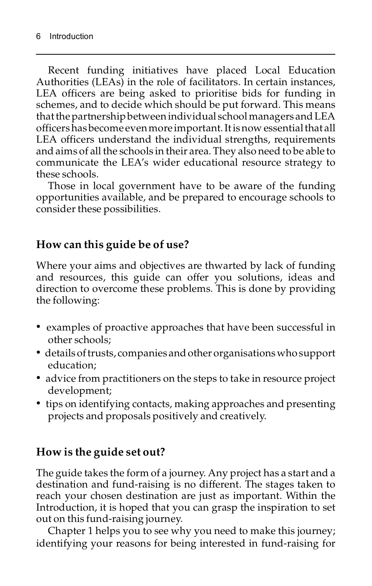Recent funding initiatives have placed Local Education Authorities (LEAs) in the role of facilitators. In certain instances, LEA officers are being asked to prioritise bids for funding in schemes, and to decide which should be put forward. This means that the partnership between individual school managers and LEA officers has become even more important. It is now essential that all LEA officers understand the individual strengths, requirements and aims of all the schools in their area. They also need to be able to communicate the LEA's wider educational resource strategy to these schools.

Those in local government have to be aware of the funding opportunities available, and be prepared to encourage schools to consider these possibilities.

#### **How can this guide be of use?**

Where your aims and objectives are thwarted by lack of funding and resources, this guide can offer you solutions, ideas and direction to overcome these problems. This is done by providing the following:

- examples of proactive approaches that have been successful in other schools;
- details of trusts, companies and other organisations who support education;
- advice from practitioners on the steps to take in resource project development;
- tips on identifying contacts, making approaches and presenting projects and proposals positively and creatively.

#### **How is the guide set out?**

The guide takes the form of a journey. Any project has a start and a destination and fund-raising is no different. The stages taken to reach your chosen destination are just as important. Within the Introduction, it is hoped that you can grasp the inspiration to set out on this fund-raising journey.

Chapter 1 helps you to see why you need to make this journey; identifying your reasons for being interested in fund-raising for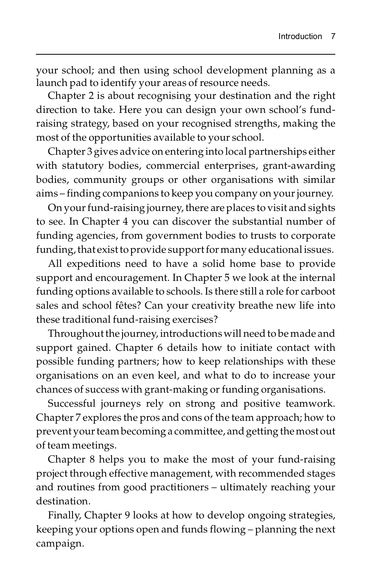your school; and then using school development planning as a launch pad to identify your areas of resource needs.

Chapter 2 is about recognising your destination and the right direction to take. Here you can design your own school's fundraising strategy, based on your recognised strengths, making the most of the opportunities available to your school.

Chapter 3 gives advice on entering into local partnerships either with statutory bodies, commercial enterprises, grant-awarding bodies, community groups or other organisations with similar aims – finding companions to keep you company on your journey.

On your fund-raising journey, there are places to visit and sights to see. In Chapter 4 you can discover the substantial number of funding agencies, from government bodies to trusts to corporate funding, that exist to provide support for many educational issues.

All expeditions need to have a solid home base to provide support and encouragement. In Chapter 5 we look at the internal funding options available to schools. Is there still a role for carboot sales and school fêtes? Can your creativity breathe new life into these traditional fund-raising exercises?

Throughout the journey, introductions will need to be made and support gained. Chapter 6 details how to initiate contact with possible funding partners; how to keep relationships with these organisations on an even keel, and what to do to increase your chances of success with grant-making or funding organisations.

Successful journeys rely on strong and positive teamwork. Chapter 7 explores the pros and cons of the team approach; how to prevent your team becoming a committee, and getting the most out of team meetings.

Chapter 8 helps you to make the most of your fund-raising project through effective management, with recommended stages and routines from good practitioners – ultimately reaching your destination.

Finally, Chapter 9 looks at how to develop ongoing strategies, keeping your options open and funds flowing – planning the next campaign.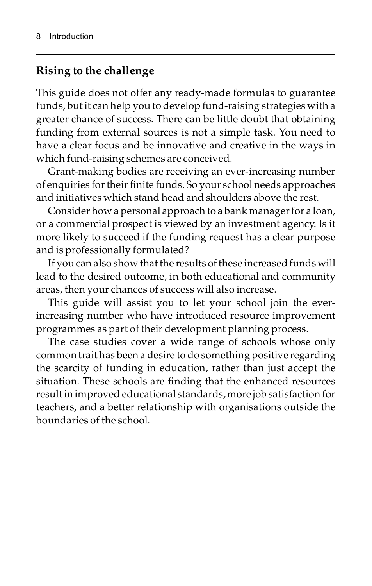#### **Rising to the challenge**

This guide does not offer any ready-made formulas to guarantee funds, but it can help you to develop fund-raising strategies with a greater chance of success. There can be little doubt that obtaining funding from external sources is not a simple task. You need to have a clear focus and be innovative and creative in the ways in which fund-raising schemes are conceived.

Grant-making bodies are receiving an ever-increasing number of enquiries for their finite funds. So your school needs approaches and initiatives which stand head and shoulders above the rest.

Consider how a personal approach to a bank manager for a loan, or a commercial prospect is viewed by an investment agency. Is it more likely to succeed if the funding request has a clear purpose and is professionally formulated?

If you can also show that the results of these increased funds will lead to the desired outcome, in both educational and community areas, then your chances of success will also increase.

This guide will assist you to let your school join the everincreasing number who have introduced resource improvement programmes as part of their development planning process.

The case studies cover a wide range of schools whose only common trait has been a desire to do something positive regarding the scarcity of funding in education, rather than just accept the situation. These schools are finding that the enhanced resources result in improved educational standards, more job satisfaction for teachers, and a better relationship with organisations outside the boundaries of the school.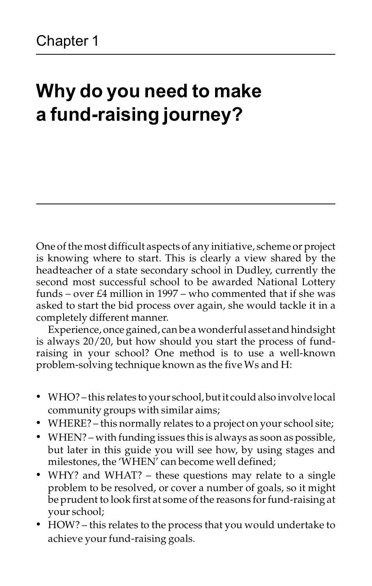### **Why do you need to make a fund-raising journey?**

One of the most difficult aspects of any initiative, scheme or project is knowing where to start. This is clearly a view shared by the headteacher of a state secondary school in Dudley, currently the second most successful school to be awarded National Lottery funds – over £4 million in 1997 – who commented that if she was asked to start the bid process over again, she would tackle it in a completely different manner.

Experience, once gained, can be a wonderful asset and hindsight is always 20/20, but how should you start the process of fundraising in your school? One method is to use a well-known problem-solving technique known as the five Ws and H:

- WHO? this relates to your school, but it could also involve local community groups with similar aims;
- WHERE? this normally relates to a project on your school site;
- WHEN? with funding issues this is always as soon as possible, but later in this guide you will see how, by using stages and milestones, the 'WHEN' can become well defined;
- WHY? and WHAT? these questions may relate to a single problem to be resolved, or cover a number of goals, so it might be prudent to look first at some of the reasons for fund-raising at your school;
- HOW? this relates to the process that you would undertake to achieve your fund-raising goals.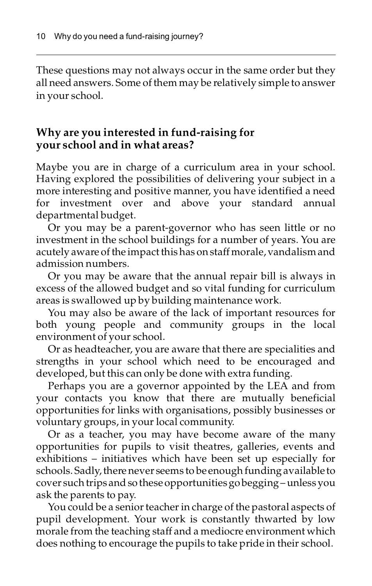These questions may not always occur in the same order but they all need answers. Some of them may be relatively simple to answer in your school.

#### **Why are you interested in fund-raising for your school and in what areas?**

Maybe you are in charge of a curriculum area in your school. Having explored the possibilities of delivering your subject in a more interesting and positive manner, you have identified a need for investment over and above your standard annual departmental budget.

Or you may be a parent-governor who has seen little or no investment in the school buildings for a number of years. You are acutely aware of the impact this has on staff morale, vandalism and admission numbers.

Or you may be aware that the annual repair bill is always in excess of the allowed budget and so vital funding for curriculum areas is swallowed up by building maintenance work.

You may also be aware of the lack of important resources for both young people and community groups in the local environment of your school.

Or as headteacher, you are aware that there are specialities and strengths in your school which need to be encouraged and developed, but this can only be done with extra funding.

Perhaps you are a governor appointed by the LEA and from your contacts you know that there are mutually beneficial opportunities for links with organisations, possibly businesses or voluntary groups, in your local community.

Or as a teacher, you may have become aware of the many opportunities for pupils to visit theatres, galleries, events and exhibitions – initiatives which have been set up especially for schools. Sadly, there never seems to be enough funding available to cover such trips and so these opportunities go begging – unless you ask the parents to pay.

You could be a senior teacher in charge of the pastoral aspects of pupil development. Your work is constantly thwarted by low morale from the teaching staff and a mediocre environment which does nothing to encourage the pupils to take pride in their school.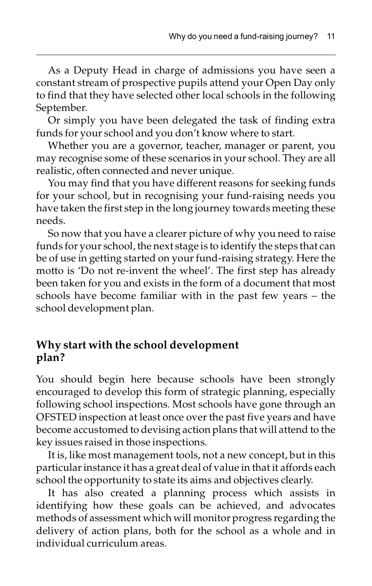As a Deputy Head in charge of admissions you have seen a constant stream of prospective pupils attend your Open Day only to find that they have selected other local schools in the following September.

Or simply you have been delegated the task of finding extra funds for your school and you don't know where to start.

Whether you are a governor, teacher, manager or parent, you may recognise some of these scenarios in your school. They are all realistic, often connected and never unique.

You may find that you have different reasons for seeking funds for your school, but in recognising your fund-raising needs you have taken the first step in the long journey towards meeting these needs.

So now that you have a clearer picture of why you need to raise funds for your school, the next stage is to identify the steps that can be of use in getting started on your fund-raising strategy. Here the motto is 'Do not re-invent the wheel'. The first step has already been taken for you and exists in the form of a document that most schools have become familiar with in the past few years – the school development plan.

#### **Why start with the school development plan?**

You should begin here because schools have been strongly encouraged to develop this form of strategic planning, especially following school inspections. Most schools have gone through an OFSTED inspection at least once over the past five years and have become accustomed to devising action plans that will attend to the key issues raised in those inspections.

It is, like most management tools, not a new concept, but in this particular instance it has a great deal of value in that it affords each school the opportunity to state its aims and objectives clearly.

It has also created a planning process which assists in identifying how these goals can be achieved, and advocates methods of assessment which will monitor progress regarding the delivery of action plans, both for the school as a whole and in individual curriculum areas.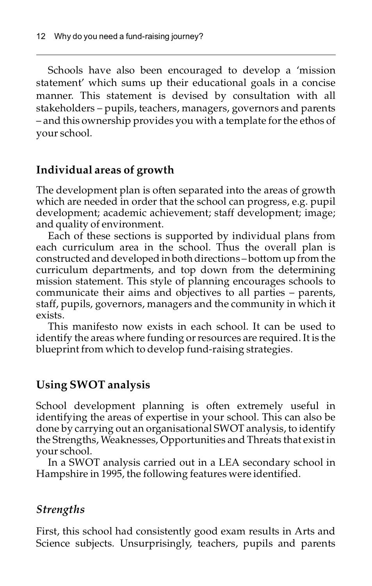Schools have also been encouraged to develop a 'mission statement' which sums up their educational goals in a concise manner. This statement is devised by consultation with all stakeholders – pupils, teachers, managers, governors and parents – and this ownership provides you with a template for the ethos of your school.

#### **Individual areas of growth**

The development plan is often separated into the areas of growth which are needed in order that the school can progress, e.g. pupil development; academic achievement; staff development; image; and quality of environment.

Each of these sections is supported by individual plans from each curriculum area in the school. Thus the overall plan is constructed and developed in both directions – bottom up from the curriculum departments, and top down from the determining mission statement. This style of planning encourages schools to communicate their aims and objectives to all parties – parents, staff, pupils, governors, managers and the community in which it exists.

This manifesto now exists in each school. It can be used to identify the areas where funding or resources are required. It is the blueprint from which to develop fund-raising strategies.

#### **Using SWOT analysis**

School development planning is often extremely useful in identifying the areas of expertise in your school. This can also be done by carrying out an organisational SWOT analysis, to identify the Strengths, Weaknesses, Opportunities and Threats that exist in your school.

In a SWOT analysis carried out in a LEA secondary school in Hampshire in 1995, the following features were identified.

#### *Strengths*

First, this school had consistently good exam results in Arts and Science subjects. Unsurprisingly, teachers, pupils and parents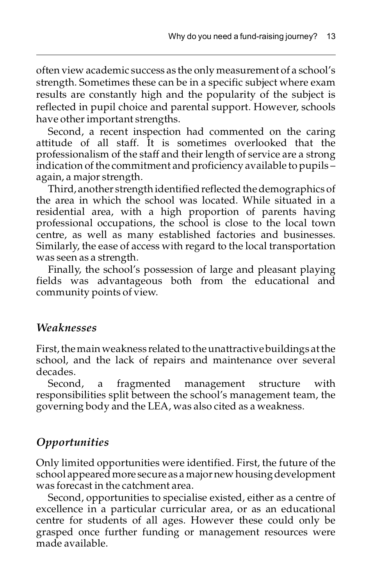often view academic success as the only measurement of a school's strength. Sometimes these can be in a specific subject where exam results are constantly high and the popularity of the subject is reflected in pupil choice and parental support. However, schools have other important strengths.

Second, a recent inspection had commented on the caring attitude of all staff. It is sometimes overlooked that the professionalism of the staff and their length of service are a strong indication of the commitment and proficiency available to pupils – again, a major strength.

Third, another strength identified reflected the demographics of the area in which the school was located. While situated in a residential area, with a high proportion of parents having professional occupations, the school is close to the local town centre, as well as many established factories and businesses. Similarly, the ease of access with regard to the local transportation was seen as a strength.

Finally, the school's possession of large and pleasant playing fields was advantageous both from the educational and community points of view.

#### *Weaknesses*

First, the main weakness related to the unattractive buildings at the school, and the lack of repairs and maintenance over several decades.

Second, a fragmented management structure with responsibilities split between the school's management team, the governing body and the LEA, was also cited as a weakness.

#### *Opportunities*

Only limited opportunities were identified. First, the future of the school appeared more secure as a major new housing development was forecast in the catchment area.

Second, opportunities to specialise existed, either as a centre of excellence in a particular curricular area, or as an educational centre for students of all ages. However these could only be grasped once further funding or management resources were made available.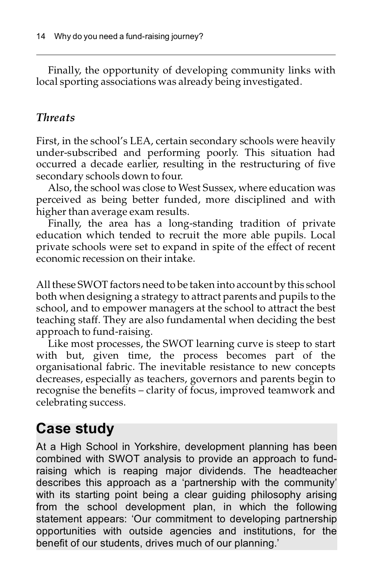Finally, the opportunity of developing community links with local sporting associations was already being investigated.

#### *Threats*

First, in the school's LEA, certain secondary schools were heavily under-subscribed and performing poorly. This situation had occurred a decade earlier, resulting in the restructuring of five secondary schools down to four.

Also, the school was close to West Sussex, where education was perceived as being better funded, more disciplined and with higher than average exam results.

Finally, the area has a long-standing tradition of private education which tended to recruit the more able pupils. Local private schools were set to expand in spite of the effect of recent economic recession on their intake.

All these SWOT factors need to be taken into account by this school both when designing a strategy to attract parents and pupils to the school, and to empower managers at the school to attract the best teaching staff. They are also fundamental when deciding the best approach to fund-raising.

Like most processes, the SWOT learning curve is steep to start with but, given time, the process becomes part of the organisational fabric. The inevitable resistance to new concepts decreases, especially as teachers, governors and parents begin to recognise the benefits – clarity of focus, improved teamwork and celebrating success.

### **Case study**

At a High School in Yorkshire, development planning has been combined with SWOT analysis to provide an approach to fundraising which is reaping major dividends. The headteacher describes this approach as a 'partnership with the community' with its starting point being a clear quiding philosophy arising from the school development plan, in which the following statement appears: 'Our commitment to developing partnership opportunities with outside agencies and institutions, for the benefit of our students, drives much of our planning.'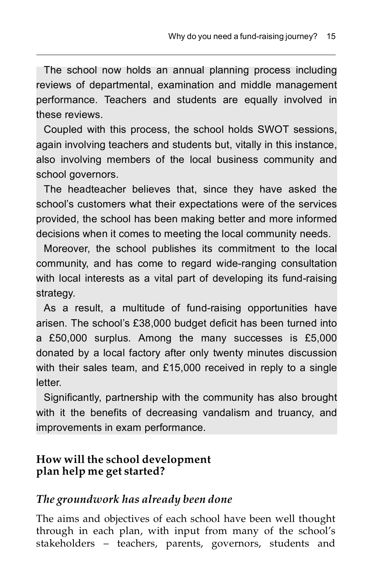The school now holds an annual planning process including reviews of departmental, examination and middle management performance. Teachers and students are equally involved in these reviews.

Coupled with this process, the school holds SWOT sessions, again involving teachers and students but, vitally in this instance, also involving members of the local business community and school governors.

The headteacher believes that, since they have asked the school's customers what their expectations were of the services provided, the school has been making better and more informed decisions when it comes to meeting the local community needs.

Moreover, the school publishes its commitment to the local community, and has come to regard wide-ranging consultation with local interests as a vital part of developing its fund-raising strategy.

As a result, a multitude of fund-raising opportunities have arisen. The school's £38,000 budget deficit has been turned into a £50,000 surplus. Among the many successes is £5,000 donated by a local factory after only twenty minutes discussion with their sales team, and £15,000 received in reply to a single letter.

Significantly, partnership with the community has also brought with it the benefits of decreasing vandalism and truancy, and improvements in exam performance.

#### **How will the school development plan help me get started?**

#### *The groundwork has already been done*

The aims and objectives of each school have been well thought through in each plan, with input from many of the school's stakeholders – teachers, parents, governors, students and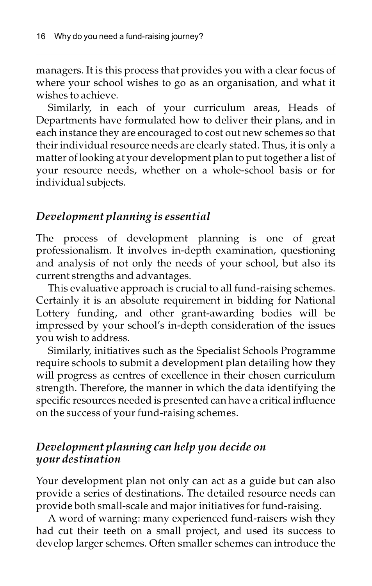managers. It is this process that provides you with a clear focus of where your school wishes to go as an organisation, and what it wishes to achieve.

Similarly, in each of your curriculum areas, Heads of Departments have formulated how to deliver their plans, and in each instance they are encouraged to cost out new schemes so that their individual resource needs are clearly stated. Thus, it is only a matter of looking at your development plan to put together a list of your resource needs, whether on a whole-school basis or for individual subjects.

#### *Development planning is essential*

The process of development planning is one of great professionalism. It involves in-depth examination, questioning and analysis of not only the needs of your school, but also its current strengths and advantages.

This evaluative approach is crucial to all fund-raising schemes. Certainly it is an absolute requirement in bidding for National Lottery funding, and other grant-awarding bodies will be impressed by your school's in-depth consideration of the issues you wish to address.

Similarly, initiatives such as the Specialist Schools Programme require schools to submit a development plan detailing how they will progress as centres of excellence in their chosen curriculum strength. Therefore, the manner in which the data identifying the specific resources needed is presented can have a critical influence on the success of your fund-raising schemes.

#### *Development planning can help you decide on your destination*

Your development plan not only can act as a guide but can also provide a series of destinations. The detailed resource needs can provide both small-scale and major initiatives for fund-raising.

A word of warning: many experienced fund-raisers wish they had cut their teeth on a small project, and used its success to develop larger schemes. Often smaller schemes can introduce the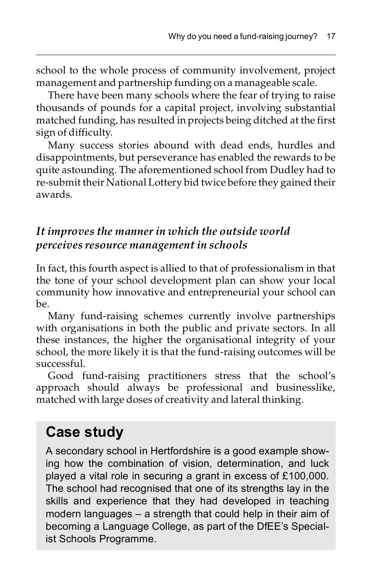school to the whole process of community involvement, project management and partnership funding on a manageable scale.

There have been many schools where the fear of trying to raise thousands of pounds for a capital project, involving substantial matched funding, has resulted in projects being ditched at the first sign of difficulty.

Many success stories abound with dead ends, hurdles and disappointments, but perseverance has enabled the rewards to be quite astounding. The aforementioned school from Dudley had to re-submit their National Lottery bid twice before they gained their awards.

#### *It improves the manner in which the outside world perceives resource management in schools*

In fact, this fourth aspect is allied to that of professionalism in that the tone of your school development plan can show your local community how innovative and entrepreneurial your school can be.

Many fund-raising schemes currently involve partnerships with organisations in both the public and private sectors. In all these instances, the higher the organisational integrity of your school, the more likely it is that the fund-raising outcomes will be successful.

Good fund-raising practitioners stress that the school's approach should always be professional and businesslike, matched with large doses of creativity and lateral thinking.

### **Case study**

A secondary school in Hertfordshire is a good example showing how the combination of vision, determination, and luck played a vital role in securing a grant in excess of £100,000. The school had recognised that one of its strengths lay in the skills and experience that they had developed in teaching modern languages – a strength that could help in their aim of becoming a Language College, as part of the DfEE's Specialist Schools Programme.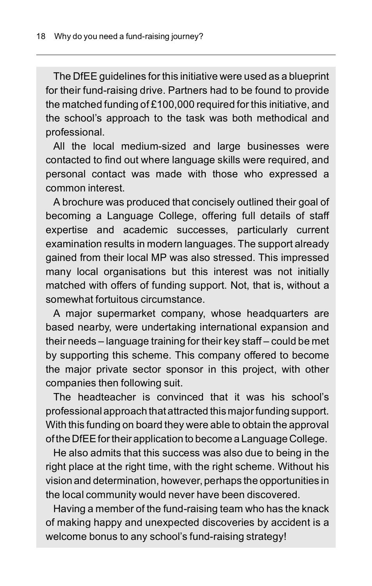The DfEE guidelines for this initiative were used as a blueprint for their fund-raising drive. Partners had to be found to provide the matched funding of £100,000 required for this initiative, and the school's approach to the task was both methodical and professional.

All the local medium-sized and large businesses were contacted to find out where language skills were required, and personal contact was made with those who expressed a common interest.

A brochure was produced that concisely outlined their goal of becoming a Language College, offering full details of staff expertise and academic successes, particularly current examination results in modern languages. The support already gained from their local MP was also stressed. This impressed many local organisations but this interest was not initially matched with offers of funding support. Not, that is, without a somewhat fortuitous circumstance.

A major supermarket company, whose headquarters are based nearby, were undertaking international expansion and their needs – language training for their key staff – could be met by supporting this scheme. This company offered to become the major private sector sponsor in this project, with other companies then following suit.

The headteacher is convinced that it was his school's professional approach that attracted this major funding support. With this funding on board they were able to obtain the approval of the DfEE for their application to become a Language College.

He also admits that this success was also due to being in the right place at the right time, with the right scheme. Without his vision and determination, however, perhaps the opportunities in the local community would never have been discovered.

Having a member of the fund-raising team who has the knack of making happy and unexpected discoveries by accident is a welcome bonus to any school's fund-raising strategy!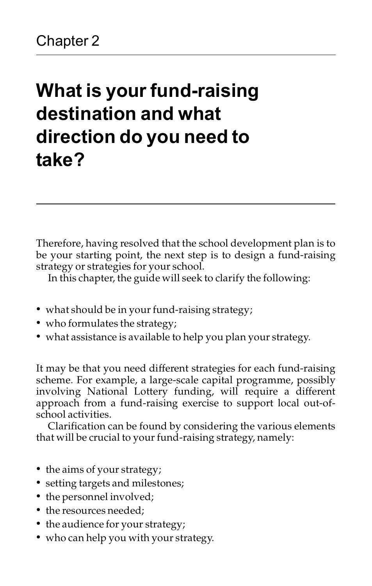## **What is your fund-raising destination and what direction do you need to take?**

Therefore, having resolved that the school development plan is to be your starting point, the next step is to design a fund-raising strategy or strategies for your school.

In this chapter, the guide will seek to clarify the following:

- what should be in your fund-raising strategy;
- who formulates the strategy;
- what assistance is available to help you plan your strategy.

It may be that you need different strategies for each fund-raising scheme. For example, a large-scale capital programme, possibly involving National Lottery funding, will require a different approach from a fund-raising exercise to support local out-ofschool activities.

Clarification can be found by considering the various elements that will be crucial to your fund-raising strategy, namely:

- the aims of your strategy;
- setting targets and milestones;
- the personnel involved;
- the resources needed:
- the audience for your strategy;
- who can help you with your strategy.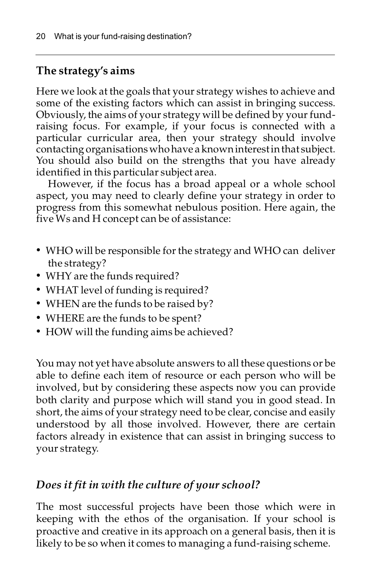#### **The strategy's aims**

Here we look at the goals that your strategy wishes to achieve and some of the existing factors which can assist in bringing success. Obviously, the aims of your strategy will be defined by your fundraising focus. For example, if your focus is connected with a particular curricular area, then your strategy should involve contacting organisations who have a known interest in that subject. You should also build on the strengths that you have already identified in this particular subject area.

However, if the focus has a broad appeal or a whole school aspect, you may need to clearly define your strategy in order to progress from this somewhat nebulous position. Here again, the five Ws and H concept can be of assistance:

- WHO will be responsible for the strategy and WHO can deliver the strategy?
- WHY are the funds required?
- WHAT level of funding is required?
- WHEN are the funds to be raised by?
- WHERE are the funds to be spent?
- HOW will the funding aims be achieved?

You may not yet have absolute answers to all these questions or be able to define each item of resource or each person who will be involved, but by considering these aspects now you can provide both clarity and purpose which will stand you in good stead. In short, the aims of your strategy need to be clear, concise and easily understood by all those involved. However, there are certain factors already in existence that can assist in bringing success to your strategy.

#### *Does it fit in with the culture of your school?*

The most successful projects have been those which were in keeping with the ethos of the organisation. If your school is proactive and creative in its approach on a general basis, then it is likely to be so when it comes to managing a fund-raising scheme.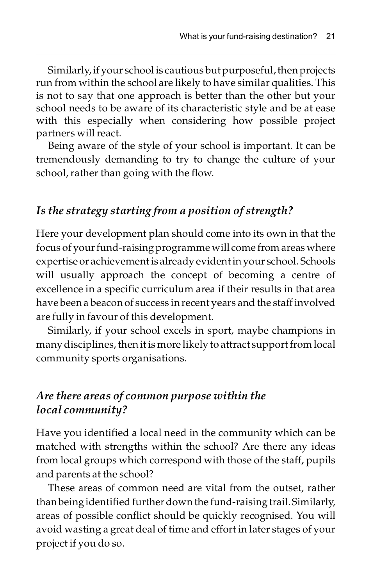Similarly, if your school is cautious but purposeful, then projects run from within the school are likely to have similar qualities. This is not to say that one approach is better than the other but your school needs to be aware of its characteristic style and be at ease with this especially when considering how possible project partners will react.

Being aware of the style of your school is important. It can be tremendously demanding to try to change the culture of your school, rather than going with the flow.

#### *Is the strategy starting from a position of strength?*

Here your development plan should come into its own in that the focus of your fund-raising programme will come from areas where expertise or achievement is already evident in your school. Schools will usually approach the concept of becoming a centre of excellence in a specific curriculum area if their results in that area have been a beacon of success in recent years and the staff involved are fully in favour of this development.

Similarly, if your school excels in sport, maybe champions in many disciplines, then it is more likely to attract support from local community sports organisations.

#### *Are there areas of common purpose within the local community?*

Have you identified a local need in the community which can be matched with strengths within the school? Are there any ideas from local groups which correspond with those of the staff, pupils and parents at the school?

These areas of common need are vital from the outset, rather than being identified further down the fund-raising trail. Similarly, areas of possible conflict should be quickly recognised. You will avoid wasting a great deal of time and effort in later stages of your project if you do so.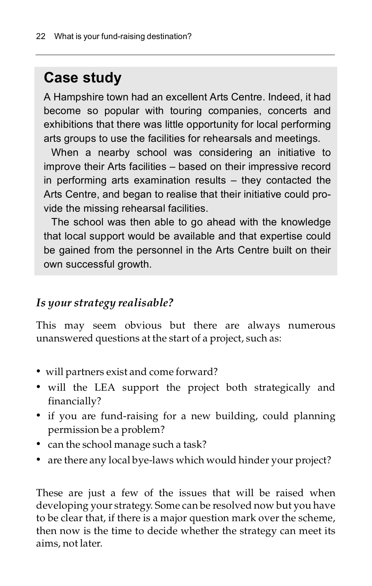### **Case study**

A Hampshire town had an excellent Arts Centre. Indeed, it had become so popular with touring companies, concerts and exhibitions that there was little opportunity for local performing arts groups to use the facilities for rehearsals and meetings.

When a nearby school was considering an initiative to improve their Arts facilities – based on their impressive record in performing arts examination results – they contacted the Arts Centre, and began to realise that their initiative could provide the missing rehearsal facilities.

The school was then able to go ahead with the knowledge that local support would be available and that expertise could be gained from the personnel in the Arts Centre built on their own successful growth.

#### *Is your strategy realisable?*

This may seem obvious but there are always numerous unanswered questions at the start of a project, such as:

- will partners exist and come forward?
- will the LEA support the project both strategically and financially?
- if you are fund-raising for a new building, could planning permission be a problem?
- can the school manage such a task?
- are there any local bye-laws which would hinder your project?

These are just a few of the issues that will be raised when developing your strategy. Some can be resolved now but you have to be clear that, if there is a major question mark over the scheme, then now is the time to decide whether the strategy can meet its aims, not later.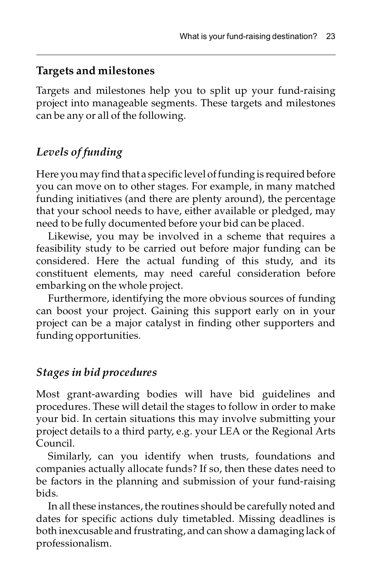#### **Targets and milestones**

Targets and milestones help you to split up your fund-raising project into manageable segments. These targets and milestones can be any or all of the following.

#### *Levels of funding*

Here you may find that a specific level of funding is required before you can move on to other stages. For example, in many matched funding initiatives (and there are plenty around), the percentage that your school needs to have, either available or pledged, may need to be fully documented before your bid can be placed.

Likewise, you may be involved in a scheme that requires a feasibility study to be carried out before major funding can be considered. Here the actual funding of this study, and its constituent elements, may need careful consideration before embarking on the whole project.

Furthermore, identifying the more obvious sources of funding can boost your project. Gaining this support early on in your project can be a major catalyst in finding other supporters and funding opportunities.

#### *Stages in bid procedures*

Most grant-awarding bodies will have bid guidelines and procedures. These will detail the stages to follow in order to make your bid. In certain situations this may involve submitting your project details to a third party, e.g. your LEA or the Regional Arts Council.

Similarly, can you identify when trusts, foundations and companies actually allocate funds? If so, then these dates need to be factors in the planning and submission of your fund-raising bids.

In all these instances, the routines should be carefully noted and dates for specific actions duly timetabled. Missing deadlines is both inexcusable and frustrating, and can show a damaging lack of professionalism.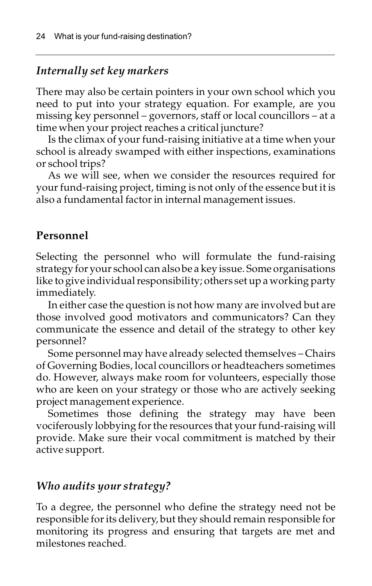#### *Internally set key markers*

There may also be certain pointers in your own school which you need to put into your strategy equation. For example, are you missing key personnel – governors, staff or local councillors – at a time when your project reaches a critical juncture?

Is the climax of your fund-raising initiative at a time when your school is already swamped with either inspections, examinations or school trips?

As we will see, when we consider the resources required for your fund-raising project, timing is not only of the essence but it is also a fundamental factor in internal management issues.

#### **Personnel**

Selecting the personnel who will formulate the fund-raising strategy for your school can also be a key issue. Some organisations like to give individual responsibility; others set up a working party immediately.

In either case the question is not how many are involved but are those involved good motivators and communicators? Can they communicate the essence and detail of the strategy to other key personnel?

Some personnel may have already selected themselves – Chairs of Governing Bodies, local councillors or headteachers sometimes do. However, always make room for volunteers, especially those who are keen on your strategy or those who are actively seeking project management experience.

Sometimes those defining the strategy may have been vociferously lobbying for the resources that your fund-raising will provide. Make sure their vocal commitment is matched by their active support.

#### *Who audits your strategy?*

To a degree, the personnel who define the strategy need not be responsible for its delivery, but they should remain responsible for monitoring its progress and ensuring that targets are met and milestones reached.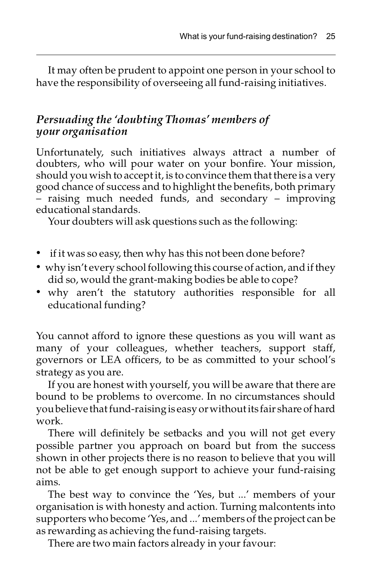It may often be prudent to appoint one person in your school to have the responsibility of overseeing all fund-raising initiatives.

#### *Persuading the 'doubting Thomas' members of your organisation*

Unfortunately, such initiatives always attract a number of doubters, who will pour water on your bonfire. Your mission, should you wish to accept it, is to convince them that there is a very good chance of success and to highlight the benefits, both primary – raising much needed funds, and secondary – improving educational standards.

Your doubters will ask questions such as the following:

- if it was so easy, then why has this not been done before?
- why isn't every school following this course of action, and if they did so, would the grant-making bodies be able to cope?
- why aren't the statutory authorities responsible for all educational funding?

You cannot afford to ignore these questions as you will want as many of your colleagues, whether teachers, support staff, governors or LEA officers, to be as committed to your school's strategy as you are.

If you are honest with yourself, you will be aware that there are bound to be problems to overcome. In no circumstances should you believe that fund-raising is easy or without its fair share of hard work.

There will definitely be setbacks and you will not get every possible partner you approach on board but from the success shown in other projects there is no reason to believe that you will not be able to get enough support to achieve your fund-raising aims.

The best way to convince the 'Yes, but ...' members of your organisation is with honesty and action. Turning malcontents into supporters who become 'Yes, and ...' members of the project can be as rewarding as achieving the fund-raising targets.

There are two main factors already in your favour: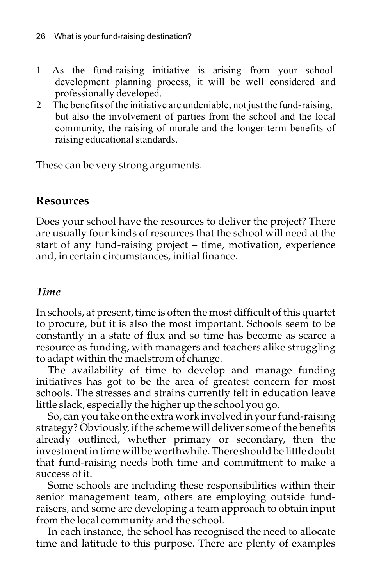- 1 As the fund-raising initiative is arising from your school development planning process, it will be well considered and professionally developed.
- 2 The benefits of the initiative are undeniable, not just the fund-raising, but also the involvement of parties from the school and the local community, the raising of morale and the longer-term benefits of raising educational standards.

These can be very strong arguments.

### **Resources**

Does your school have the resources to deliver the project? There are usually four kinds of resources that the school will need at the start of any fund-raising project – time, motivation, experience and, in certain circumstances, initial finance.

### *Time*

In schools, at present, time is often the most difficult of this quartet to procure, but it is also the most important. Schools seem to be constantly in a state of flux and so time has become as scarce a resource as funding, with managers and teachers alike struggling to adapt within the maelstrom of change.

The availability of time to develop and manage funding initiatives has got to be the area of greatest concern for most schools. The stresses and strains currently felt in education leave little slack, especially the higher up the school you go.

So, can you take on the extra work involved in your fund-raising strategy? Obviously, if the scheme will deliver some of the benefits already outlined, whether primary or secondary, then the investment in time will be worthwhile. There should be little doubt that fund-raising needs both time and commitment to make a success of it.

Some schools are including these responsibilities within their senior management team, others are employing outside fundraisers, and some are developing a team approach to obtain input from the local community and the school.

In each instance, the school has recognised the need to allocate time and latitude to this purpose. There are plenty of examples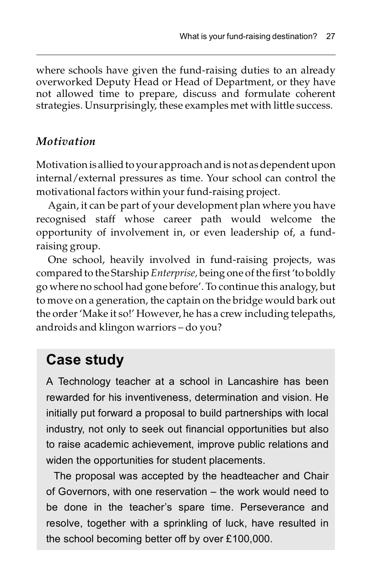where schools have given the fund-raising duties to an already overworked Deputy Head or Head of Department, or they have not allowed time to prepare, discuss and formulate coherent strategies. Unsurprisingly, these examples met with little success.

## *Motivation*

Motivation is allied to your approach and is not as dependent upon internal/external pressures as time. Your school can control the motivational factors within your fund-raising project.

Again, it can be part of your development plan where you have recognised staff whose career path would welcome the opportunity of involvement in, or even leadership of, a fundraising group.

One school, heavily involved in fund-raising projects, was compared to the Starship *Enterprise,* being one of the first 'to boldly go where no school had gone before'. To continue this analogy, but to move on a generation, the captain on the bridge would bark out the order 'Make it so!' However, he has a crew including telepaths, androids and klingon warriors – do you?

## **Case study**

A Technology teacher at a school in Lancashire has been rewarded for his inventiveness, determination and vision. He initially put forward a proposal to build partnerships with local industry, not only to seek out financial opportunities but also to raise academic achievement, improve public relations and widen the opportunities for student placements.

The proposal was accepted by the headteacher and Chair of Governors, with one reservation – the work would need to be done in the teacher's spare time. Perseverance and resolve, together with a sprinkling of luck, have resulted in the school becoming better off by over £100,000.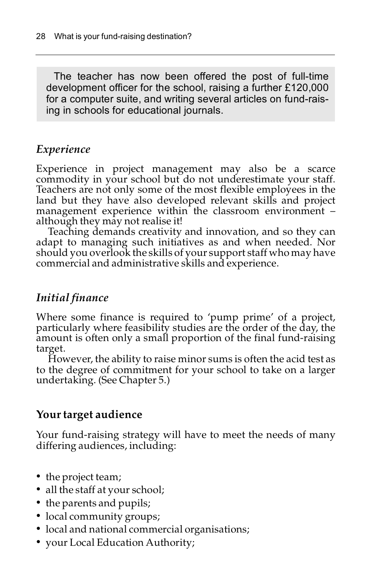The teacher has now been offered the post of full-time development officer for the school, raising a further £120,000 for a computer suite, and writing several articles on fund-raising in schools for educational journals.

## *Experience*

Experience in project management may also be a scarce commodity in your school but do not underestimate your staff. Teachers are not only some of the most flexible employees in the land but they have also developed relevant skills and project management experience within the classroom environment – although they may not realise it!

Teaching demands creativity and innovation, and so they can adapt to managing such initiatives as and when needed. Nor should you overlook the skills of your support staff who may have commercial and administrative skills and experience.

## *Initial finance*

Where some finance is required to 'pump prime' of a project, particularly where feasibility studies are the order of the day, the amount is often only a small proportion of the final fund-raising target.

However, the ability to raise minor sums is often the acid test as to the degree of commitment for your school to take on a larger undertaking. (See Chapter 5.)

## **Your target audience**

Your fund-raising strategy will have to meet the needs of many differing audiences, including:

- the project team;
- all the staff at your school;
- the parents and pupils;
- local community groups;
- local and national commercial organisations;
- your Local Education Authority;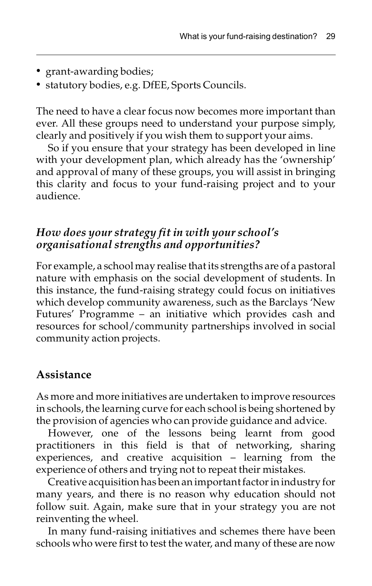- grant-awarding bodies:
- statutory bodies, e.g. DfEE, Sports Councils.

The need to have a clear focus now becomes more important than ever. All these groups need to understand your purpose simply, clearly and positively if you wish them to support your aims.

So if you ensure that your strategy has been developed in line with your development plan, which already has the 'ownership' and approval of many of these groups, you will assist in bringing this clarity and focus to your fund-raising project and to your audience.

## *How does your strategy fit in with your school's organisational strengths and opportunities?*

For example, a school may realise that its strengths are of a pastoral nature with emphasis on the social development of students. In this instance, the fund-raising strategy could focus on initiatives which develop community awareness, such as the Barclays 'New Futures' Programme – an initiative which provides cash and resources for school/community partnerships involved in social community action projects.

## **Assistance**

As more and more initiatives are undertaken to improve resources in schools, the learning curve for each school is being shortened by the provision of agencies who can provide guidance and advice.

However, one of the lessons being learnt from good practitioners in this field is that of networking, sharing experiences, and creative acquisition – learning from the experience of others and trying not to repeat their mistakes.

Creative acquisition has been an important factor in industry for many years, and there is no reason why education should not follow suit. Again, make sure that in your strategy you are not reinventing the wheel.

In many fund-raising initiatives and schemes there have been schools who were first to test the water, and many of these are now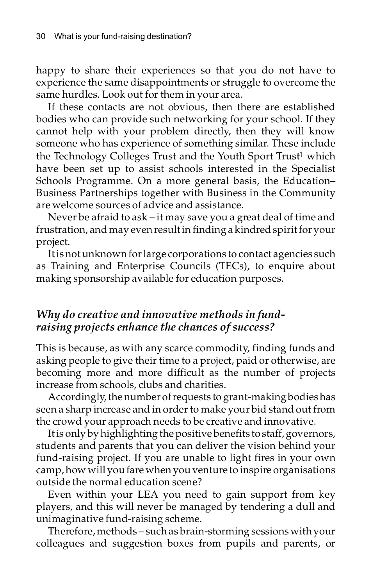happy to share their experiences so that you do not have to experience the same disappointments or struggle to overcome the same hurdles. Look out for them in your area.

If these contacts are not obvious, then there are established bodies who can provide such networking for your school. If they cannot help with your problem directly, then they will know someone who has experience of something similar. These include the Technology Colleges Trust and the Youth Sport Trust<sup>1</sup> which have been set up to assist schools interested in the Specialist Schools Programme. On a more general basis, the Education– Business Partnerships together with Business in the Community are welcome sources of advice and assistance.

Never be afraid to ask – it may save you a great deal of time and frustration, and may even result in finding a kindred spirit for your project.

It is not unknown for large corporations to contact agencies such as Training and Enterprise Councils (TECs), to enquire about making sponsorship available for education purposes.

## *Why do creative and innovative methods in fundraising projects enhance the chances of success?*

This is because, as with any scarce commodity, finding funds and asking people to give their time to a project, paid or otherwise, are becoming more and more difficult as the number of projects increase from schools, clubs and charities.

Accordingly, the number of requests to grant-making bodies has seen a sharp increase and in order to make your bid stand out from the crowd your approach needs to be creative and innovative.

It is only by highlighting the positive benefits to staff, governors, students and parents that you can deliver the vision behind your fund-raising project. If you are unable to light fires in your own camp, how will you fare when you venture to inspire organisations outside the normal education scene?

Even within your LEA you need to gain support from key players, and this will never be managed by tendering a dull and unimaginative fund-raising scheme.

Therefore, methods – such as brain-storming sessions with your colleagues and suggestion boxes from pupils and parents, or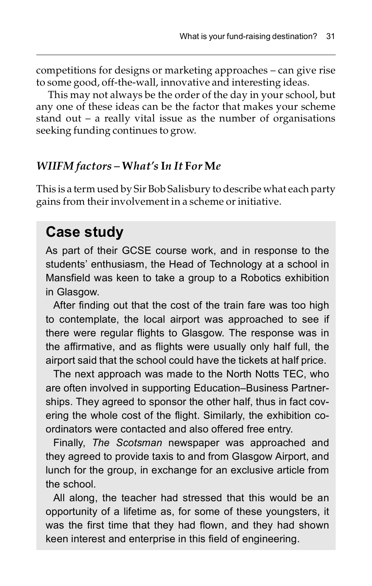competitions for designs or marketing approaches – can give rise to some good, off-the-wall, innovative and interesting ideas.

This may not always be the order of the day in your school, but any one of these ideas can be the factor that makes your scheme stand out – a really vital issue as the number of organisations seeking funding continues to grow.

## *WIIFM factors –* **W***hat's* **I***n It* **F***or* **M***e*

This is a term used by Sir Bob Salisbury to describe what each party gains from their involvement in a scheme or initiative.

## **Case study**

As part of their GCSE course work, and in response to the students' enthusiasm, the Head of Technology at a school in Mansfield was keen to take a group to a Robotics exhibition in Glasgow.

After finding out that the cost of the train fare was too high to contemplate, the local airport was approached to see if there were regular flights to Glasgow. The response was in the affirmative, and as flights were usually only half full, the airport said that the school could have the tickets at half price.

The next approach was made to the North Notts TEC, who are often involved in supporting Education–Business Partnerships. They agreed to sponsor the other half, thus in fact covering the whole cost of the flight. Similarly, the exhibition coordinators were contacted and also offered free entry.

Finally, *The Scotsman* newspaper was approached and they agreed to provide taxis to and from Glasgow Airport, and lunch for the group, in exchange for an exclusive article from the school.

All along, the teacher had stressed that this would be an opportunity of a lifetime as, for some of these youngsters, it was the first time that they had flown, and they had shown keen interest and enterprise in this field of engineering.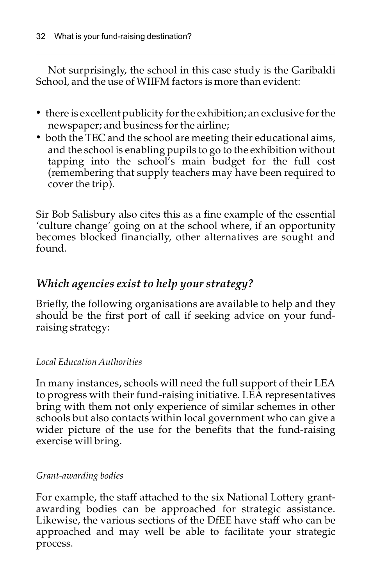Not surprisingly, the school in this case study is the Garibaldi School, and the use of WIIFM factors is more than evident:

- there is excellent publicity for the exhibition; an exclusive for the newspaper; and business for the airline;
- both the TEC and the school are meeting their educational aims, and the school is enabling pupils to go to the exhibition without tapping into the school's main budget for the full cost (remembering that supply teachers may have been required to cover the trip).

Sir Bob Salisbury also cites this as a fine example of the essential 'culture change' going on at the school where, if an opportunity becomes blocked financially, other alternatives are sought and found.

## *Which agencies exist to help your strategy?*

Briefly, the following organisations are available to help and they should be the first port of call if seeking advice on your fundraising strategy:

### *Local Education Authorities*

In many instances, schools will need the full support of their LEA to progress with their fund-raising initiative. LEA representatives bring with them not only experience of similar schemes in other schools but also contacts within local government who can give a wider picture of the use for the benefits that the fund-raising exercise will bring.

### *Grant-awarding bodies*

For example, the staff attached to the six National Lottery grantawarding bodies can be approached for strategic assistance. Likewise, the various sections of the DfEE have staff who can be approached and may well be able to facilitate your strategic process.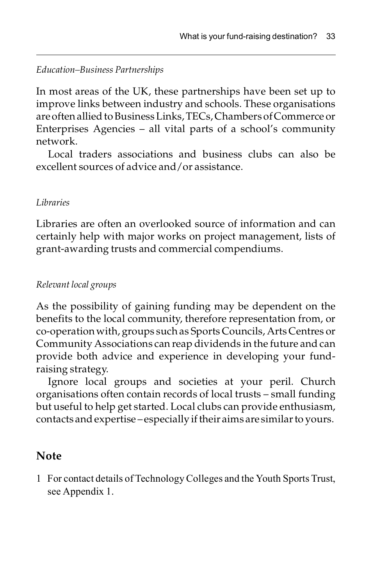#### *Education–Business Partnerships*

In most areas of the UK, these partnerships have been set up to improve links between industry and schools. These organisations are often allied to Business Links, TECs, Chambers of Commerce or Enterprises Agencies – all vital parts of a school's community network.

Local traders associations and business clubs can also be excellent sources of advice and/or assistance.

#### *Libraries*

Libraries are often an overlooked source of information and can certainly help with major works on project management, lists of grant-awarding trusts and commercial compendiums.

#### *Relevant local groups*

As the possibility of gaining funding may be dependent on the benefits to the local community, therefore representation from, or co-operation with, groups such as Sports Councils, Arts Centres or Community Associations can reap dividends in the future and can provide both advice and experience in developing your fundraising strategy.

Ignore local groups and societies at your peril. Church organisations often contain records of local trusts – small funding but useful to help get started. Local clubs can provide enthusiasm, contacts and expertise – especially if their aims are similar to yours.

### **Note**

1 For contact details of Technology Colleges and the Youth Sports Trust, see Appendix 1.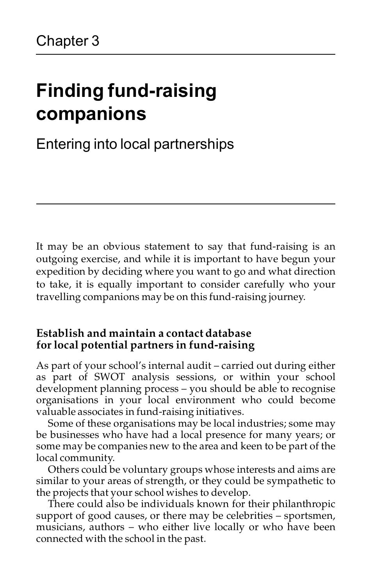# **Finding fund-raising companions**

Entering into local partnerships

It may be an obvious statement to say that fund-raising is an outgoing exercise, and while it is important to have begun your expedition by deciding where you want to go and what direction to take, it is equally important to consider carefully who your travelling companions may be on this fund-raising journey.

### **Establish and maintain a contact database for local potential partners in fund-raising**

As part of your school's internal audit – carried out during either as part of SWOT analysis sessions, or within your school development planning process – you should be able to recognise organisations in your local environment who could become valuable associates in fund-raising initiatives.

Some of these organisations may be local industries; some may be businesses who have had a local presence for many years; or some may be companies new to the area and keen to be part of the local community.

Others could be voluntary groups whose interests and aims are similar to your areas of strength, or they could be sympathetic to the projects that your school wishes to develop.

There could also be individuals known for their philanthropic support of good causes, or there may be celebrities – sportsmen, musicians, authors – who either live locally or who have been connected with the school in the past.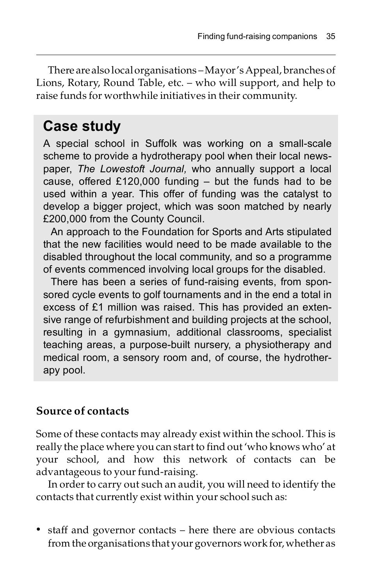There are also local organisations – Mayor's Appeal, branches of Lions, Rotary, Round Table, etc. – who will support, and help to raise funds for worthwhile initiatives in their community.

## **Case study**

A special school in Suffolk was working on a small-scale scheme to provide a hydrotherapy pool when their local newspaper, *The Lowestoft Journal,* who annually support a local cause, offered £120,000 funding – but the funds had to be used within a year. This offer of funding was the catalyst to develop a bigger project, which was soon matched by nearly £200,000 from the County Council.

An approach to the Foundation for Sports and Arts stipulated that the new facilities would need to be made available to the disabled throughout the local community, and so a programme of events commenced involving local groups for the disabled.

There has been a series of fund-raising events, from sponsored cycle events to golf tournaments and in the end a total in excess of £1 million was raised. This has provided an extensive range of refurbishment and building projects at the school, resulting in a gymnasium, additional classrooms, specialist teaching areas, a purpose-built nursery, a physiotherapy and medical room, a sensory room and, of course, the hydrotherapy pool.

## **Source of contacts**

Some of these contacts may already exist within the school. This is really the place where you can start to find out 'who knows who' at your school, and how this network of contacts can be advantageous to your fund-raising.

In order to carry out such an audit, you will need to identify the contacts that currently exist within your school such as:

• staff and governor contacts – here there are obvious contacts from the organisations that your governors work for, whether as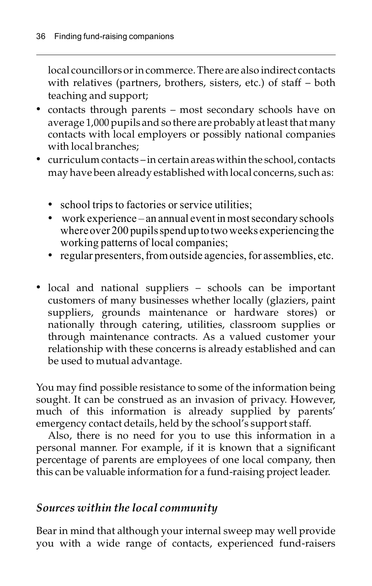local councillors or in commerce. There are also indirect contacts with relatives (partners, brothers, sisters, etc.) of staff – both teaching and support;

- contacts through parents most secondary schools have on average 1,000 pupils and so there are probably at least that many contacts with local employers or possibly national companies with local branches;
- curriculum contacts in certain areas within the school, contacts may have been already established with local concerns, such as:
	- school trips to factories or service utilities;
	- work experience an annual event in most secondary schools where over 200 pupils spend up to two weeks experiencing the working patterns of local companies;
	- regular presenters, from outside agencies, for assemblies, etc.
- local and national suppliers schools can be important customers of many businesses whether locally (glaziers, paint suppliers, grounds maintenance or hardware stores) or nationally through catering, utilities, classroom supplies or through maintenance contracts. As a valued customer your relationship with these concerns is already established and can be used to mutual advantage.

You may find possible resistance to some of the information being sought. It can be construed as an invasion of privacy. However, much of this information is already supplied by parents' emergency contact details, held by the school's support staff.

Also, there is no need for you to use this information in a personal manner. For example, if it is known that a significant percentage of parents are employees of one local company, then this can be valuable information for a fund-raising project leader.

## *Sources within the local community*

Bear in mind that although your internal sweep may well provide you with a wide range of contacts, experienced fund-raisers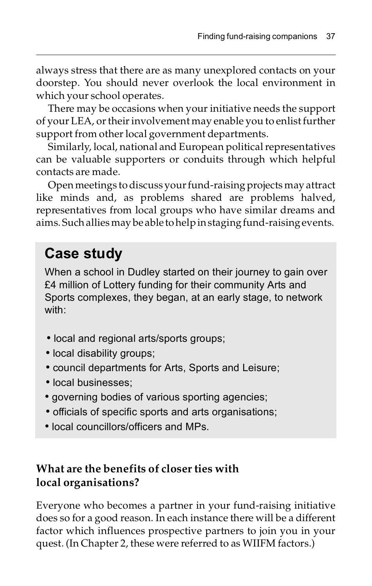always stress that there are as many unexplored contacts on your doorstep. You should never overlook the local environment in which your school operates.

There may be occasions when your initiative needs the support of your LEA, or their involvement may enable you to enlist further support from other local government departments.

Similarly, local, national and European political representatives can be valuable supporters or conduits through which helpful contacts are made.

Open meetings to discuss your fund-raising projects may attract like minds and, as problems shared are problems halved, representatives from local groups who have similar dreams and aims. Such allies may be able to help in staging fund-raising events.

## **Case study**

When a school in Dudley started on their journey to gain over £4 million of Lottery funding for their community Arts and Sports complexes, they began, at an early stage, to network with:

- local and regional arts/sports groups;
- local disability groups;
- council departments for Arts, Sports and Leisure;
- local businesses;
- governing bodies of various sporting agencies;
- officials of specific sports and arts organisations;
- local councillors/officers and MPs.

## **What are the benefits of closer ties with local organisations?**

Everyone who becomes a partner in your fund-raising initiative does so for a good reason. In each instance there will be a different factor which influences prospective partners to join you in your quest. (In Chapter 2, these were referred to as WIIFM factors.)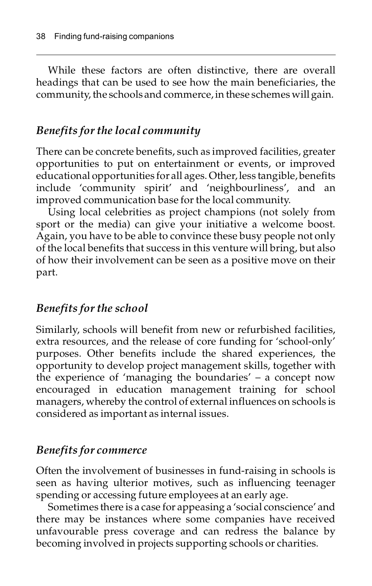While these factors are often distinctive, there are overall headings that can be used to see how the main beneficiaries, the community, the schools and commerce, in these schemes will gain.

### *Benefits for the local community*

There can be concrete benefits, such as improved facilities, greater opportunities to put on entertainment or events, or improved educational opportunities for all ages. Other, less tangible, benefits include 'community spirit' and 'neighbourliness', and an improved communication base for the local community.

Using local celebrities as project champions (not solely from sport or the media) can give your initiative a welcome boost. Again, you have to be able to convince these busy people not only of the local benefits that success in this venture will bring, but also of how their involvement can be seen as a positive move on their part.

## *Benefits for the school*

Similarly, schools will benefit from new or refurbished facilities, extra resources, and the release of core funding for 'school-only' purposes. Other benefits include the shared experiences, the opportunity to develop project management skills, together with the experience of 'managing the boundaries' – a concept now encouraged in education management training for school managers, whereby the control of external influences on schools is considered as important as internal issues.

### *Benefits for commerce*

Often the involvement of businesses in fund-raising in schools is seen as having ulterior motives, such as influencing teenager spending or accessing future employees at an early age.

Sometimes there is a case for appeasing a 'social conscience' and there may be instances where some companies have received unfavourable press coverage and can redress the balance by becoming involved in projects supporting schools or charities.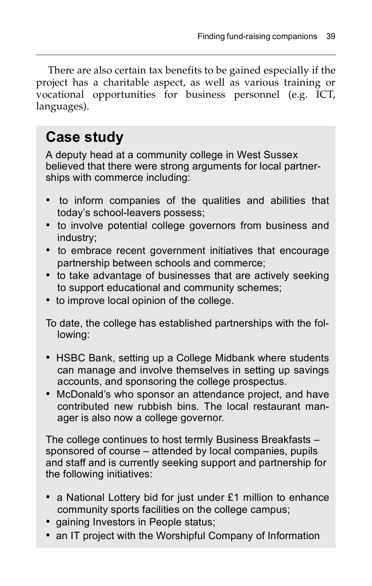There are also certain tax benefits to be gained especially if the project has a charitable aspect, as well as various training or vocational opportunities for business personnel (e.g. ICT, languages).

## **Case study**

A deputy head at a community college in West Sussex believed that there were strong arguments for local partnerships with commerce including:

- to inform companies of the qualities and abilities that today's school-leavers possess;
- to involve potential college governors from business and industry;
- to embrace recent government initiatives that encourage partnership between schools and commerce;
- to take advantage of businesses that are actively seeking to support educational and community schemes;
- to improve local opinion of the college.

To date, the college has established partnerships with the following:

- HSBC Bank, setting up a College Midbank where students can manage and involve themselves in setting up savings accounts, and sponsoring the college prospectus.
- McDonald's who sponsor an attendance project, and have contributed new rubbish bins. The local restaurant manager is also now a college governor.

The college continues to host termly Business Breakfasts – sponsored of course – attended by local companies, pupils and staff and is currently seeking support and partnership for the following initiatives:

- a National Lottery bid for just under £1 million to enhance community sports facilities on the college campus;
- gaining Investors in People status;
- an IT project with the Worshipful Company of Information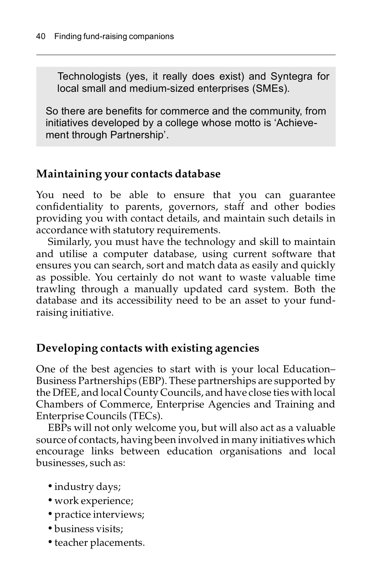Technologists (yes, it really does exist) and Syntegra for local small and medium-sized enterprises (SMEs).

So there are benefits for commerce and the community, from initiatives developed by a college whose motto is 'Achievement through Partnership'.

### **Maintaining your contacts database**

You need to be able to ensure that you can guarantee confidentiality to parents, governors, staff and other bodies providing you with contact details, and maintain such details in accordance with statutory requirements.

Similarly, you must have the technology and skill to maintain and utilise a computer database, using current software that ensures you can search, sort and match data as easily and quickly as possible. You certainly do not want to waste valuable time trawling through a manually updated card system. Both the database and its accessibility need to be an asset to your fundraising initiative.

### **Developing contacts with existing agencies**

One of the best agencies to start with is your local Education– Business Partnerships (EBP). These partnerships are supported by the DfEE, and local County Councils, and have close ties with local Chambers of Commerce, Enterprise Agencies and Training and Enterprise Councils (TECs).

EBPs will not only welcome you, but will also act as a valuable source of contacts, having been involved in many initiatives which encourage links between education organisations and local businesses, such as:

- industry days;
- work experience;
- practice interviews;
- business visits;
- teacher placements.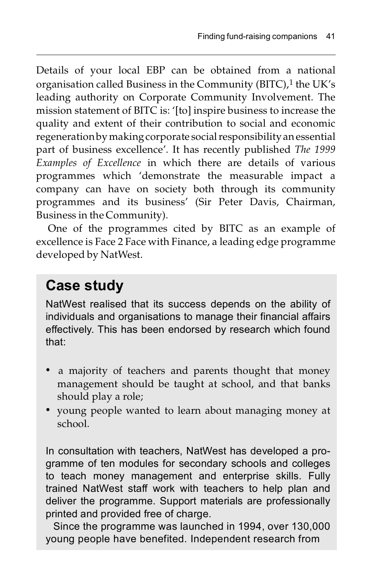Details of your local EBP can be obtained from a national organisation called Business in the Community (BITC), $1$  the UK's leading authority on Corporate Community Involvement. The mission statement of BITC is: '[to] inspire business to increase the quality and extent of their contribution to social and economic regeneration by making corporate social responsibility an essential part of business excellence'. It has recently published *The 1999 Examples of Excellence* in which there are details of various programmes which 'demonstrate the measurable impact a company can have on society both through its community programmes and its business' (Sir Peter Davis, Chairman, Business in the Community).

One of the programmes cited by BITC as an example of excellence is Face 2 Face with Finance, a leading edge programme developed by NatWest.

## **Case study**

NatWest realised that its success depends on the ability of individuals and organisations to manage their financial affairs effectively. This has been endorsed by research which found that:

- a majority of teachers and parents thought that money management should be taught at school, and that banks should play a role;
- young people wanted to learn about managing money at school.

In consultation with teachers, NatWest has developed a programme of ten modules for secondary schools and colleges to teach money management and enterprise skills. Fully trained NatWest staff work with teachers to help plan and deliver the programme. Support materials are professionally printed and provided free of charge.

Since the programme was launched in 1994, over 130,000 young people have benefited. Independent research from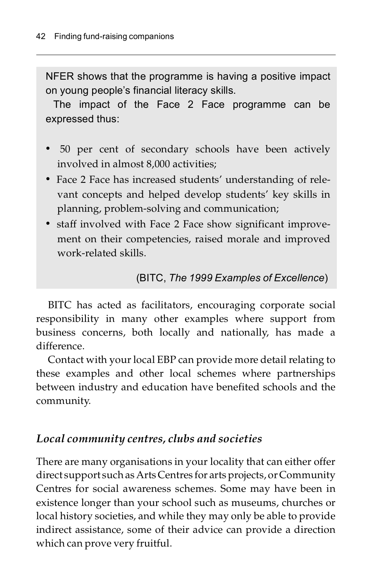NFER shows that the programme is having a positive impact on young people's financial literacy skills.

The impact of the Face 2 Face programme can be expressed thus:

- 50 per cent of secondary schools have been actively involved in almost 8,000 activities;
- Face 2 Face has increased students' understanding of relevant concepts and helped develop students' key skills in planning, problem-solving and communication;
- staff involved with Face 2 Face show significant improvement on their competencies, raised morale and improved work-related skills.

### (BITC, *The 1999 Examples of Excellence*)

BITC has acted as facilitators, encouraging corporate social responsibility in many other examples where support from business concerns, both locally and nationally, has made a difference.

Contact with your local EBP can provide more detail relating to these examples and other local schemes where partnerships between industry and education have benefited schools and the community.

### *Local community centres, clubs and societies*

There are many organisations in your locality that can either offer direct support such as Arts Centres for arts projects, or Community Centres for social awareness schemes. Some may have been in existence longer than your school such as museums, churches or local history societies, and while they may only be able to provide indirect assistance, some of their advice can provide a direction which can prove very fruitful.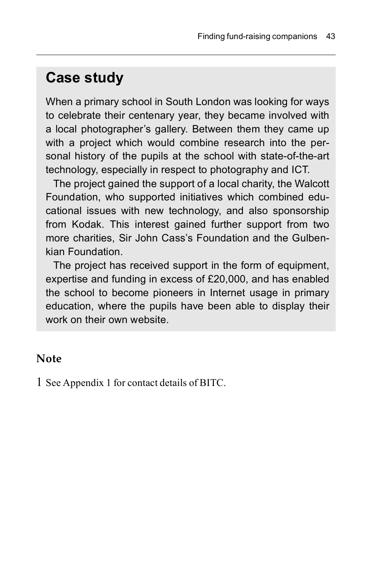## **Case study**

When a primary school in South London was looking for ways to celebrate their centenary year, they became involved with a local photographer's gallery. Between them they came up with a project which would combine research into the personal history of the pupils at the school with state-of-the-art technology, especially in respect to photography and ICT.

The project gained the support of a local charity, the Walcott Foundation, who supported initiatives which combined educational issues with new technology, and also sponsorship from Kodak. This interest gained further support from two more charities, Sir John Cass's Foundation and the Gulbenkian Foundation.

The project has received support in the form of equipment, expertise and funding in excess of £20,000, and has enabled the school to become pioneers in Internet usage in primary education, where the pupils have been able to display their work on their own website.

## **Note**

1 See Appendix 1 for contact details of BITC.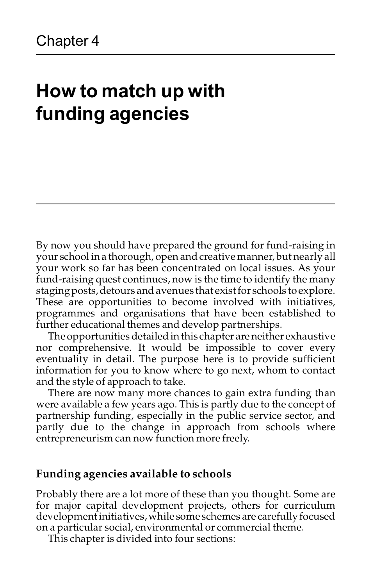# **How to match up with funding agencies**

By now you should have prepared the ground for fund-raising in your school in a thorough, open and creative manner, but nearly all your work so far has been concentrated on local issues. As your fund-raising quest continues, now is the time to identify the many staging posts, detours and avenues that exist for schools to explore. These are opportunities to become involved with initiatives, programmes and organisations that have been established to further educational themes and develop partnerships.

The opportunities detailed in this chapter are neither exhaustive nor comprehensive. It would be impossible to cover every eventuality in detail. The purpose here is to provide sufficient information for you to know where to go next, whom to contact and the style of approach to take.

There are now many more chances to gain extra funding than were available a few years ago. This is partly due to the concept of partnership funding, especially in the public service sector, and partly due to the change in approach from schools where entrepreneurism can now function more freely.

## **Funding agencies available to schools**

Probably there are a lot more of these than you thought. Some are for major capital development projects, others for curriculum development initiatives, while some schemes are carefully focused on a particular social, environmental or commercial theme.

This chapter is divided into four sections: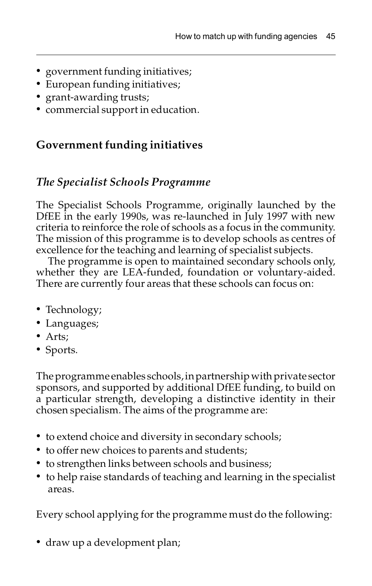- government funding initiatives;
- European funding initiatives;
- grant-awarding trusts;
- commercial support in education.

## **Government funding initiatives**

## *The Specialist Schools Programme*

The Specialist Schools Programme, originally launched by the DfEE in the early 1990s, was re-launched in July 1997 with new criteria to reinforce the role of schools as a focus in the community. The mission of this programme is to develop schools as centres of excellence for the teaching and learning of specialist subjects.

The programme is open to maintained secondary schools only, whether they are LEA-funded, foundation or voluntary-aided. There are currently four areas that these schools can focus on:

- Technology;
- Languages;
- Arts;
- Sports.

The programme enables schools, in partnership with private sector sponsors, and supported by additional DfEE funding, to build on a particular strength, developing a distinctive identity in their chosen specialism. The aims of the programme are:

- to extend choice and diversity in secondary schools;
- to offer new choices to parents and students;
- to strengthen links between schools and business;
- to help raise standards of teaching and learning in the specialist areas.

Every school applying for the programme must do the following:

• draw up a development plan;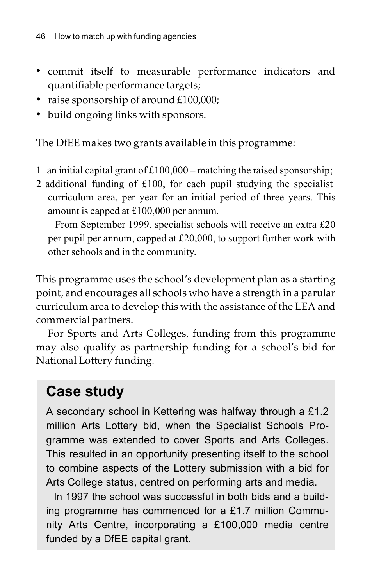- commit itself to measurable performance indicators and quantifiable performance targets;
- raise sponsorship of around £100,000;
- build ongoing links with sponsors.

The DfEE makes two grants available in this programme:

- 1 an initial capital grant of £100,000 matching the raised sponsorship;
- 2 additional funding of £100, for each pupil studying the specialist curriculum area, per year for an initial period of three years. This amount is capped at £100,000 per annum.

From September 1999, specialist schools will receive an extra £20 per pupil per annum, capped at £20,000, to support further work with other schools and in the community.

This programme uses the school's development plan as a starting point, and encourages all schools who have a strength in a parular curriculum area to develop this with the assistance of the LEA and commercial partners.

For Sports and Arts Colleges, funding from this programme may also qualify as partnership funding for a school's bid for National Lottery funding.

## **Case study**

A secondary school in Kettering was halfway through a £1.2 million Arts Lottery bid, when the Specialist Schools Programme was extended to cover Sports and Arts Colleges. This resulted in an opportunity presenting itself to the school to combine aspects of the Lottery submission with a bid for Arts College status, centred on performing arts and media.

In 1997 the school was successful in both bids and a building programme has commenced for a £1.7 million Community Arts Centre, incorporating a £100,000 media centre funded by a DfEE capital grant.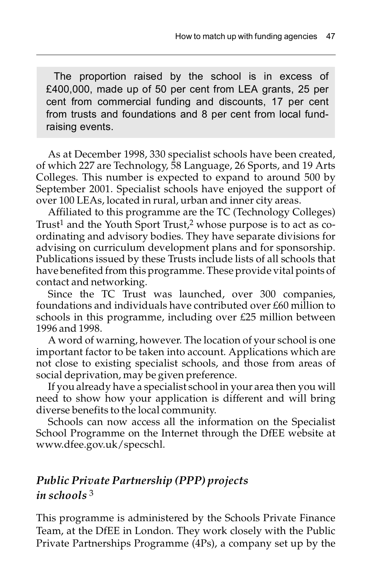The proportion raised by the school is in excess of £400,000, made up of 50 per cent from LEA grants, 25 per cent from commercial funding and discounts, 17 per cent from trusts and foundations and 8 per cent from local fundraising events.

As at December 1998, 330 specialist schools have been created, of which 227 are Technology, 58 Language, 26 Sports, and 19 Arts Colleges. This number is expected to expand to around 500 by September 2001. Specialist schools have enjoyed the support of over 100 LEAs, located in rural, urban and inner city areas.

Affiliated to this programme are the TC (Technology Colleges) Trust<sup>1</sup> and the Youth Sport Trust,<sup>2</sup> whose purpose is to act as coordinating and advisory bodies. They have separate divisions for advising on curriculum development plans and for sponsorship. Publications issued by these Trusts include lists of all schools that have benefited from this programme. These provide vital points of contact and networking.

Since the TC Trust was launched, over 300 companies, foundations and individuals have contributed over £60 million to schools in this programme, including over £25 million between 1996 and 1998.

A word of warning, however. The location of your school is one important factor to be taken into account. Applications which are not close to existing specialist schools, and those from areas of social deprivation, may be given preference.

If you already have a specialist school in your area then you will need to show how your application is different and will bring diverse benefits to the local community.

Schools can now access all the information on the Specialist School Programme on the Internet through the DfEE website at www.dfee.gov.uk/specschl.

## *Public Private Partnership (PPP) projects in schools* <sup>3</sup>

This programme is administered by the Schools Private Finance Team, at the DfEE in London. They work closely with the Public Private Partnerships Programme (4Ps), a company set up by the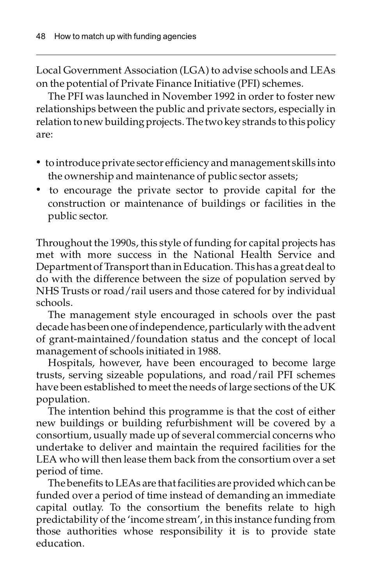Local Government Association (LGA) to advise schools and LEAs on the potential of Private Finance Initiative (PFI) schemes.

The PFI was launched in November 1992 in order to foster new relationships between the public and private sectors, especially in relation to new building projects. The two key strands to this policy are:

- to introduce private sector efficiency and management skills into the ownership and maintenance of public sector assets;
- to encourage the private sector to provide capital for the construction or maintenance of buildings or facilities in the public sector.

Throughout the 1990s, this style of funding for capital projects has met with more success in the National Health Service and Department of Transport than in Education. This has a great deal to do with the difference between the size of population served by NHS Trusts or road/rail users and those catered for by individual schools.

The management style encouraged in schools over the past decade has been one of independence, particularly with the advent of grant-maintained/foundation status and the concept of local management of schools initiated in 1988.

Hospitals, however, have been encouraged to become large trusts, serving sizeable populations, and road/rail PFI schemes have been established to meet the needs of large sections of the UK population.

The intention behind this programme is that the cost of either new buildings or building refurbishment will be covered by a consortium, usually made up of several commercial concerns who undertake to deliver and maintain the required facilities for the LEA who will then lease them back from the consortium over a set period of time.

The benefits to LEAs are that facilities are provided which can be funded over a period of time instead of demanding an immediate capital outlay. To the consortium the benefits relate to high predictability of the 'income stream', in this instance funding from those authorities whose responsibility it is to provide state education.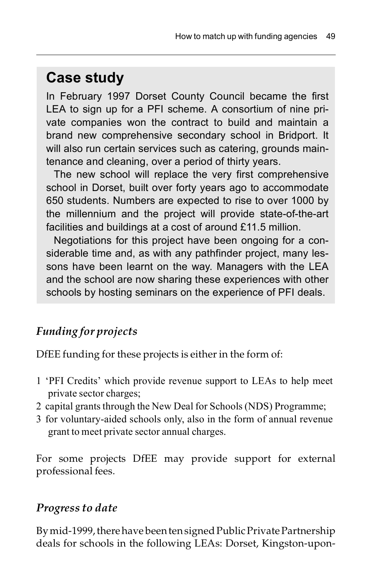## **Case study**

In February 1997 Dorset County Council became the first LEA to sign up for a PFI scheme. A consortium of nine private companies won the contract to build and maintain a brand new comprehensive secondary school in Bridport. It will also run certain services such as catering, grounds maintenance and cleaning, over a period of thirty years.

The new school will replace the very first comprehensive school in Dorset, built over forty years ago to accommodate 650 students. Numbers are expected to rise to over 1000 by the millennium and the project will provide state-of-the-art facilities and buildings at a cost of around £11.5 million.

Negotiations for this project have been ongoing for a considerable time and, as with any pathfinder project, many lessons have been learnt on the way. Managers with the LEA and the school are now sharing these experiences with other schools by hosting seminars on the experience of PFI deals.

## *Funding for projects*

DfEE funding for these projects is either in the form of:

- 1 'PFI Credits' which provide revenue support to LEAs to help meet private sector charges;
- 2 capital grants through the New Deal for Schools (NDS) Programme;
- 3 for voluntary-aided schools only, also in the form of annual revenue grant to meet private sector annual charges.

For some projects DfEE may provide support for external professional fees.

## *Progress to date*

By mid-1999, there have been ten signed Public Private Partnership deals for schools in the following LEAs: Dorset, Kingston-upon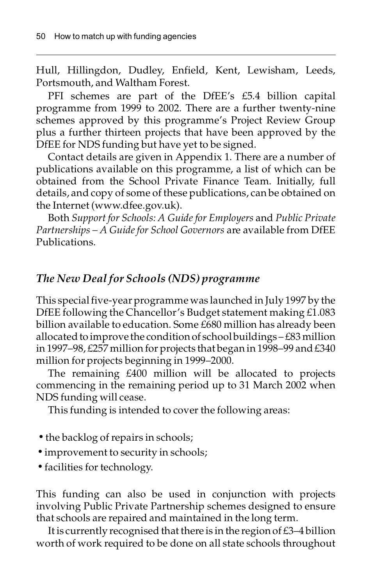Hull, Hillingdon, Dudley, Enfield, Kent, Lewisham, Leeds, Portsmouth, and Waltham Forest.

PFI schemes are part of the DfEE's £5.4 billion capital programme from 1999 to 2002. There are a further twenty-nine schemes approved by this programme's Project Review Group plus a further thirteen projects that have been approved by the DfEE for NDS funding but have yet to be signed.

Contact details are given in Appendix 1. There are a number of publications available on this programme, a list of which can be obtained from the School Private Finance Team. Initially, full details, and copy of some of these publications, can be obtained on the Internet (www.dfee.gov.uk).

Both *Support for Schools: A Guide for Employers* and *Public Private Partnerships – A Guide for School Governors* are available from DfEE Publications.

### *The New Deal for Schools (NDS) programme*

This special five-year programme was launched in July 1997 by the DfEE following the Chancellor's Budget statement making £1.083 billion available to education. Some £680 million has already been allocated to improve the condition of school buildings – £83 million in 1997–98, £257 million for projects that began in 1998–99 and £340 million for projects beginning in 1999–2000.

The remaining £400 million will be allocated to projects commencing in the remaining period up to 31 March 2002 when NDS funding will cease.

This funding is intended to cover the following areas:

- the backlog of repairs in schools;
- improvement to security in schools;
- facilities for technology.

This funding can also be used in conjunction with projects involving Public Private Partnership schemes designed to ensure that schools are repaired and maintained in the long term.

It is currently recognised that there is in the region of £3–4 billion worth of work required to be done on all state schools throughout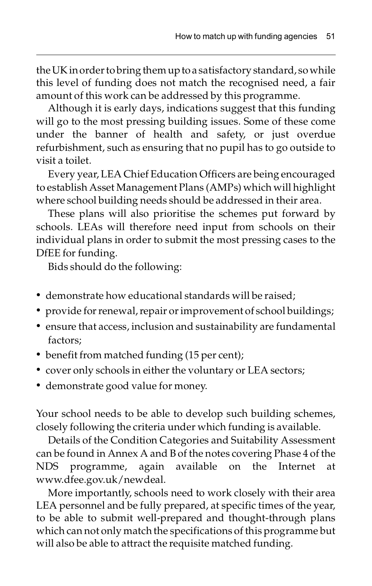the UK in order to bring them up to a satisfactory standard, so while this level of funding does not match the recognised need, a fair amount of this work can be addressed by this programme.

Although it is early days, indications suggest that this funding will go to the most pressing building issues. Some of these come under the banner of health and safety, or just overdue refurbishment, such as ensuring that no pupil has to go outside to visit a toilet.

Every year, LEA Chief Education Officers are being encouraged to establish Asset Management Plans (AMPs) which will highlight where school building needs should be addressed in their area.

These plans will also prioritise the schemes put forward by schools. LEAs will therefore need input from schools on their individual plans in order to submit the most pressing cases to the DfEE for funding.

Bids should do the following:

- demonstrate how educational standards will be raised;
- provide for renewal, repair or improvement of school buildings;
- ensure that access, inclusion and sustainability are fundamental factors;
- benefit from matched funding (15 per cent);
- cover only schools in either the voluntary or LEA sectors;
- demonstrate good value for money.

Your school needs to be able to develop such building schemes, closely following the criteria under which funding is available.

Details of the Condition Categories and Suitability Assessment can be found in Annex A and B of the notes covering Phase 4 of the NDS programme, again available on the Internet at www.dfee.gov.uk/newdeal.

More importantly, schools need to work closely with their area LEA personnel and be fully prepared, at specific times of the year, to be able to submit well-prepared and thought-through plans which can not only match the specifications of this programme but will also be able to attract the requisite matched funding.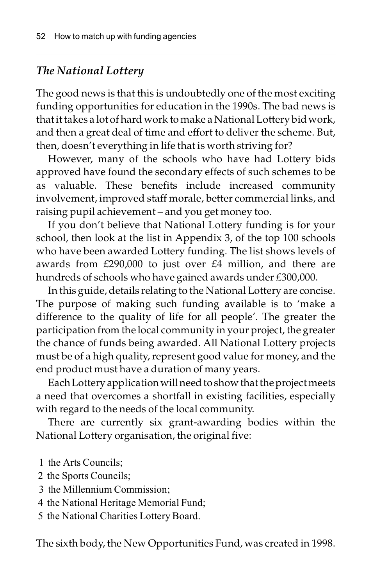## *The National Lottery*

The good news is that this is undoubtedly one of the most exciting funding opportunities for education in the 1990s. The bad news is that it takes a lot of hard work to make a National Lottery bid work, and then a great deal of time and effort to deliver the scheme. But, then, doesn't everything in life that is worth striving for?

However, many of the schools who have had Lottery bids approved have found the secondary effects of such schemes to be as valuable. These benefits include increased community involvement, improved staff morale, better commercial links, and raising pupil achievement – and you get money too.

If you don't believe that National Lottery funding is for your school, then look at the list in Appendix 3, of the top 100 schools who have been awarded Lottery funding. The list shows levels of awards from £290,000 to just over £4 million, and there are hundreds of schools who have gained awards under £300,000.

In this guide, details relating to the National Lottery are concise. The purpose of making such funding available is to 'make a difference to the quality of life for all people'. The greater the participation from the local community in your project, the greater the chance of funds being awarded. All National Lottery projects must be of a high quality, represent good value for money, and the end product must have a duration of many years.

Each Lottery application will need to show that the project meets a need that overcomes a shortfall in existing facilities, especially with regard to the needs of the local community.

There are currently six grant-awarding bodies within the National Lottery organisation, the original five:

- 1 the Arts Councils;
- 2 the Sports Councils;
- 3 the Millennium Commission;
- 4 the National Heritage Memorial Fund;
- 5 the National Charities Lottery Board.

The sixth body, the New Opportunities Fund, was created in 1998.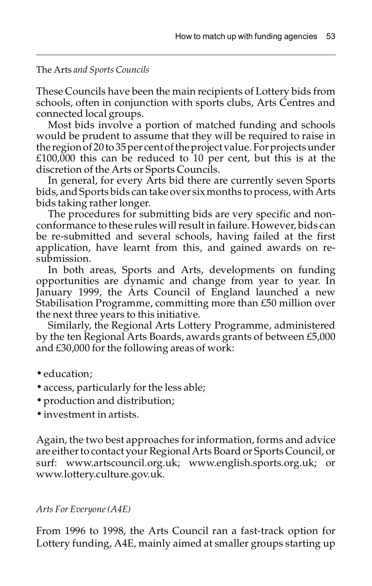#### The Arts *and Sports Councils*

These Councils have been the main recipients of Lottery bids from schools, often in conjunction with sports clubs, Arts Centres and connected local groups.

Most bids involve a portion of matched funding and schools would be prudent to assume that they will be required to raise in the region of 20 to 35 per cent of the project value. For projects under  $£100,000$  this can be reduced to 10 per cent, but this is at the discretion of the Arts or Sports Councils.

In general, for every Arts bid there are currently seven Sports bids, and Sports bids can take over six months to process, with Arts bids taking rather longer.

The procedures for submitting bids are very specific and nonconformance to these rules will result in failure. However, bids can be re-submitted and several schools, having failed at the first application, have learnt from this, and gained awards on resubmission.

In both areas, Sports and Arts, developments on funding opportunities are dynamic and change from year to year. In January 1999, the Arts Council of England launched a new Stabilisation Programme, committing more than £50 million over the next three years to this initiative.

Similarly, the Regional Arts Lottery Programme, administered by the ten Regional Arts Boards, awards grants of between £5,000 and £30,000 for the following areas of work:

- education;
- access, particularly for the less able;
- production and distribution;

• investment in artists.

Again, the two best approaches for information, forms and advice are either to contact your Regional Arts Board or Sports Council, or surf: www.artscouncil.org.uk; www.english.sports.org.uk; or www.lottery.culture.gov.uk.

#### *Arts For Everyone (A4E)*

From 1996 to 1998, the Arts Council ran a fast-track option for Lottery funding, A4E, mainly aimed at smaller groups starting up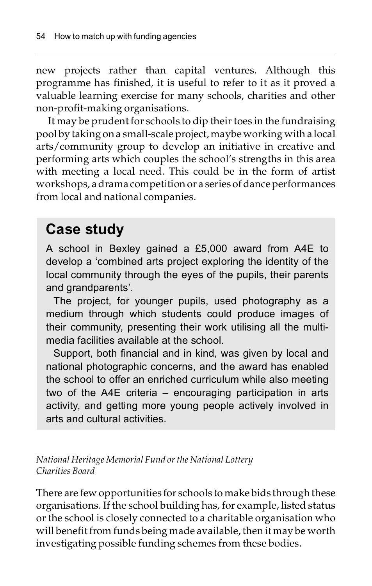new projects rather than capital ventures. Although this programme has finished, it is useful to refer to it as it proved a valuable learning exercise for many schools, charities and other non-profit-making organisations.

It may be prudent for schools to dip their toes in the fundraising pool by taking on a small-scale project, maybe working with a local arts/community group to develop an initiative in creative and performing arts which couples the school's strengths in this area with meeting a local need. This could be in the form of artist workshops, a drama competition or a series of dance performances from local and national companies.

## **Case study**

A school in Bexley gained a £5,000 award from A4E to develop a 'combined arts project exploring the identity of the local community through the eyes of the pupils, their parents and grandparents'.

The project, for younger pupils, used photography as a medium through which students could produce images of their community, presenting their work utilising all the multimedia facilities available at the school.

Support, both financial and in kind, was given by local and national photographic concerns, and the award has enabled the school to offer an enriched curriculum while also meeting two of the A4E criteria – encouraging participation in arts activity, and getting more young people actively involved in arts and cultural activities.

#### *National Heritage Memorial Fund or the National Lottery Charities Board*

There are few opportunities for schools to make bids through these organisations. If the school building has, for example, listed status or the school is closely connected to a charitable organisation who will benefit from funds being made available, then it may be worth investigating possible funding schemes from these bodies.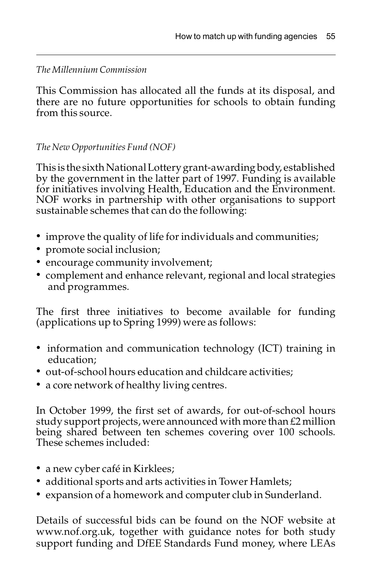#### *The Millennium Commission*

This Commission has allocated all the funds at its disposal, and there are no future opportunities for schools to obtain funding from this source.

#### *The New Opportunities Fund (NOF)*

This is the sixth National Lottery grant-awarding body, established by the government in the latter part of 1997. Funding is available for initiatives involving Health, Education and the Environment. NOF works in partnership with other organisations to support sustainable schemes that can do the following:

- improve the quality of life for individuals and communities;
- promote social inclusion;
- encourage community involvement;
- complement and enhance relevant, regional and local strategies and programmes.

The first three initiatives to become available for funding (applications up to Spring 1999) were as follows:

- information and communication technology (ICT) training in education;
- out-of-school hours education and childcare activities;
- a core network of healthy living centres.

In October 1999, the first set of awards, for out-of-school hours study support projects, were announced with more than £2 million being shared between ten schemes covering over 100 schools. These schemes included:

- a new cyber café in Kirklees;
- additional sports and arts activities in Tower Hamlets;
- expansion of a homework and computer club in Sunderland.

Details of successful bids can be found on the NOF website at www.nof.org.uk, together with guidance notes for both study support funding and DfEE Standards Fund money, where LEAs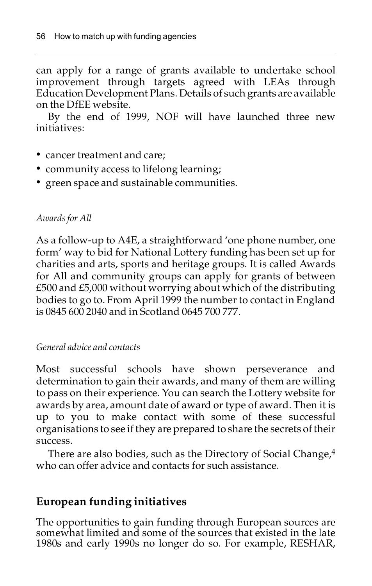can apply for a range of grants available to undertake school improvement through targets agreed with LEAs through Education Development Plans. Details of such grants are available on the DfEE website.

By the end of 1999, NOF will have launched three new initiatives:

- cancer treatment and care;
- community access to lifelong learning;
- green space and sustainable communities.

#### *Awards for All*

As a follow-up to A4E, a straightforward 'one phone number, one form' way to bid for National Lottery funding has been set up for charities and arts, sports and heritage groups. It is called Awards for All and community groups can apply for grants of between £500 and £5,000 without worrying about which of the distributing bodies to go to. From April 1999 the number to contact in England is 0845 600 2040 and in Scotland 0645 700 777.

#### *General advice and contacts*

Most successful schools have shown perseverance and determination to gain their awards, and many of them are willing to pass on their experience. You can search the Lottery website for awards by area, amount date of award or type of award. Then it is up to you to make contact with some of these successful organisations to see if they are prepared to share the secrets of their success.

There are also bodies, such as the Directory of Social Change,<sup>4</sup> who can offer advice and contacts for such assistance.

## **European funding initiatives**

The opportunities to gain funding through European sources are somewhat limited and some of the sources that existed in the late 1980s and early 1990s no longer do so. For example, RESHAR,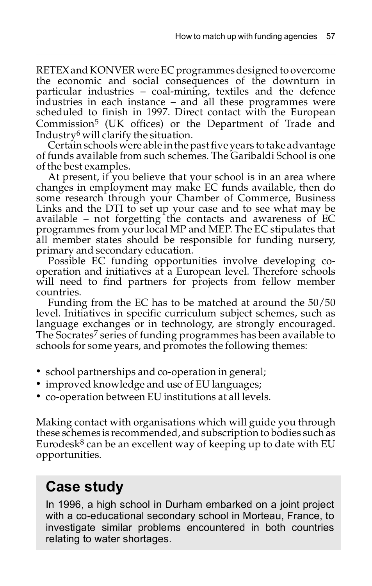RETEX and KONVER were EC programmes designed to overcome the economic and social consequences of the downturn in particular industries – coal-mining, textiles and the defence industries in each instance – and all these programmes were scheduled to finish in 1997. Direct contact with the European Commission5 (UK offices) or the Department of Trade and Industry6 will clarify the situation.

Certain schools were able in the past five years to take advantage of funds available from such schemes. The Garibaldi School is one of the best examples.

At present, if you believe that your school is in an area where changes in employment may make EC funds available, then do some research through your Chamber of Commerce, Business Links and the DTI to set up your case and to see what may be available – not forgetting the contacts and awareness of EC programmes from your local MP and MEP. The EC stipulates that all member states should be responsible for funding nursery, primary and secondary education.

Possible EC funding opportunities involve developing cooperation and initiatives at a European level. Therefore schools will need to find partners for projects from fellow member countries.

Funding from the EC has to be matched at around the 50/50 level. Initiatives in specific curriculum subject schemes, such as language exchanges or in technology, are strongly encouraged. The Socrates<sup>7</sup> series of funding programmes has been available to schools for some years, and promotes the following themes:

- school partnerships and co-operation in general;
- improved knowledge and use of EU languages;
- co-operation between EU institutions at all levels.

Making contact with organisations which will guide you through these schemes is recommended, and subscription to bodies such as Eurodesk $8$  can be an excellent way of keeping up to date with EU opportunities.

## **Case study**

In 1996, a high school in Durham embarked on a joint project with a co-educational secondary school in Morteau, France, to investigate similar problems encountered in both countries relating to water shortages.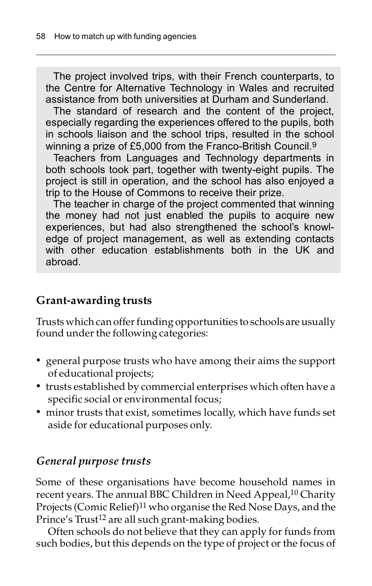The project involved trips, with their French counterparts, to the Centre for Alternative Technology in Wales and recruited assistance from both universities at Durham and Sunderland.

The standard of research and the content of the project, especially regarding the experiences offered to the pupils, both in schools liaison and the school trips, resulted in the school winning a prize of £5,000 from the Franco-British Council.<sup>9</sup>

Teachers from Languages and Technology departments in both schools took part, together with twenty-eight pupils. The project is still in operation, and the school has also enjoyed a trip to the House of Commons to receive their prize.

The teacher in charge of the project commented that winning the money had not just enabled the pupils to acquire new experiences, but had also strengthened the school's knowledge of project management, as well as extending contacts with other education establishments both in the UK and abroad.

## **Grant-awarding trusts**

Trusts which can offer funding opportunities to schools are usually found under the following categories:

- general purpose trusts who have among their aims the support of educational projects;
- trusts established by commercial enterprises which often have a specific social or environmental focus;
- minor trusts that exist, sometimes locally, which have funds set aside for educational purposes only.

## *General purpose trusts*

Some of these organisations have become household names in recent years. The annual BBC Children in Need Appeal,<sup>10</sup> Charity Projects (Comic Relief)<sup>11</sup> who organise the Red Nose Days, and the Prince's Trust<sup>12</sup> are all such grant-making bodies.

Often schools do not believe that they can apply for funds from such bodies, but this depends on the type of project or the focus of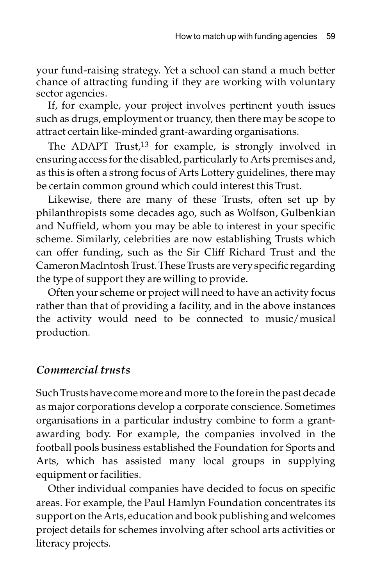your fund-raising strategy. Yet a school can stand a much better chance of attracting funding if they are working with voluntary sector agencies.

If, for example, your project involves pertinent youth issues such as drugs, employment or truancy, then there may be scope to attract certain like-minded grant-awarding organisations.

The ADAPT Trust,<sup>13</sup> for example, is strongly involved in ensuring access for the disabled, particularly to Arts premises and, as this is often a strong focus of Arts Lottery guidelines, there may be certain common ground which could interest this Trust.

Likewise, there are many of these Trusts, often set up by philanthropists some decades ago, such as Wolfson, Gulbenkian and Nuffield, whom you may be able to interest in your specific scheme. Similarly, celebrities are now establishing Trusts which can offer funding, such as the Sir Cliff Richard Trust and the Cameron MacIntosh Trust. These Trusts are very specific regarding the type of support they are willing to provide.

Often your scheme or project will need to have an activity focus rather than that of providing a facility, and in the above instances the activity would need to be connected to music/musical production.

## *Commercial trusts*

Such Trusts have come more and more to the fore in the past decade as major corporations develop a corporate conscience. Sometimes organisations in a particular industry combine to form a grantawarding body. For example, the companies involved in the football pools business established the Foundation for Sports and Arts, which has assisted many local groups in supplying equipment or facilities.

Other individual companies have decided to focus on specific areas. For example, the Paul Hamlyn Foundation concentrates its support on the Arts, education and book publishing and welcomes project details for schemes involving after school arts activities or literacy projects.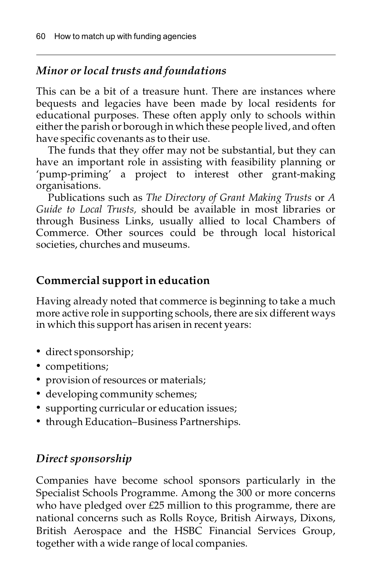## *Minor or local trusts and foundations*

This can be a bit of a treasure hunt. There are instances where bequests and legacies have been made by local residents for educational purposes. These often apply only to schools within either the parish or borough in which these people lived, and often have specific covenants as to their use.

The funds that they offer may not be substantial, but they can have an important role in assisting with feasibility planning or 'pump-priming' a project to interest other grant-making organisations.

Publications such as *The Directory of Grant Making Trusts* or *A Guide to Local Trusts,* should be available in most libraries or through Business Links, usually allied to local Chambers of Commerce. Other sources could be through local historical societies, churches and museums.

## **Commercial support in education**

Having already noted that commerce is beginning to take a much more active role in supporting schools, there are six different ways in which this support has arisen in recent years:

- direct sponsorship;
- competitions;
- provision of resources or materials;
- developing community schemes;
- supporting curricular or education issues;
- through Education–Business Partnerships.

## *Direct sponsorship*

Companies have become school sponsors particularly in the Specialist Schools Programme. Among the 300 or more concerns who have pledged over £25 million to this programme, there are national concerns such as Rolls Royce, British Airways, Dixons, British Aerospace and the HSBC Financial Services Group, together with a wide range of local companies.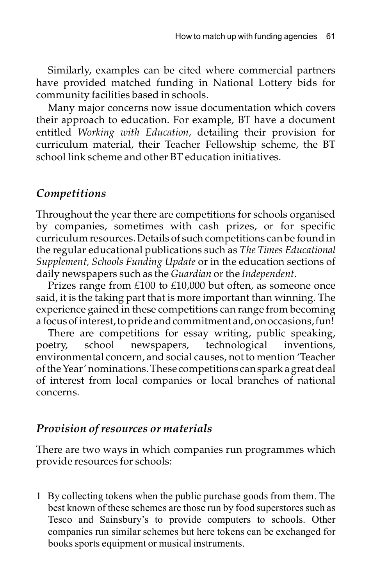Similarly, examples can be cited where commercial partners have provided matched funding in National Lottery bids for community facilities based in schools.

Many major concerns now issue documentation which covers their approach to education. For example, BT have a document entitled *Working with Education,* detailing their provision for curriculum material, their Teacher Fellowship scheme, the BT school link scheme and other BT education initiatives.

#### *Competitions*

Throughout the year there are competitions for schools organised by companies, sometimes with cash prizes, or for specific curriculum resources. Details of such competitions can be found in the regular educational publications such as *The Times Educational Supplement, Schools Funding Update* or in the education sections of daily newspapers such as the *Guardian* or the *Independent.* 

Prizes range from £100 to £10,000 but often, as someone once said, it is the taking part that is more important than winning. The experience gained in these competitions can range from becoming a focus of interest, to pride and commitment and, on occasions, fun!

There are competitions for essay writing, public speaking, eetry, school newspapers, technological inventions, poetry, school newspapers, technological inventions, environmental concern, and social causes, not to mention 'Teacher of the Year' nominations. These competitions can spark a great deal of interest from local companies or local branches of national concerns.

### *Provision of resources or materials*

There are two ways in which companies run programmes which provide resources for schools:

1 By collecting tokens when the public purchase goods from them. The best known of these schemes are those run by food superstores such as Tesco and Sainsbury's to provide computers to schools. Other companies run similar schemes but here tokens can be exchanged for books sports equipment or musical instruments.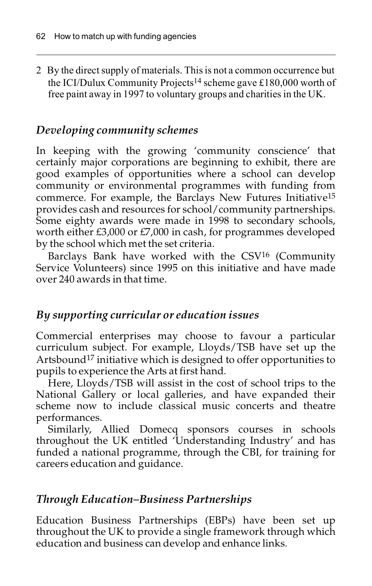2 By the direct supply of materials. This is not a common occurrence but the ICI/Dulux Community Projects14 scheme gave £180,000 worth of free paint away in 1997 to voluntary groups and charities in the UK.

### *Developing community schemes*

In keeping with the growing 'community conscience' that certainly major corporations are beginning to exhibit, there are good examples of opportunities where a school can develop community or environmental programmes with funding from commerce. For example, the Barclays New Futures Initiative15 provides cash and resources for school/community partnerships. Some eighty awards were made in 1998 to secondary schools, worth either £3,000 or £7,000 in cash, for programmes developed by the school which met the set criteria.

Barclays Bank have worked with the CSV16 (Community Service Volunteers) since 1995 on this initiative and have made over 240 awards in that time.

#### *By supporting curricular or education issues*

Commercial enterprises may choose to favour a particular curriculum subject. For example, Lloyds/TSB have set up the Artsbound<sup>17</sup> initiative which is designed to offer opportunities to pupils to experience the Arts at first hand.

Here, Lloyds/TSB will assist in the cost of school trips to the National Gallery or local galleries, and have expanded their scheme now to include classical music concerts and theatre performances.

Similarly, Allied Domecq sponsors courses in schools throughout the UK entitled 'Understanding Industry' and has funded a national programme, through the CBI, for training for careers education and guidance.

#### *Through Education–Business Partnerships*

Education Business Partnerships (EBPs) have been set up throughout the UK to provide a single framework through which education and business can develop and enhance links.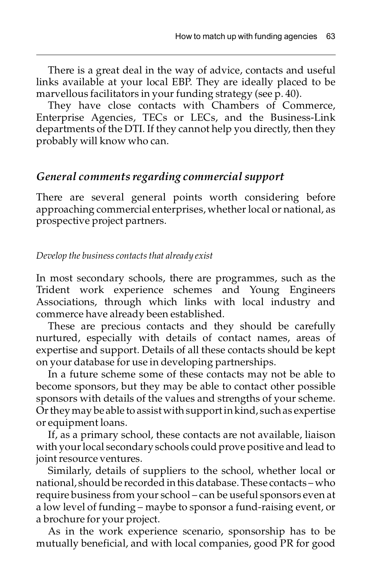There is a great deal in the way of advice, contacts and useful links available at your local EBP. They are ideally placed to be marvellous facilitators in your funding strategy (see p. 40).

They have close contacts with Chambers of Commerce, Enterprise Agencies, TECs or LECs, and the Business-Link departments of the DTI. If they cannot help you directly, then they probably will know who can.

#### *General comments regarding commercial support*

There are several general points worth considering before approaching commercial enterprises, whether local or national, as prospective project partners.

#### *Develop the business contacts that already exist*

In most secondary schools, there are programmes, such as the Trident work experience schemes and Young Engineers Associations, through which links with local industry and commerce have already been established.

These are precious contacts and they should be carefully nurtured, especially with details of contact names, areas of expertise and support. Details of all these contacts should be kept on your database for use in developing partnerships.

In a future scheme some of these contacts may not be able to become sponsors, but they may be able to contact other possible sponsors with details of the values and strengths of your scheme. Or they may be able to assist with support in kind, such as expertise or equipment loans.

If, as a primary school, these contacts are not available, liaison with your local secondary schools could prove positive and lead to joint resource ventures.

Similarly, details of suppliers to the school, whether local or national, should be recorded in this database. These contacts – who require business from your school – can be useful sponsors even at a low level of funding – maybe to sponsor a fund-raising event, or a brochure for your project.

As in the work experience scenario, sponsorship has to be mutually beneficial, and with local companies, good PR for good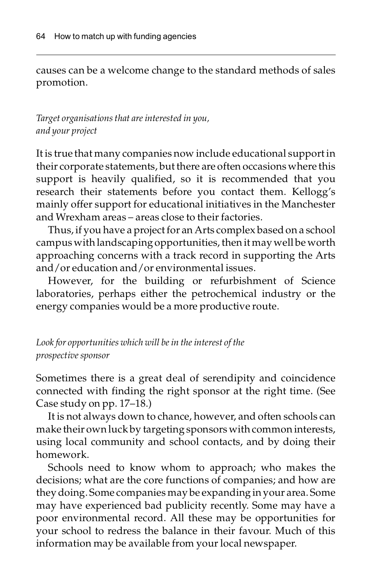causes can be a welcome change to the standard methods of sales promotion.

*Target organisations that are interested in you, and your project* 

It is true that many companies now include educational support in their corporate statements, but there are often occasions where this support is heavily qualified, so it is recommended that you research their statements before you contact them. Kellogg's mainly offer support for educational initiatives in the Manchester and Wrexham areas – areas close to their factories.

Thus, if you have a project for an Arts complex based on a school campus with landscaping opportunities, then it may well be worth approaching concerns with a track record in supporting the Arts and/or education and/or environmental issues.

However, for the building or refurbishment of Science laboratories, perhaps either the petrochemical industry or the energy companies would be a more productive route.

*Look for opportunities which will be in the interest of the prospective sponsor* 

Sometimes there is a great deal of serendipity and coincidence connected with finding the right sponsor at the right time. (See Case study on pp. 17–18.)

It is not always down to chance, however, and often schools can make their own luck by targeting sponsors with common interests, using local community and school contacts, and by doing their homework.

Schools need to know whom to approach; who makes the decisions; what are the core functions of companies; and how are they doing. Some companies may be expanding in your area. Some may have experienced bad publicity recently. Some may have a poor environmental record. All these may be opportunities for your school to redress the balance in their favour. Much of this information may be available from your local newspaper.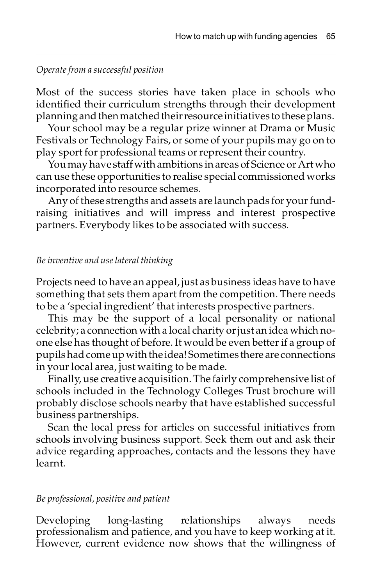#### *Operate from a successful position*

Most of the success stories have taken place in schools who identified their curriculum strengths through their development planning and then matched their resource initiatives to these plans.

Your school may be a regular prize winner at Drama or Music Festivals or Technology Fairs, or some of your pupils may go on to play sport for professional teams or represent their country.

You may have staff with ambitions in areas of Science or Art who can use these opportunities to realise special commissioned works incorporated into resource schemes.

Any of these strengths and assets are launch pads for your fundraising initiatives and will impress and interest prospective partners. Everybody likes to be associated with success.

#### *Be inventive and use lateral thinking*

Projects need to have an appeal, just as business ideas have to have something that sets them apart from the competition. There needs to be a 'special ingredient' that interests prospective partners.

This may be the support of a local personality or national celebrity; a connection with a local charity or just an idea which noone else has thought of before. It would be even better if a group of pupils had come up with the idea! Sometimes there are connections in your local area, just waiting to be made.

Finally, use creative acquisition. The fairly comprehensive list of schools included in the Technology Colleges Trust brochure will probably disclose schools nearby that have established successful business partnerships.

Scan the local press for articles on successful initiatives from schools involving business support. Seek them out and ask their advice regarding approaches, contacts and the lessons they have learnt.

#### *Be professional, positive and patient*

Developing long-lasting relationships always needs professionalism and patience, and you have to keep working at it. However, current evidence now shows that the willingness of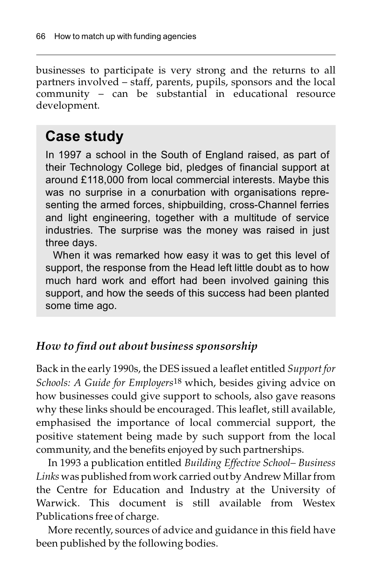businesses to participate is very strong and the returns to all partners involved – staff, parents, pupils, sponsors and the local  $community$  – can be substantial in educational resource development.

# **Case study**

In 1997 a school in the South of England raised, as part of their Technology College bid, pledges of financial support at around £118,000 from local commercial interests. Maybe this was no surprise in a conurbation with organisations representing the armed forces, shipbuilding, cross-Channel ferries and light engineering, together with a multitude of service industries. The surprise was the money was raised in just three days.

When it was remarked how easy it was to get this level of support, the response from the Head left little doubt as to how much hard work and effort had been involved gaining this support, and how the seeds of this success had been planted some time ago.

# *How to find out about business sponsorship*

Back in the early 1990s, the DES issued a leaflet entitled *Support for Schools: A Guide for Employers*18 which, besides giving advice on how businesses could give support to schools, also gave reasons why these links should be encouraged. This leaflet, still available, emphasised the importance of local commercial support, the positive statement being made by such support from the local community, and the benefits enjoyed by such partnerships.

In 1993 a publication entitled *Building Effective School– Business Links* was published from work carried out by Andrew Millar from the Centre for Education and Industry at the University of Warwick. This document is still available from Westex Publications free of charge.

More recently, sources of advice and guidance in this field have been published by the following bodies.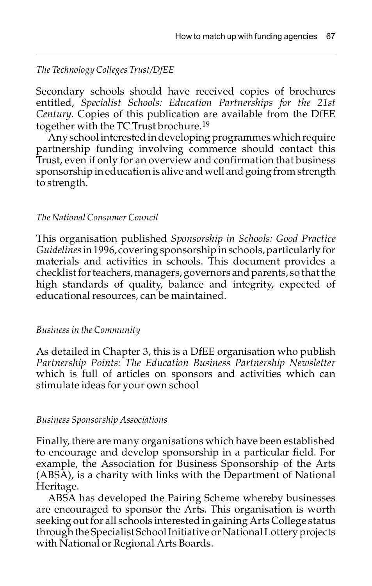#### *The Technology Colleges Trust/DfEE*

Secondary schools should have received copies of brochures entitled, *Specialist Schools: Education Partnerships for the 21st Century.* Copies of this publication are available from the DfEE together with the TC Trust brochure.19

Any school interested in developing programmes which require partnership funding involving commerce should contact this Trust, even if only for an overview and confirmation that business sponsorship in education is alive and well and going from strength to strength.

#### *The National Consumer Council*

This organisation published *Sponsorship in Schools: Good Practice Guidelines* in 1996, covering sponsorship in schools, particularly for materials and activities in schools. This document provides a checklist for teachers, managers, governors and parents, so that the high standards of quality, balance and integrity, expected of educational resources, can be maintained.

#### *Business in the Community*

As detailed in Chapter 3, this is a DfEE organisation who publish *Partnership Points: The Education Business Partnership Newsletter* which is full of articles on sponsors and activities which can stimulate ideas for your own school

#### *Business Sponsorship Associations*

Finally, there are many organisations which have been established to encourage and develop sponsorship in a particular field. For example, the Association for Business Sponsorship of the Arts (ABSA), is a charity with links with the Department of National Heritage.

ABSA has developed the Pairing Scheme whereby businesses are encouraged to sponsor the Arts. This organisation is worth seeking out for all schools interested in gaining Arts College status through the Specialist School Initiative or National Lottery projects with National or Regional Arts Boards.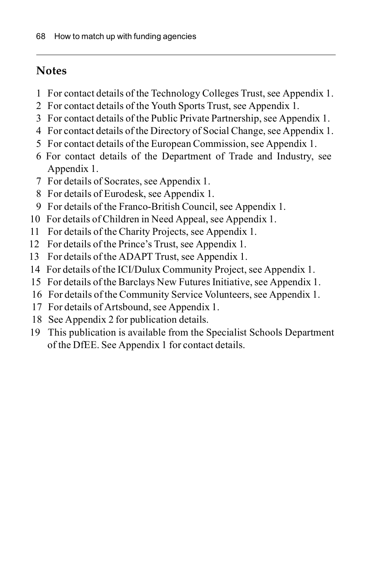# **Notes**

- 1 For contact details of the Technology Colleges Trust, see Appendix 1.
- 2 For contact details of the Youth Sports Trust, see Appendix 1.
- 3 For contact details of the Public Private Partnership, see Appendix 1.
- 4 For contact details of the Directory of Social Change, see Appendix 1.
- 5 For contact details of the European Commission, see Appendix 1.
- 6 For contact details of the Department of Trade and Industry, see Appendix 1.
- 7 For details of Socrates, see Appendix 1.
- 8 For details of Eurodesk, see Appendix 1.
- 9 For details of the Franco-British Council, see Appendix 1.
- 10 For details of Children in Need Appeal, see Appendix 1.
- 11 For details of the Charity Projects, see Appendix 1.
- 12 For details of the Prince's Trust, see Appendix 1.
- 13 For details of the ADAPT Trust, see Appendix 1.
- 14 For details of the ICI/Dulux Community Project, see Appendix 1.
- 15 For details of the Barclays New Futures Initiative, see Appendix 1.
- 16 For details of the Community Service Volunteers, see Appendix 1.
- 17 For details of Artsbound, see Appendix 1.
- 18 See Appendix 2 for publication details.
- 19 This publication is available from the Specialist Schools Department of the DfEE. See Appendix 1 for contact details.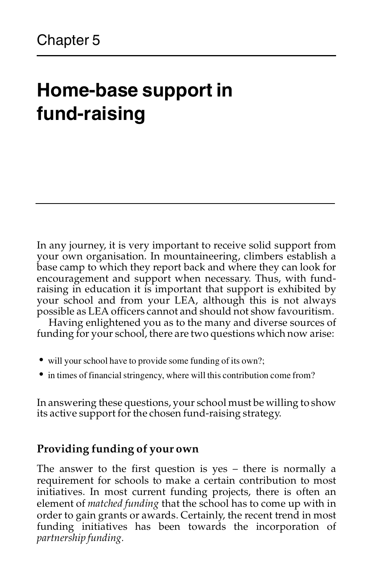# **Home-base support in fund-raising**

In any journey, it is very important to receive solid support from your own organisation. In mountaineering, climbers establish a base camp to which they report back and where they can look for encouragement and support when necessary. Thus, with fundraising in education it is important that support is exhibited by your school and from your LEA, although this is not always possible as LEA officers cannot and should not show favouritism.

Having enlightened you as to the many and diverse sources of funding for your school, there are two questions which now arise:

- will your school have to provide some funding of its own?;
- in times of financial stringency, where will this contribution come from?

In answering these questions, your school must be willing to show its active support for the chosen fund-raising strategy.

#### **Providing funding of your own**

The answer to the first question is yes – there is normally a requirement for schools to make a certain contribution to most initiatives. In most current funding projects, there is often an element of *matched funding* that the school has to come up with in order to gain grants or awards. Certainly, the recent trend in most funding initiatives has been towards the incorporation of *partnership funding.*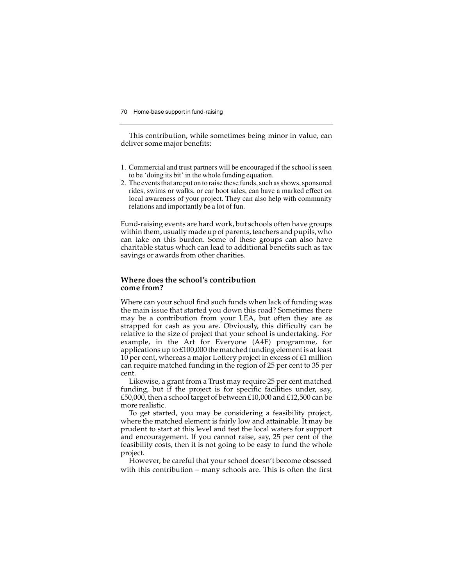This contribution, while sometimes being minor in value, can deliver some major benefits:

- 1. Commercial and trust partners will be encouraged if the school is seen to be 'doing its bit' in the whole funding equation.
- 2. The events that are put on to raise these funds, such as shows, sponsored rides, swims or walks, or car boot sales, can have a marked effect on local awareness of your project. They can also help with community relations and importantly be a lot of fun.

Fund-raising events are hard work, but schools often have groups within them, usually made up of parents, teachers and pupils, who can take on this burden. Some of these groups can also have charitable status which can lead to additional benefits such as tax savings or awards from other charities.

#### **Where does the school's contribution come from?**

Where can your school find such funds when lack of funding was the main issue that started you down this road? Sometimes there may be a contribution from your LEA, but often they are as strapped for cash as you are. Obviously, this difficulty can be relative to the size of project that your school is undertaking. For example, in the Art for Everyone (A4E) programme, for applications up to £100,000 the matched funding element is at least 10 per cent, whereas a major Lottery project in excess of £1 million can require matched funding in the region of 25 per cent to 35 per cent.

Likewise, a grant from a Trust may require 25 per cent matched funding, but if the project is for specific facilities under, say, £50,000, then a school target of between £10,000 and £12,500 can be more realistic.

To get started, you may be considering a feasibility project, where the matched element is fairly low and attainable. It may be prudent to start at this level and test the local waters for support and encouragement. If you cannot raise, say, 25 per cent of the feasibility costs, then it is not going to be easy to fund the whole project.

However, be careful that your school doesn't become obsessed with this contribution – many schools are. This is often the first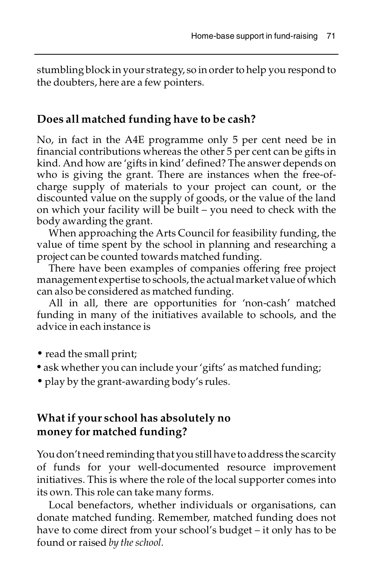stumbling block in your strategy, so in order to help you respond to the doubters, here are a few pointers.

#### **Does all matched funding have to be cash?**

No, in fact in the A4E programme only 5 per cent need be in financial contributions whereas the other 5 per cent can be gifts in kind. And how are 'gifts in kind' defined? The answer depends on who is giving the grant. There are instances when the free-ofcharge supply of materials to your project can count, or the discounted value on the supply of goods, or the value of the land on which your facility will be built – you need to check with the body awarding the grant.

When approaching the Arts Council for feasibility funding, the value of time spent by the school in planning and researching a project can be counted towards matched funding.

There have been examples of companies offering free project management expertise to schools, the actualmarket value of which can also be considered as matched funding.

All in all, there are opportunities for 'non-cash' matched funding in many of the initiatives available to schools, and the advice in each instance is

- read the small print;
- ask whether you can include your 'gifts' as matched funding;
- play by the grant-awarding body's rules.

#### **What if your school has absolutely no money for matched funding?**

You don't need reminding that you still have to address the scarcity of funds for your well-documented resource improvement initiatives. This is where the role of the local supporter comes into its own. This role can take many forms.

Local benefactors, whether individuals or organisations, can donate matched funding. Remember, matched funding does not have to come direct from your school's budget – it only has to be found or raised *by the school.*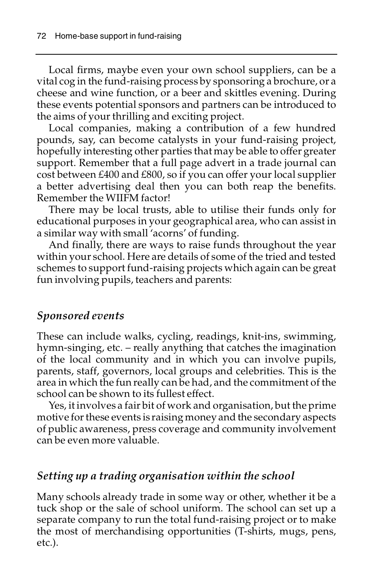Local firms, maybe even your own school suppliers, can be a vital cog in the fund-raising process by sponsoring a brochure, or a cheese and wine function, or a beer and skittles evening. During these events potential sponsors and partners can be introduced to the aims of your thrilling and exciting project.

Local companies, making a contribution of a few hundred pounds, say, can become catalysts in your fund-raising project, hopefully interesting other parties that may be able to offer greater support. Remember that a full page advert in a trade journal can cost between £400 and £800, so if you can offer your local supplier a better advertising deal then you can both reap the benefits. Remember the WIIFM factor!

There may be local trusts, able to utilise their funds only for educational purposes in your geographical area, who can assist in a similar way with small 'acorns' of funding.

And finally, there are ways to raise funds throughout the year within your school. Here are details of some of the tried and tested schemes to support fund-raising projects which again can be great fun involving pupils, teachers and parents:

# *Sponsored events*

These can include walks, cycling, readings, knit-ins, swimming, hymn-singing, etc. – really anything that catches the imagination of the local community and in which you can involve pupils, parents, staff, governors, local groups and celebrities. This is the area in which the fun really can be had, and the commitment of the school can be shown to its fullest effect.

Yes, it involves a fair bit of work and organisation, but the prime motive for these events is raising money and the secondary aspects of public awareness, press coverage and community involvement can be even more valuable.

#### *Setting up a trading organisation within the school*

Many schools already trade in some way or other, whether it be a tuck shop or the sale of school uniform. The school can set up a separate company to run the total fund-raising project or to make the most of merchandising opportunities (T-shirts, mugs, pens, etc.).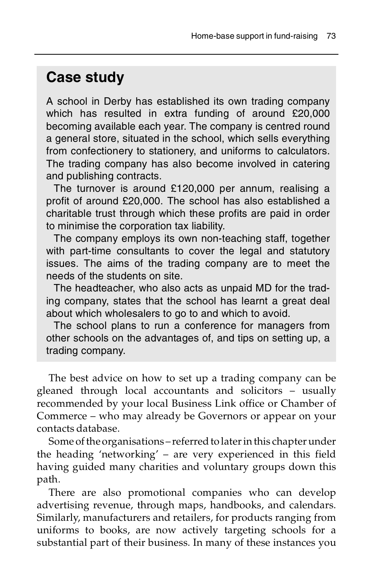# **Case study**

A school in Derby has established its own trading company which has resulted in extra funding of around £20,000 becoming available each year. The company is centred round a general store, situated in the school, which sells everything from confectionery to stationery, and uniforms to calculators. The trading company has also become involved in catering and publishing contracts.

The turnover is around £120,000 per annum, realising a profit of around £20,000. The school has also established a charitable trust through which these profits are paid in order to minimise the corporation tax liability.

The company employs its own non-teaching staff, together with part-time consultants to cover the legal and statutory issues. The aims of the trading company are to meet the needs of the students on site.

The headteacher, who also acts as unpaid MD for the trading company, states that the school has learnt a great deal about which wholesalers to go to and which to avoid.

The school plans to run a conference for managers from other schools on the advantages of, and tips on setting up, a trading company.

The best advice on how to set up a trading company can be gleaned through local accountants and solicitors – usually recommended by your local Business Link office or Chamber of Commerce – who may already be Governors or appear on your contacts database.

Some of the organisations – referred to later in this chapter under the heading 'networking' – are very experienced in this field having guided many charities and voluntary groups down this path.

There are also promotional companies who can develop advertising revenue, through maps, handbooks, and calendars. Similarly, manufacturers and retailers, for products ranging from uniforms to books, are now actively targeting schools for a substantial part of their business. In many of these instances you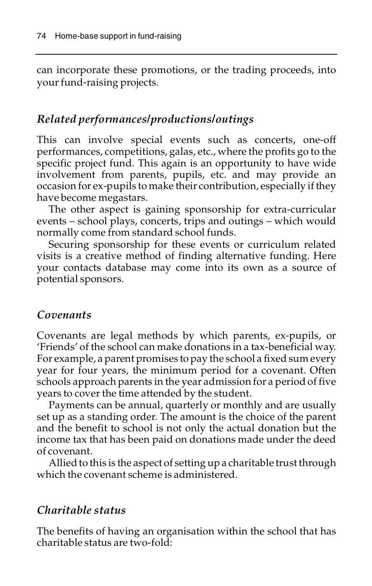can incorporate these promotions, or the trading proceeds, into your fund-raising projects.

#### *Related performances/productions/outings*

This can involve special events such as concerts, one-off performances, competitions, galas, etc., where the profits go to the specific project fund. This again is an opportunity to have wide involvement from parents, pupils, etc. and may provide an occasion for ex-pupils to make their contribution, especially if they have become megastars.

The other aspect is gaining sponsorship for extra-curricular events – school plays, concerts, trips and outings – which would normally come from standard school funds.

Securing sponsorship for these events or curriculum related visits is a creative method of finding alternative funding. Here your contacts database may come into its own as a source of potential sponsors.

#### *Covenants*

Covenants are legal methods by which parents, ex-pupils, or 'Friends' of the school can make donations in a tax-beneficial way. For example, a parent promises to pay the school a fixed sum every year for four years, the minimum period for a covenant. Often schools approach parents in the year admission for a period of five years to cover the time attended by the student.

Payments can be annual, quarterly or monthly and are usually set up as a standing order. The amount is the choice of the parent and the benefit to school is not only the actual donation but the income tax that has been paid on donations made under the deed of covenant.

Allied to this is the aspect of setting up a charitable trust through which the covenant scheme is administered.

#### *Charitable status*

The benefits of having an organisation within the school that has charitable status are two-fold: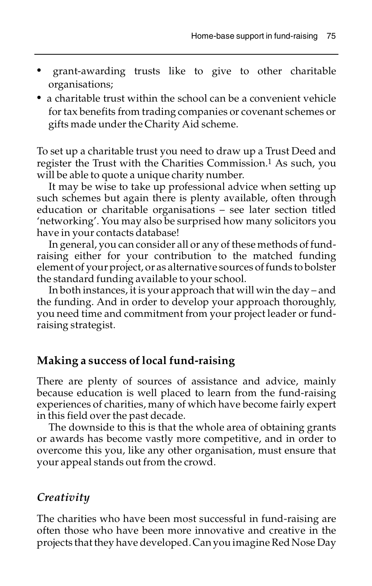- grant-awarding trusts like to give to other charitable organisations;
- a charitable trust within the school can be a convenient vehicle for tax benefits from trading companies or covenant schemes or gifts made under the Charity Aid scheme.

To set up a charitable trust you need to draw up a Trust Deed and register the Trust with the Charities Commission.<sup>1</sup> As such, you will be able to quote a unique charity number.

It may be wise to take up professional advice when setting up such schemes but again there is plenty available, often through education or charitable organisations – see later section titled 'networking'. You may also be surprised how many solicitors you have in your contacts database!

In general, you can consider all or any of these methods of fundraising either for your contribution to the matched funding element of your project, or as alternative sources of funds to bolster the standard funding available to your school.

In both instances, it is your approach that will win the day – and the funding. And in order to develop your approach thoroughly, you need time and commitment from your project leader or fundraising strategist.

#### **Making a success of local fund-raising**

There are plenty of sources of assistance and advice, mainly because education is well placed to learn from the fund-raising experiences of charities, many of which have become fairly expert in this field over the past decade.

The downside to this is that the whole area of obtaining grants or awards has become vastly more competitive, and in order to overcome this you, like any other organisation, must ensure that your appeal stands out from the crowd.

#### *Creativity*

The charities who have been most successful in fund-raising are often those who have been more innovative and creative in the projects that they have developed. Can you imagine Red Nose Day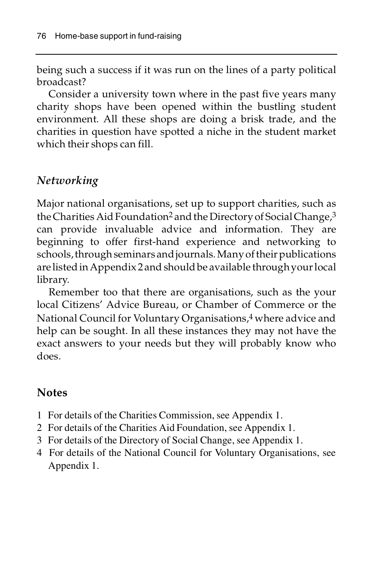being such a success if it was run on the lines of a party political broadcast?

Consider a university town where in the past five years many charity shops have been opened within the bustling student environment. All these shops are doing a brisk trade, and the charities in question have spotted a niche in the student market which their shops can fill.

# *Networking*

Major national organisations, set up to support charities, such as the Charities Aid Foundation<sup>2</sup> and the Directory of Social Change,<sup>3</sup> can provide invaluable advice and information. They are beginning to offer first-hand experience and networking to schools, through seminars and journals. Many of their publications are listed in Appendix 2 and should be available through your local library.

Remember too that there are organisations, such as the your local Citizens' Advice Bureau, or Chamber of Commerce or the National Council for Voluntary Organisations,<sup>4</sup> where advice and help can be sought. In all these instances they may not have the exact answers to your needs but they will probably know who does.

# **Notes**

- 1 For details of the Charities Commission, see Appendix 1.
- 2For details of the Charities Aid Foundation, see Appendix 1.
- 3 For details of the Directory of Social Change, see Appendix 1.
- 4 For details of the National Council for Voluntary Organisations, see Appendix 1.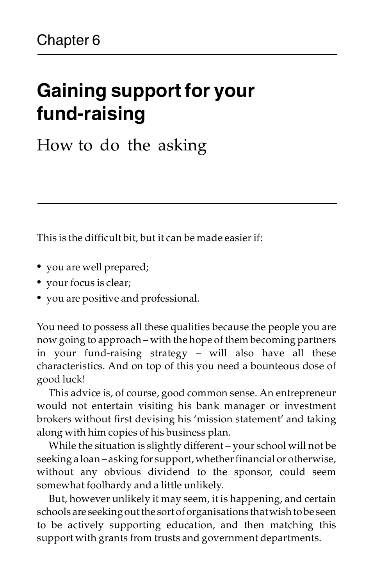# **Gaining support for your fund-raising**

How to do the asking

This is the difficult bit, but it can be made easier if:

- you are well prepared;
- your focus is clear;
- you are positive and professional.

You need to possess all these qualities because the people you are now going to approach – with the hope of them becoming partners in your fund-raising strategy – will also have all these characteristics. And on top of this you need a bounteous dose of good luck!

This advice is, of course, good common sense. An entrepreneur would not entertain visiting his bank manager or investment brokers without first devising his 'mission statement' and taking along with him copies of his business plan.

While the situation is slightly different – your school will not be seeking a loan – asking for support, whether financial or otherwise, without any obvious dividend to the sponsor, could seem somewhat foolhardy and a little unlikely.

But, however unlikely it may seem, it is happening, and certain schools are seeking out the sort of organisations thatwish to be seen to be actively supporting education, and then matching this support with grants from trusts and government departments.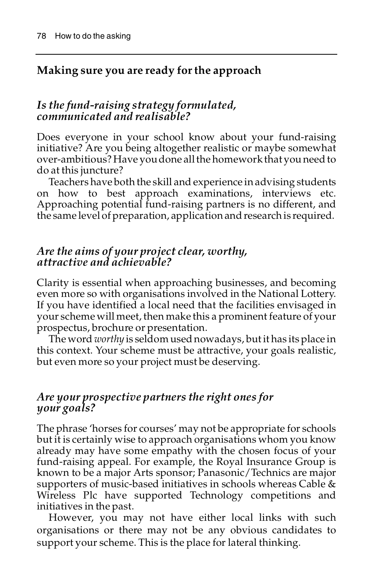## **Making sure you are ready for the approach**

#### *Is the fund-raising strategy formulated, communicated and realisable?*

Does everyone in your school know about your fund-raising initiative? Are you being altogether realistic or maybe somewhat over-ambitious? Have you done allthe homework that you need to do at this juncture?

Teachers have both the skill and experience in advising students on how to best approach examinations, interviews etc. Approaching potential fund-raising partners is no different, and the same level of preparation, application and research is required.

#### *Are the aims of your project clear, worthy, attractive and achievable?*

Clarity is essential when approaching businesses, and becoming even more so with organisations involved in the National Lottery. If you have identified a local need that the facilities envisaged in your scheme will meet, then make this a prominent feature of your prospectus, brochure or presentation.

The word *worthy* is seldom used nowadays, but it has its place in this context. Your scheme must be attractive, your goals realistic, but even more so your project must be deserving.

#### *Are your prospective partners the right ones for your goals?*

The phrase 'horses for courses' may not be appropriate for schools but it is certainly wise to approach organisations whom you know already may have some empathy with the chosen focus of your fund-raising appeal. For example, the Royal Insurance Group is known to be a major Arts sponsor; Panasonic/Technics are major supporters of music-based initiatives in schools whereas Cable & Wireless Plc have supported Technology competitions and initiatives in the past.

However, you may not have either local links with such organisations or there may not be any obvious candidates to support your scheme. This is the place for lateral thinking.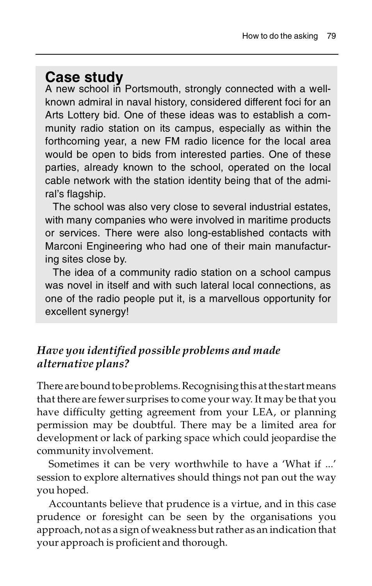# **Case study**

A new school in Portsmouth, strongly connected with a wellknown admiral in naval history, considered different foci for an Arts Lottery bid. One of these ideas was to establish a community radio station on its campus, especially as within the forthcoming year, a new FM radio licence for the local area would be open to bids from interested parties. One of these parties, already known to the school, operated on the local cable network with the station identity being that of the admiral's flagship.

The school was also very close to several industrial estates, with many companies who were involved in maritime products or services. There were also long-established contacts with Marconi Engineering who had one of their main manufacturing sites close by.

The idea of a community radio station on a school campus was novel in itself and with such lateral local connections, as one of the radio people put it, is a marvellous opportunity for excellent synergy!

# *Have you identified possible problems and made alternative plans?*

There are bound to be problems. Recognising this at the start means that there are fewer surprises to come your way. It may be that you have difficulty getting agreement from your LEA, or planning permission may be doubtful. There may be a limited area for development or lack of parking space which could jeopardise the community involvement.

Sometimes it can be very worthwhile to have a 'What if ...' session to explore alternatives should things not pan out the way you hoped.

Accountants believe that prudence is a virtue, and in this case prudence or foresight can be seen by the organisations you approach, not as a sign of weakness but rather as an indication that your approach is proficient and thorough.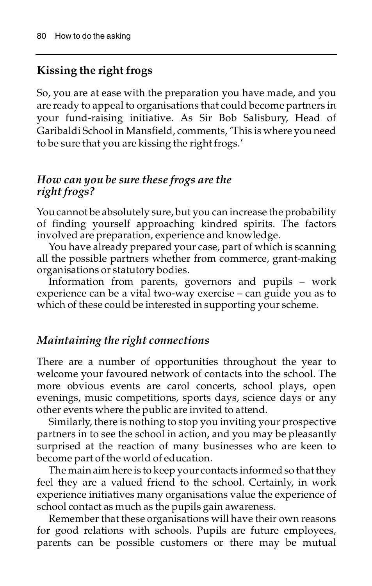## **Kissing the right frogs**

So, you are at ease with the preparation you have made, and you are ready to appeal to organisations that could become partners in your fund-raising initiative. As Sir Bob Salisbury, Head of Garibaldi School in Mansfield, comments, 'This is where you need to be sure that you are kissing the right frogs.'

#### *How can you be sure these frogs are the right frogs?*

You cannot be absolutely sure, but you can increase the probability of finding yourself approaching kindred spirits. The factors involved are preparation, experience and knowledge.

You have already prepared your case, part of which is scanning all the possible partners whether from commerce, grant-making organisations or statutory bodies.

Information from parents, governors and pupils – work experience can be a vital two-way exercise – can guide you as to which of these could be interested in supporting your scheme.

#### *Maintaining the right connections*

There are a number of opportunities throughout the year to welcome your favoured network of contacts into the school. The more obvious events are carol concerts, school plays, open evenings, music competitions, sports days, science days or any other events where the public are invited to attend.

Similarly, there is nothing to stop you inviting your prospective partners in to see the school in action, and you may be pleasantly surprised at the reaction of many businesses who are keen to become part of the world of education.

The main aim here is to keep your contacts informed so that they feel they are a valued friend to the school. Certainly, in work experience initiatives many organisations value the experience of school contact as much as the pupils gain awareness.

Remember that these organisations will have their own reasons for good relations with schools. Pupils are future employees, parents can be possible customers or there may be mutual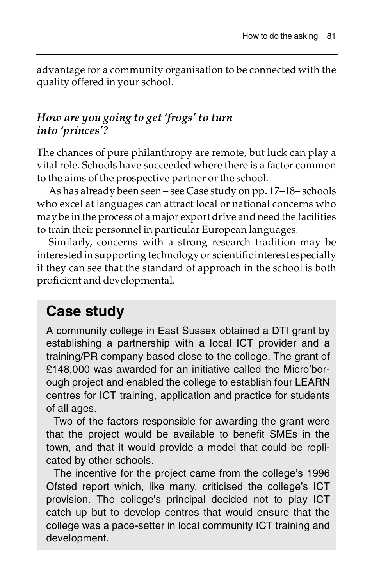advantage for a community organisation to be connected with the quality offered in your school.

### *How are you going to get 'frogs' to turn into 'princes'?*

The chances of pure philanthropy are remote, but luck can play a vital role. Schools have succeeded where there is a factor common to the aims of the prospective partner or the school.

As has already been seen – see Case study on pp. 17–18– schools who excel at languages can attract local or national concerns who may be in the process of a major export drive and need the facilities to train their personnel in particular European languages.

Similarly, concerns with a strong research tradition may be interested in supporting technology or scientific interest especially if they can see that the standard of approach in the school is both proficient and developmental.

# **Case study**

A community college in East Sussex obtained a DTI grant by establishing a partnership with a local ICT provider and a training/PR company based close to the college. The grant of £148,000 was awarded for an initiative called the Micro'borough project and enabled the college to establish four LEARN centres for ICT training, application and practice for students of all ages.

Two of the factors responsible for awarding the grant were that the project would be available to benefit SMEs in the town, and that it would provide a model that could be replicated by other schools.

The incentive for the project came from the college's 1996 Ofsted report which, like many, criticised the college's ICT provision. The college's principal decided not to play ICT catch up but to develop centres that would ensure that the college was a pace-setter in local community ICT training and development.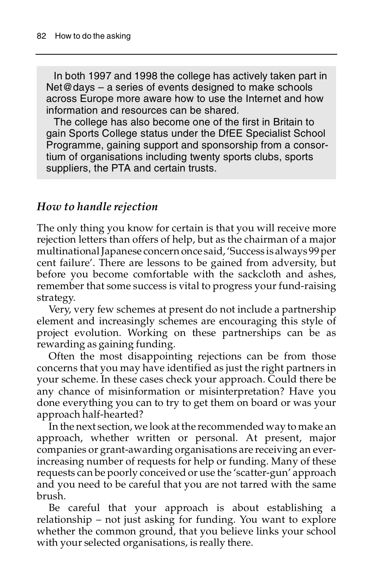In both 1997 and 1998 the college has actively taken part in Net@days – a series of events designed to make schools across Europe more aware how to use the Internet and how information and resources can be shared.

The college has also become one of the first in Britain to gain Sports College status under the DfEE Specialist School Programme, gaining support and sponsorship from a consortium of organisations including twenty sports clubs, sports suppliers, the PTA and certain trusts.

#### *How to handle rejection*

The only thing you know for certain is that you will receive more rejection letters than offers of help, but as the chairman of a major multinational Japanese concern once said, 'Success is always 99 per cent failure'. There are lessons to be gained from adversity, but before you become comfortable with the sackcloth and ashes, remember that some success is vital to progress your fund-raising strategy.

Very, very few schemes at present do not include a partnership element and increasingly schemes are encouraging this style of project evolution. Working on these partnerships can be as rewarding as gaining funding.

Often the most disappointing rejections can be from those concerns that you may have identified as just the right partners in your scheme. In these cases check your approach. Could there be any chance of misinformation or misinterpretation? Have you done everything you can to try to get them on board or was your approach half-hearted?

In the next section, we look at the recommended way to make an approach, whether written or personal. At present, major companies or grant-awarding organisations are receiving an everincreasing number of requests for help or funding. Many of these requests can be poorly conceived or use the 'scatter-gun' approach and you need to be careful that you are not tarred with the same brush.

Be careful that your approach is about establishing a relationship – not just asking for funding. You want to explore whether the common ground, that you believe links your school with your selected organisations, is really there.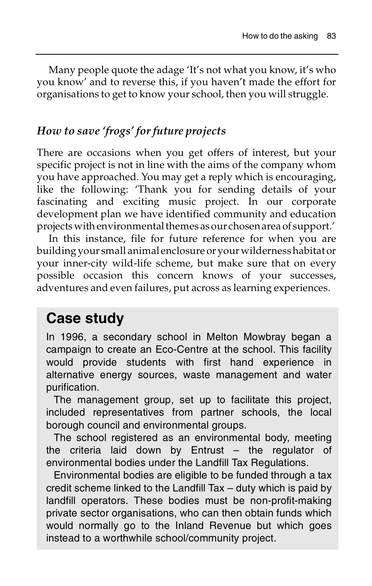Many people quote the adage 'It's not what you know, it's who you know' and to reverse this, if you haven't made the effort for organisations to get to know your school, then you will struggle.

# *How to save 'frogs' for future projects*

There are occasions when you get offers of interest, but your specific project is not in line with the aims of the company whom you have approached. You may get a reply which is encouraging, like the following: 'Thank you for sending details of your fascinating and exciting music project. In our corporate development plan we have identified community and education projects with environmental themes as our chosen area of support.'

In this instance, file for future reference for when you are building your small animalenclosure or your wilderness habitat or your inner-city wild-life scheme, but make sure that on every possible occasion this concern knows of your successes, adventures and even failures, put across as learning experiences.

# **Case study**

In 1996, a secondary school in Melton Mowbray began a campaign to create an Eco-Centre at the school. This facility would provide students with first hand experience in alternative energy sources, waste management and water purification.

The management group, set up to facilitate this project, included representatives from partner schools, the local borough council and environmental groups.

The school registered as an environmental body, meeting the criteria laid down by Entrust – the regulator of environmental bodies under the Landfill Tax Regulations.

Environmental bodies are eligible to be funded through a tax credit scheme linked to the Landfill Tax– duty which is paid by landfill operators. These bodies must be non-profit-making private sector organisations, who can then obtain funds which would normally go to the Inland Revenue but which goes instead to a worthwhile school/community project.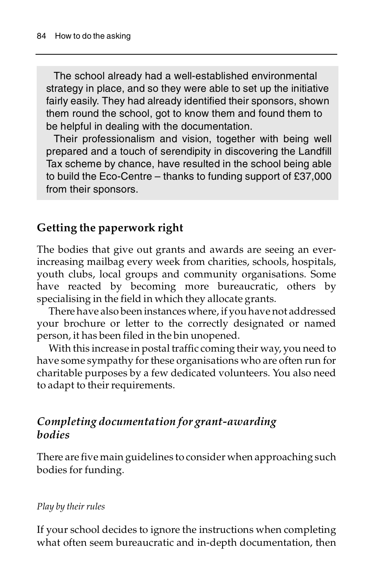The school already had a well-established environmental strategy in place, and so they were able to set up the initiative fairly easily. They had already identified their sponsors, shown them round the school, got to know them and found them to be helpful in dealing with the documentation.

Their professionalism and vision, together with being well prepared and a touch of serendipity in discovering the Landfill Tax scheme by chance, have resulted in the school being able to build the Eco-Centre – thanks to funding support of £37,000 from their sponsors.

## **Getting the paperwork right**

The bodies that give out grants and awards are seeing an everincreasing mailbag every week from charities, schools, hospitals, youth clubs, local groups and community organisations. Some have reacted by becoming more bureaucratic, others by specialising in the field in which they allocate grants.

There have also been instances where, if you have not addressed your brochure or letter to the correctly designated or named person, it has been filed in the bin unopened.

With this increase in postal traffic coming their way, you need to have some sympathy for these organisations who are often run for charitable purposes by a few dedicated volunteers. You also need to adapt to their requirements.

## *Completing documentation for grant-awarding bodies*

There are five main guidelines to consider when approaching such bodies for funding.

#### *Play by their rules*

If your school decides to ignore the instructions when completing what often seem bureaucratic and in-depth documentation, then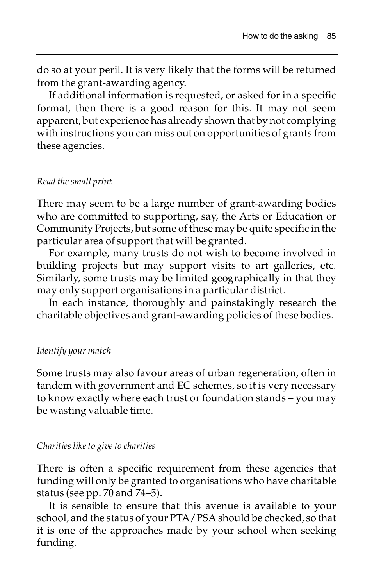do so at your peril. It is very likely that the forms will be returned from the grant-awarding agency.

If additional information is requested, or asked for in a specific format, then there is a good reason for this. It may not seem apparent, but experience has already shown that by not complying with instructions you can miss out on opportunities of grants from these agencies.

#### *Read the small print*

There may seem to be a large number of grant-awarding bodies who are committed to supporting, say, the Arts or Education or Community Projects, but some of these may be quite specific in the particular area of support that will be granted.

For example, many trusts do not wish to become involved in building projects but may support visits to art galleries, etc. Similarly, some trusts may be limited geographically in that they may only support organisations in a particular district.

In each instance, thoroughly and painstakingly research the charitable objectives and grant-awarding policies of these bodies.

#### *Identify your match*

Some trusts may also favour areas of urban regeneration, often in tandem with government and EC schemes, so it is very necessary to know exactly where each trust or foundation stands – you may be wasting valuable time.

#### *Charities like to give to charities*

There is often a specific requirement from these agencies that funding will only be granted to organisations who have charitable status (see pp. 70 and 74–5).

It is sensible to ensure that this avenue is available to your school, and the status of your PTA/PSA should be checked, so that it is one of the approaches made by your school when seeking funding.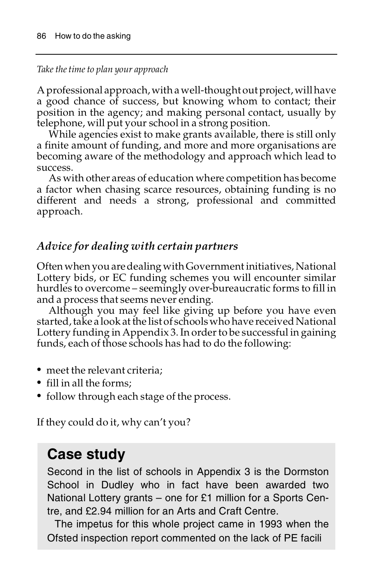#### *Take the time to plan your approach*

A professional approach, with a well-thought out project, willhave a good chance of success, but knowing whom to contact; their position in the agency; and making personal contact, usually by telephone, will put your school in a strong position.

While agencies exist to make grants available, there is still only a finite amount of funding, and more and more organisations are becoming aware of the methodology and approach which lead to success.

As with other areas of education where competition has become a factor when chasing scarce resources, obtaining funding is no different and needs a strong, professional and committed approach.

#### *Advice for dealing with certain partners*

Often when you are dealing with Government initiatives, National Lottery bids, or EC funding schemes you will encounter similar hurdles to overcome – seemingly over-bureaucratic forms to fill in and a process that seems never ending.

Although you may feel like giving up before you have even started, take a look at the list of schools who have received National Lottery funding in Appendix 3. In order to be successful in gaining funds, each of those schools has had to do the following:

- meet the relevant criteria;
- fill in all the forms:
- follow through each stage of the process.

If they could do it, why can't you?

# **Case study**

Second in the list of schools in Appendix 3 is the Dormston School in Dudley who in fact have been awarded two National Lottery grants – one for £1 million for a Sports Centre, and £2.94 million for an Arts and Craft Centre.

The impetus for this whole project came in 1993 when the Ofsted inspection report commented on the lack of PE facili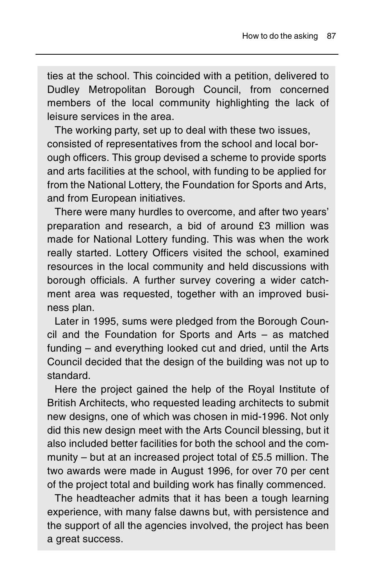ties at the school. This coincided with a petition, delivered to Dudley Metropolitan Borough Council, from concerned members of the local community highlighting the lack of leisure services in the area.

The working party, set up to deal with these two issues, consisted of representatives from the school and local borough officers. This group devised a scheme to provide sports and arts facilities at the school, with funding to be applied for from the National Lottery, the Foundation for Sports and Arts, and from European initiatives.

There were many hurdles to overcome, and after two years' preparation and research, a bid of around £3 million was made for National Lottery funding. This was when the work really started. Lottery Officers visited the school, examined resources in the local community and held discussions with borough officials. A further survey covering a wider catchment area was requested, together with an improved business plan.

Later in 1995, sums were pledged from the Borough Council and the Foundation for Sports and Arts – as matched funding – and everything looked cut and dried, until the Arts Council decided that the design of the building was not up to standard.

Here the project gained the help of the Royal Institute of British Architects, who requested leading architects to submit new designs, one of which was chosen in mid-1996. Not only did this new design meet with the Arts Council blessing, but it also included better facilities for both the school and the community – but at an increased project total of £5.5 million. The two awards were made in August 1996, for over 70 per cent of the project total and building work has finally commenced.

The headteacher admits that it has been a tough learning experience, with many false dawns but, with persistence and the support of all the agencies involved, the project has been a great success.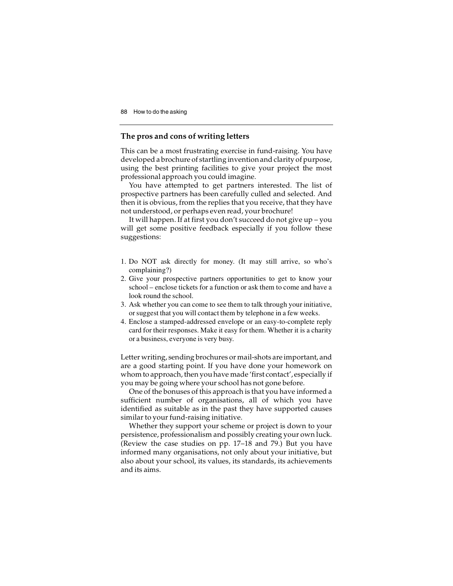### **The pros and cons of writing letters**

This can be a most frustrating exercise in fund-raising. You have developed a brochure of startling invention and clarity of purpose, using the best printing facilities to give your project the most professional approach you could imagine.

You have attempted to get partners interested. The list of prospective partners has been carefully culled and selected. And then it is obvious, from the replies that you receive, that they have not understood, or perhaps even read, your brochure!

It will happen. If at first you don't succeed do not give up – you will get some positive feedback especially if you follow these suggestions:

- 1. Do NOT ask directly for money. (It may still arrive, so who's complaining?)
- 2. Give your prospective partners opportunities to get to know your school – enclose tickets for a function or ask them to come and have a look round the school.
- 3. Ask whether you can come to see them to talk through your initiative, or suggest that you will contact them by telephone in a few weeks.
- 4. Enclose a stamped-addressed envelope or an easy-to-complete reply card for their responses. Make it easy for them. Whether it is a charity or a business, everyone is very busy.

Letter writing, sending brochures or mail-shots are important, and are a good starting point. If you have done your homework on whom to approach, then you have made 'first contact', especially if you may be going where your school has not gone before.

One of the bonuses of this approach is that you have informed a sufficient number of organisations, all of which you have identified as suitable as in the past they have supported causes similar to your fund-raising initiative.

Whether they support your scheme or project is down to your persistence, professionalism and possibly creating your own luck. (Review the case studies on pp. 17–18 and 79.) But you have informed many organisations, not only about your initiative, but also about your school, its values, its standards, its achievements and its aims.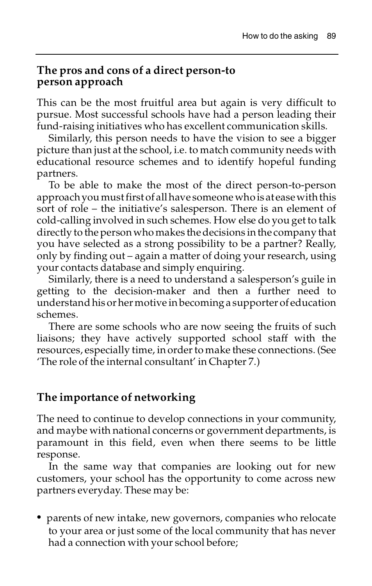#### **The pros and cons of a direct person-to person approach**

This can be the most fruitful area but again is very difficult to pursue. Most successful schools have had a person leading their fund-raising initiatives who has excellent communication skills.

Similarly, this person needs to have the vision to see a bigger picture than just at the school, i.e. to match community needs with educational resource schemes and to identify hopeful funding partners.

To be able to make the most of the direct person-to-person approach you must first of allhave someone who is atease with this sort of role – the initiative's salesperson. There is an element of cold-calling involved in such schemes. How else do you get to talk directly to the person who makes the decisions in the company that you have selected as a strong possibility to be a partner? Really, only by finding out – again a matter of doing your research, using your contacts database and simply enquiring.

Similarly, there is a need to understand a salesperson's guile in getting to the decision-maker and then a further need to understand his or her motive in becoming a supporter of education schemes.

There are some schools who are now seeing the fruits of such liaisons; they have actively supported school staff with the resources, especially time, in order to make these connections. (See 'The role of the internal consultant' in Chapter 7.)

#### **The importance of networking**

The need to continue to develop connections in your community, and maybe with national concerns or government departments, is paramount in this field, even when there seems to be little response.

In the same way that companies are looking out for new customers, your school has the opportunity to come across new partners everyday. These may be:

• parents of new intake, new governors, companies who relocate to your area or just some of the local community that has never had a connection with your school before;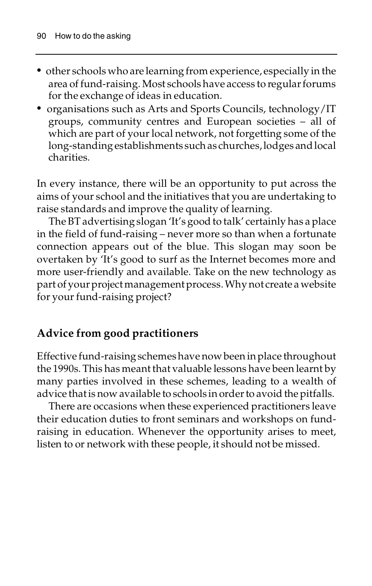- other schools who are learning from experience, especially in the area of fund-raising. Most schools have access to regular forums for the exchange of ideas in education.
- organisations such as Arts and Sports Councils, technology/IT groups, community centres and European societies – all of which are part of your local network, not forgetting some of the long-standing establishments such as churches, lodges and local charities.

In every instance, there will be an opportunity to put across the aims of your school and the initiatives that you are undertaking to raise standards and improve the quality of learning.

The BT advertising slogan 'It's good to talk' certainly has a place in the field of fund-raising – never more so than when a fortunate connection appears out of the blue. This slogan may soon be overtaken by 'It's good to surf as the Internet becomes more and more user-friendly and available. Take on the new technology as part of your project management process. Why not create a website for your fund-raising project?

#### **Advice from good practitioners**

Effective fund-raising schemes have now been in place throughout the 1990s. This has meant that valuable lessons have been learnt by many parties involved in these schemes, leading to a wealth of advice that is now available to schools in order to avoid the pitfalls.

There are occasions when these experienced practitioners leave their education duties to front seminars and workshops on fundraising in education. Whenever the opportunity arises to meet, listen to or network with these people, it should not be missed.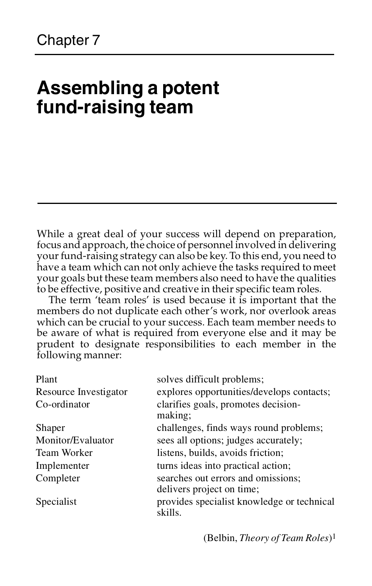# **Assembling a potent fund-raising team**

While a great deal of your success will depend on preparation, focus and approach, the choice of personnel involved in delivering your fund-raising strategy can also be key. To this end, you need to have a team which can not only achieve the tasks required to meet your goals but these team members also need to have the qualities to be effective, positive and creative in their specific team roles.

The term 'team roles' is used because it is important that the members do not duplicate each other's work, nor overlook areas which can be crucial to your success. Each team member needs to be aware of what is required from everyone else and it may be prudent to designate responsibilities to each member in the following manner:

| Plant                 | solves difficult problems;                                      |
|-----------------------|-----------------------------------------------------------------|
| Resource Investigator | explores opportunities/develops contacts;                       |
| Co-ordinator          | clarifies goals, promotes decision-<br>making;                  |
| Shaper                | challenges, finds ways round problems;                          |
| Monitor/Evaluator     | sees all options; judges accurately;                            |
| Team Worker           | listens, builds, avoids friction;                               |
| Implementer           | turns ideas into practical action;                              |
| Completer             | searches out errors and omissions;<br>delivers project on time; |
| Specialist            | provides specialist knowledge or technical<br>skills.           |

(Belbin, *Theory of Team Roles*)1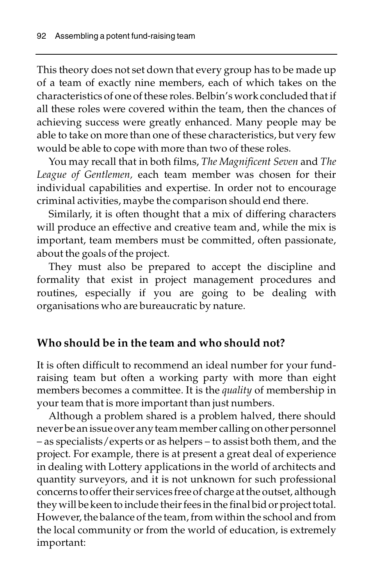This theory does not set down that every group has to be made up of a team of exactly nine members, each of which takes on the characteristics of one of these roles. Belbin's work concluded that if all these roles were covered within the team, then the chances of achieving success were greatly enhanced. Many people may be able to take on more than one of these characteristics, but very few would be able to cope with more than two of these roles.

You may recall that in both films, *The Magnificent Seven* and *The League of Gentlemen,* each team member was chosen for their individual capabilities and expertise. In order not to encourage criminal activities, maybe the comparison should end there.

Similarly, it is often thought that a mix of differing characters will produce an effective and creative team and, while the mix is important, team members must be committed, often passionate, about the goals of the project.

They must also be prepared to accept the discipline and formality that exist in project management procedures and routines, especially if you are going to be dealing with organisations who are bureaucratic by nature.

#### **Who should be in the team and who should not?**

It is often difficult to recommend an ideal number for your fundraising team but often a working party with more than eight members becomes a committee. It is the *quality* of membership in your team that is more important than just numbers.

Although a problem shared is a problem halved, there should never be an issue over any team member calling on other personnel – as specialists/experts or as helpers – to assist both them, and the project. For example, there is at present a great deal of experience in dealing with Lottery applications in the world of architects and quantity surveyors, and it is not unknown for such professional concerns to offer their services free of charge at the outset, although they will be keen to include their fees in the final bid or project total. However, the balance of the team, from within the school and from the local community or from the world of education, is extremely important: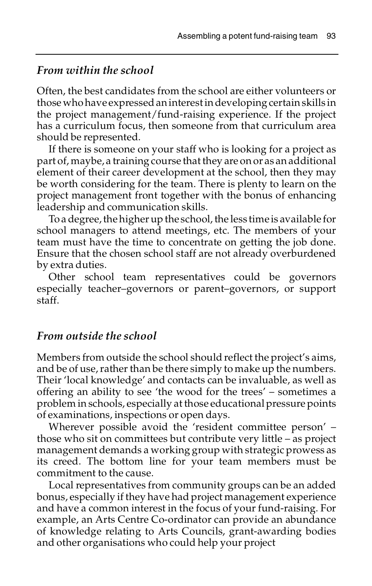#### *From within the school*

Often, the best candidates from the school are either volunteers or those who have expressed an interest in developing certain skills in the project management/fund-raising experience. If the project has a curriculum focus, then someone from that curriculum area should be represented.

If there is someone on your staff who is looking for a project as part of, maybe, a training course that they are on or as an additional element of their career development at the school, then they may be worth considering for the team. There is plenty to learn on the project management front together with the bonus of enhancing leadership and communication skills.

To a degree, the higher up the school, the less time is available for school managers to attend meetings, etc. The members of your team must have the time to concentrate on getting the job done. Ensure that the chosen school staff are not already overburdened by extra duties.

Other school team representatives could be governors especially teacher–governors or parent–governors, or support staff.

#### *From outside the school*

Members from outside the school should reflect the project's aims, and be of use, rather than be there simply to make up the numbers. Their 'local knowledge' and contacts can be invaluable, as well as offering an ability to see 'the wood for the trees' – sometimes a problem in schools, especially at those educational pressure points of examinations, inspections or open days.

Wherever possible avoid the 'resident committee person' – those who sit on committees but contribute very little – as project management demands a working group with strategic prowess as its creed. The bottom line for your team members must be commitment to the cause.

Local representatives from community groups can be an added bonus, especially if they have had project management experience and have a common interest in the focus of your fund-raising. For example, an Arts Centre Co-ordinator can provide an abundance of knowledge relating to Arts Councils, grant-awarding bodies and other organisations who could help your project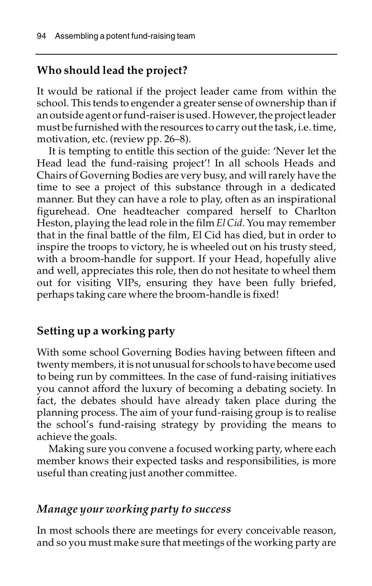# **Who should lead the project?**

It would be rational if the project leader came from within the school. This tends to engender a greater sense of ownership than if an outside agent or fund-raiser is used. However, the project leader must be furnished with the resources to carry out the task, i.e. time, motivation, etc. (review pp. 26–8).

It is tempting to entitle this section of the guide: 'Never let the Head lead the fund-raising project'! In all schools Heads and Chairs of Governing Bodies are very busy, and will rarely have the time to see a project of this substance through in a dedicated manner. But they can have a role to play, often as an inspirational figurehead. One headteacher compared herself to Charlton Heston, playing the lead role in the film *El Cid*. You may remember that in the final battle of the film, El Cid has died, but in order to inspire the troops to victory, he is wheeled out on his trusty steed, with a broom-handle for support. If your Head, hopefully alive and well, appreciates this role, then do not hesitate to wheel them out for visiting VIPs, ensuring they have been fully briefed, perhaps taking care where the broom-handle is fixed!

# **Setting up a working party**

With some school Governing Bodies having between fifteen and twenty members, it is not unusual for schools to have become used to being run by committees. In the case of fund-raising initiatives you cannot afford the luxury of becoming a debating society. In fact, the debates should have already taken place during the planning process. The aim of your fund-raising group is to realise the school's fund-raising strategy by providing the means to achieve the goals.

Making sure you convene a focused working party, where each member knows their expected tasks and responsibilities, is more useful than creating just another committee.

# *Manage your working party to success*

In most schools there are meetings for every conceivable reason, and so you must make sure that meetings of the working party are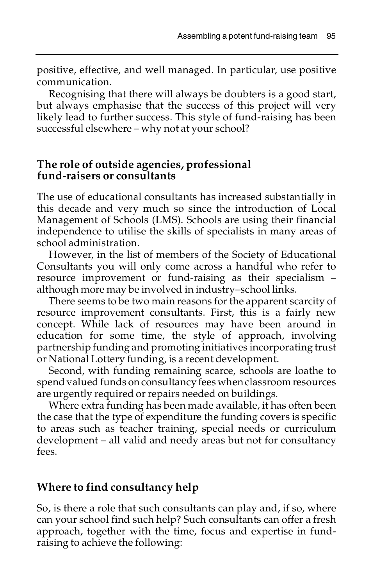positive, effective, and well managed. In particular, use positive communication.

Recognising that there will always be doubters is a good start, but always emphasise that the success of this project will very likely lead to further success. This style of fund-raising has been successful elsewhere – why not at your school?

#### **The role of outside agencies, professional fund-raisers or consultants**

The use of educational consultants has increased substantially in this decade and very much so since the introduction of Local Management of Schools (LMS). Schools are using their financial independence to utilise the skills of specialists in many areas of school administration.

However, in the list of members of the Society of Educational Consultants you will only come across a handful who refer to resource improvement or fund-raising as their specialism – although more may be involved in industry–school links.

There seems to be two main reasons for the apparent scarcity of resource improvement consultants. First, this is a fairly new concept. While lack of resources may have been around in education for some time, the style of approach, involving partnership funding and promoting initiatives incorporating trust or National Lottery funding, is a recent development.

Second, with funding remaining scarce, schools are loathe to spend valued funds on consultancy fees when classroom resources are urgently required or repairs needed on buildings.

Where extra funding has been made available, it has often been the case that the type of expenditure the funding covers is specific to areas such as teacher training, special needs or curriculum development – all valid and needy areas but not for consultancy fees.

#### **Where to find consultancy help**

So, is there a role that such consultants can play and, if so, where can your school find such help? Such consultants can offer a fresh approach, together with the time, focus and expertise in fundraising to achieve the following: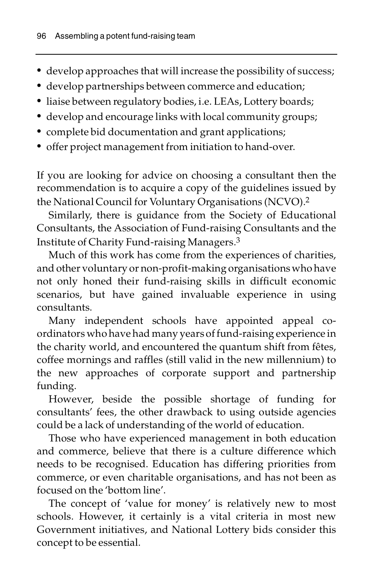- develop approaches that will increase the possibility of success;
- develop partnerships between commerce and education;
- liaise between regulatory bodies, i.e. LEAs, Lottery boards;
- develop and encourage links with local community groups;
- complete bid documentation and grant applications;
- offer project management from initiation to hand-over.

If you are looking for advice on choosing a consultant then the recommendation is to acquire a copy of the guidelines issued by the National Council for Voluntary Organisations (NCVO).2

Similarly, there is guidance from the Society of Educational Consultants, the Association of Fund-raising Consultants and the Institute of Charity Fund-raising Managers.3

Much of this work has come from the experiences of charities, and other voluntary or non-profit-making organisations who have not only honed their fund-raising skills in difficult economic scenarios, but have gained invaluable experience in using consultants.

Many independent schools have appointed appeal coordinators who have had many years of fund-raising experience in the charity world, and encountered the quantum shift from fêtes, coffee mornings and raffles (still valid in the new millennium) to the new approaches of corporate support and partnership funding.

However, beside the possible shortage of funding for consultants' fees, the other drawback to using outside agencies could be a lack of understanding of the world of education.

Those who have experienced management in both education and commerce, believe that there is a culture difference which needs to be recognised. Education has differing priorities from commerce, or even charitable organisations, and has not been as focused on the 'bottom line'.

The concept of 'value for money' is relatively new to most schools. However, it certainly is a vital criteria in most new Government initiatives, and National Lottery bids consider this concept to be essential.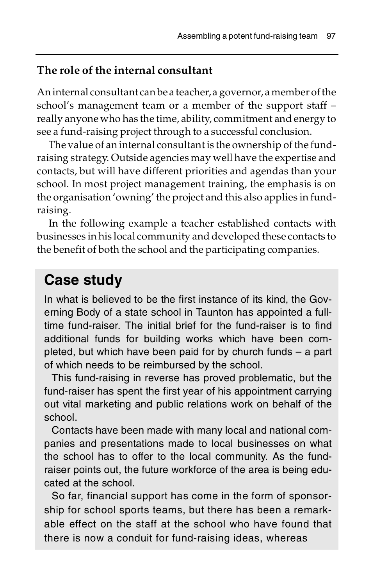# **The role of the internal consultant**

An internal consultant can be a teacher,a governor, a member of the school's management team or a member of the support staff – really anyone who has the time, ability, commitment and energy to see a fund-raising project through to a successful conclusion.

The value of an internal consultant is the ownership of the fundraising strategy. Outside agencies may well have the expertise and contacts, but will have different priorities and agendas than your school. In most project management training, the emphasis is on the organisation 'owning' the project and this also applies in fundraising.

In the following example a teacher established contacts with businesses in his local community and developed these contacts to the benefit of both the school and the participating companies.

# **Case study**

In what is believed to be the first instance of its kind, the Governing Body of a state school in Taunton has appointed a fulltime fund-raiser. The initial brief for the fund-raiser is to find additional funds for building works which have been completed, but which have been paid for by church funds – a part of which needs to be reimbursed by the school.

This fund-raising in reverse has proved problematic, but the fund-raiser has spent the first year of his appointment carrying out vital marketing and public relations work on behalf of the school.

Contacts have been made with many local and national companies and presentations made to local businesses on what the school has to offer to the local community. As the fundraiser points out, the future workforce of the area is being educated at the school.

So far, financial support has come in the form of sponsorship for school sports teams, but there has been a remarkable effect on the staff at the school who have found that there is now a conduit for fund-raising ideas, whereas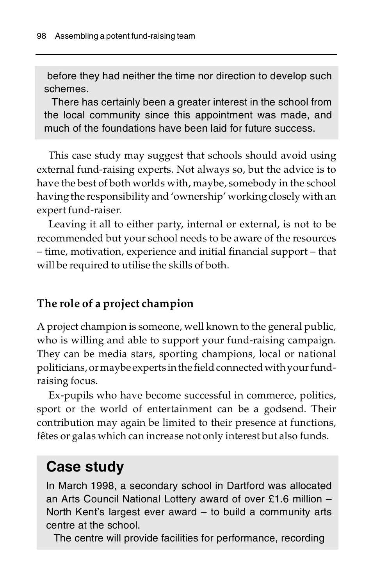before they had neither the time nor direction to develop such schemes.

There has certainly been a greater interest in the school from the local community since this appointment was made, and much of the foundations have been laid for future success.

This case study may suggest that schools should avoid using external fund-raising experts. Not always so, but the advice is to have the best of both worlds with, maybe, somebody in the school having the responsibility and 'ownership' working closely with an expert fund-raiser.

Leaving it all to either party, internal or external, is not to be recommended but your school needs to be aware of the resources – time, motivation, experience and initial financial support – that will be required to utilise the skills of both.

#### **The role of a project champion**

A project champion is someone, well known to the general public, who is willing and able to support your fund-raising campaign. They can be media stars, sporting champions, local or national politicians, ormaybe experts in the field connected with your fundraising focus.

Ex-pupils who have become successful in commerce, politics, sport or the world of entertainment can be a godsend. Their contribution may again be limited to their presence at functions, fêtes or galas which can increase not only interest but also funds.

# **Case study**

In March 1998, a secondary school in Dartford was allocated an Arts Council National Lottery award of over £1.6 million – North Kent's largest ever award – to build a community arts centre at the school.

The centre will provide facilities for performance, recording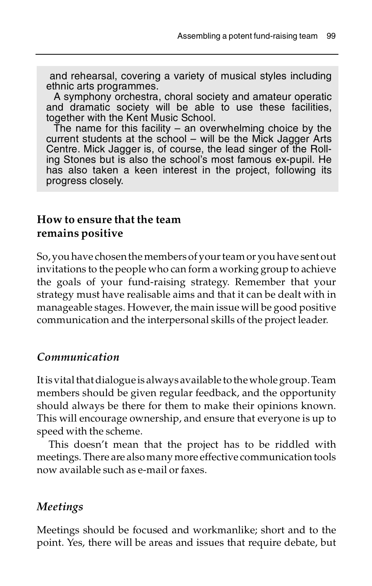and rehearsal, covering a variety of musical styles including ethnic arts programmes.

A symphony orchestra, choral society and amateur operatic and dramatic society will be able to use these facilities, together with the Kent Music School.

The name for this facility  $-$  an overwhelming choice by the current students at the school – will be the Mick Jagger Arts Centre. Mick Jagger is, of course, the lead singer of the Rolling Stones but is also the school's most famous ex-pupil. He has also taken a keen interest in the project, following its progress closely.

#### **Howto ensure that the team remains positive**

So,you have chosen the members of your team or you have sent out invitations to the people who can form a working group to achieve the goals of your fund-raising strategy. Remember that your strategy must have realisable aims and that it can be dealt with in manageable stages. However, the main issue will be good positive communication and the interpersonal skills of the project leader.

#### *Communication*

It is vital that dialogue is always available to the whole group.Team members should be given regular feedback, and the opportunity should always be there for them to make their opinions known. This will encourage ownership, and ensure that everyone is up to speed with the scheme.

This doesn't mean that the project has to be riddled with meetings. There are also many more effective communication tools now available such as e-mail or faxes.

#### *Meetings*

Meetings should be focused and workmanlike; short and to the point. Yes, there will be areas and issues that require debate, but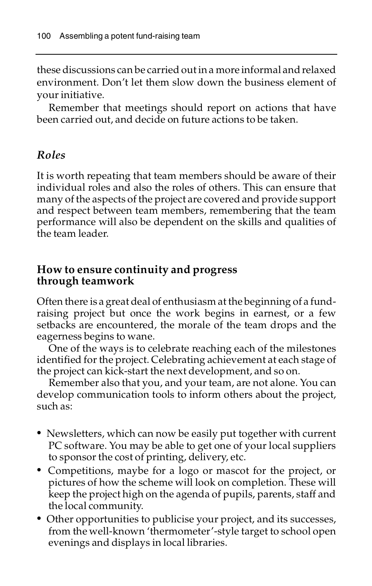these discussions can be carried out in a more informal and relaxed environment. Don't let them slow down the business element of your initiative.

Remember that meetings should report on actions that have been carried out, and decide on future actions to be taken.

#### *Roles*

It is worth repeating that team members should be aware of their individual roles and also the roles of others. This can ensure that many of the aspects of the project are covered and provide support and respect between team members, remembering that the team performance will also be dependent on the skills and qualities of the team leader.

#### **Howto ensure continuity and progress through teamwork**

Often there is a great deal of enthusiasm at the beginning of a fundraising project but once the work begins in earnest, or a few setbacks are encountered, the morale of the team drops and the eagerness begins to wane.

One of the ways is to celebrate reaching each of the milestones identified for the project. Celebrating achievement at each stage of the project can kick-start the next development, and so on.

Remember also that you, and your team, are not alone. You can develop communication tools to inform others about the project, such  $as$ 

- Newsletters, which can now be easily put together with current PC software. You may be able to get one of your local suppliers to sponsor the cost of printing, delivery, etc.
- Competitions, maybe for a logo or mascot for the project, or pictures of how the scheme will look on completion. These will keep the project high on the agenda of pupils, parents, staff and the local community.
- Other opportunities to publicise your project, and its successes, from the well-known 'thermometer'-style target to school open evenings and displays in local libraries.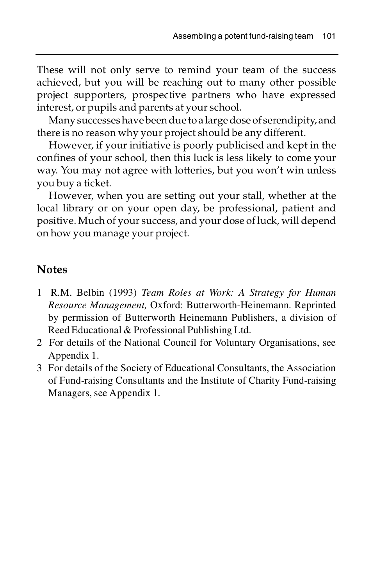These will not only serve to remind your team of the success achieved, but you will be reaching out to many other possible project supporters, prospective partners who have expressed interest, or pupils and parents at your school.

Many successes have been due to a large dose of serendipity, and there is no reason why your project should be any different.

However, if your initiative is poorly publicised and kept in the confines of your school, then this luck is less likely to come your way. You may not agree with lotteries, but you won't win unless you buy a ticket.

However, when you are setting out your stall, whether at the local library or on your open day, be professional, patient and positive. Much of your success, and your dose of luck, will depend on how you manage your project.

#### **Notes**

- 1 R.M. Belbin (1993) *Team Roles at Work: A Strategy for Human Resource Management,* Oxford: Butterworth-Heinemann. Reprinted by permission of Butterworth Heinemann Publishers, a division of Reed Educational & Professional Publishing Ltd.
- 2 For details of the National Council for Voluntary Organisations, see Appendix 1.
- 3 For details of the Society of Educational Consultants, the Association of Fund-raising Consultants and the Institute of Charity Fund-raising Managers, see Appendix 1.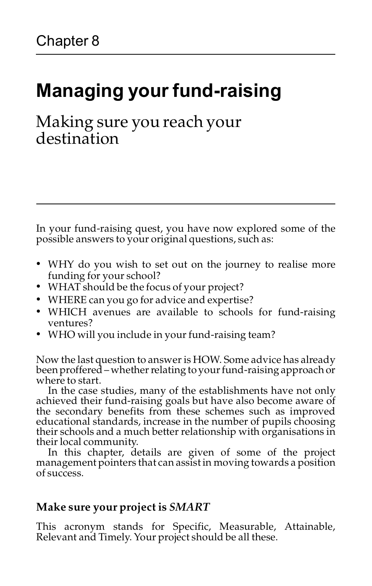# **Managing your fund-raising**

Making sure you reach your destination

In your fund-raising quest, you have now explored some of the possible answers to your original questions, such as:

- WHY do you wish to set out on the journey to realise more funding for your school?
- WHAT should be the focus of your project?
- WHERE can you go for advice and expertise?
- WHICH avenues are available to schools for fund-raising ventures?
- WHO will you include in your fund-raising team?

Now the last question to answer is HOW. Some advice has already been proffered – whether relating to your fund-raising approach or where to start.

In the case studies, many of the establishments have not only achieved their fund-raising goals but have also become aware of the secondary benefits from these schemes such as improved educational standards, increase in the number of pupils choosing their schools and a much better relationship with organisations in their local community.

In this chapter, details are given of some of the project management pointers that can assist in moving towards a position of success.

#### **Make sure your project is** *SMART*

This acronym stands for Specific, Measurable, Attainable, Relevant and Timely. Your project should be all these.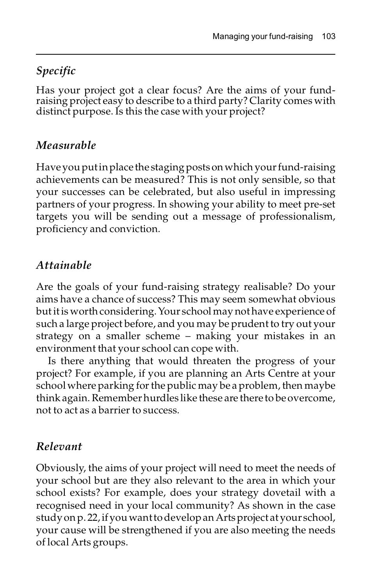# *Specific*

Has your project got a clear focus? Are the aims of your fundraising project easy to describe to a third party? Clarity comes with distinct purpose. Is this the case with your project?

# *Measurable*

Have you put in place the staging posts on which your fund-raising achievements can be measured? This is not only sensible, so that your successes can be celebrated, but also useful in impressing partners of your progress. In showing your ability to meet pre-set targets you will be sending out a message of professionalism, proficiency and conviction.

# *Attainable*

Are the goals of your fund-raising strategy realisable? Do your aims have a chance of success? This may seem somewhat obvious but it is worth considering. Your school may not have experience of such a large project before, and you may be prudent to try out your strategy on a smaller scheme – making your mistakes in an environment that your school can cope with.

Is there anything that would threaten the progress of your project? For example, if you are planning an Arts Centre at your school where parking for the public may be a problem, then maybe think again. Remember hurdles like these are there to be overcome, not to act as a barrier to success.

# *Relevant*

Obviously, the aims of your project will need to meet the needs of your school but are they also relevant to the area in which your school exists? For example, does your strategy dovetail with a recognised need in your local community? As shown in the case study on p. 22, if you want to develop an Arts project at your school, your cause will be strengthened if you are also meeting the needs of local Arts groups.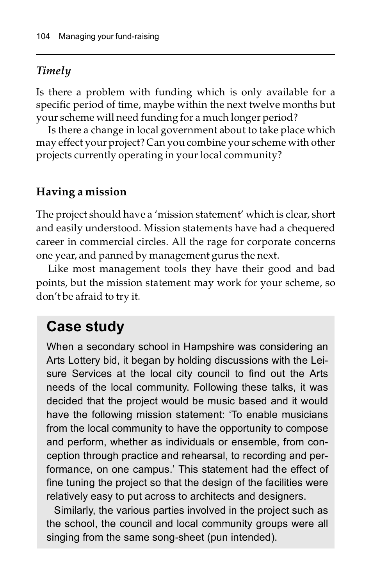#### *Timely*

Is there a problem with funding which is only available for a specific period of time, maybe within the next twelve months but your scheme will need funding for a much longer period?

Is there a change in local government about to take place which may effect your project? Can you combine your scheme with other projects currently operating in your local community?

#### **Having a mission**

The project should have a 'mission statement' which is clear, short and easily understood. Mission statements have had a chequered career in commercial circles. All the rage for corporate concerns one year, and panned by management gurus the next.

Like most management tools they have their good and bad points, but the mission statement may work for your scheme, so don't be afraid to try it.

# **Case study**

When a secondary school in Hampshire was considering an Arts Lottery bid, it began by holding discussions with the Leisure Services at the local city council to find out the Arts needs of the local community. Following these talks, it was decided that the project would be music based and it would have the following mission statement: 'To enable musicians from the local community to have the opportunity to compose and perform, whether as individuals or ensemble, from conception through practice and rehearsal, to recording and performance, on one campus.' This statement had the effect of fine tuning the project so that the design of the facilities were relatively easy to put across to architects and designers.

Similarly, the various parties involved in the project such as the school, the council and local community groups were all singing from the same song-sheet (pun intended).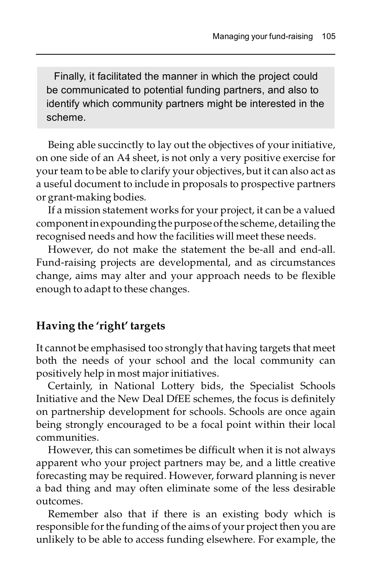Finally, it facilitated the manner in which the project could be communicated to potential funding partners, and also to identify which community partners might be interested in the scheme.

Being able succinctly to lay out the objectives of your initiative, on one side of an A4 sheet, is not only a very positive exercise for your team to be able to clarify your objectives, but it can also act as a useful document to include in proposals to prospective partners or grant-making bodies.

If a mission statement works for your project, it can be a valued component in expounding the purpose of the scheme, detailing the recognised needs and how the facilities will meet these needs.

However, do not make the statement the be-all and end-all. Fund-raising projects are developmental, and as circumstances change, aims may alter and your approach needs to be flexible enough to adapt to these changes.

#### **Having the 'right' targets**

It cannot be emphasised too strongly that having targets that meet both the needs of your school and the local community can positively help in most major initiatives.

Certainly, in National Lottery bids, the Specialist Schools Initiative and the New Deal DfEE schemes, the focus is definitely on partnership development for schools. Schools are once again being strongly encouraged to be a focal point within their local communities.

However, this can sometimes be difficult when it is not always apparent who your project partners may be, and a little creative forecasting may be required. However, forward planning is never a bad thing and may often eliminate some of the less desirable outcomes.

Remember also that if there is an existing body which is responsible for the funding of the aims of your project then you are unlikely to be able to access funding elsewhere. For example, the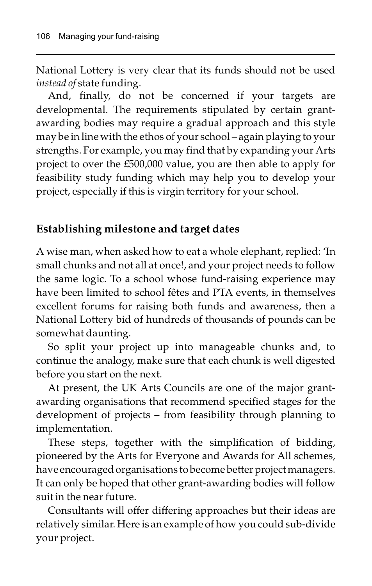National Lottery is very clear that its funds should not be used *instead of* state funding.

And, finally, do not be concerned if your targets are developmental. The requirements stipulated by certain grantawarding bodies may require a gradual approach and this style may be in line with the ethos of your school – again playing to your strengths. For example, you may find that by expanding your Arts project to over the £500,000 value, you are then able to apply for feasibility study funding which may help you to develop your project, especially if this is virgin territory for your school.

# **Establishing milestone and target dates**

A wise man, when asked how to eat a whole elephant, replied: 'In small chunks and not all at once!, and your project needs to follow the same logic. To a school whose fund-raising experience may have been limited to school fêtes and PTA events, in themselves excellent forums for raising both funds and awareness, then a National Lottery bid of hundreds of thousands of pounds can be somewhat daunting.

So split your project up into manageable chunks and, to continue the analogy, make sure that each chunk is well digested before you start on the next.

At present, the UK Arts Councils are one of the major grantawarding organisations that recommend specified stages for the development of projects – from feasibility through planning to implementation.

These steps, together with the simplification of bidding, pioneered by the Arts for Everyone and Awards for All schemes, have encouraged organisations to become better project managers. It can only be hoped that other grant-awarding bodies will follow suit in the near future.

Consultants will offer differing approaches but their ideas are relatively similar. Here is an example of how you could sub-divide your project.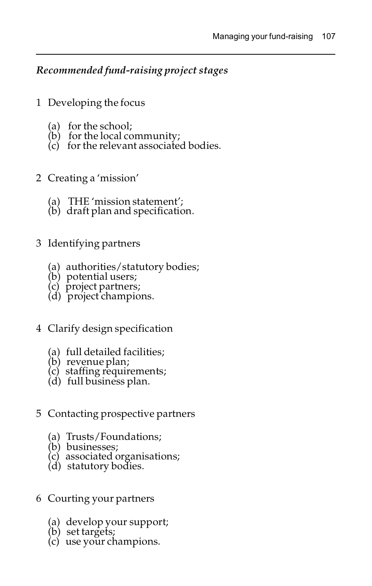#### *Recommended fund-raising project stages*

- 1 Developing the focus
	- (a) for the school;
	- (b) for the local community;
	- (c) for the relevant associated bodies.
- 2 Creating a 'mission'
	- (a) THE 'mission statement';
	- (b) draft plan and specification.
- 3 Identifying partners
	- (a) authorities/statutory bodies;
	- (b) potential users;
	- (c) project partners;
	- (d) project champions.
- 4 Clarify design specification
	- (a) full detailed facilities;
	- (b) revenue plan;
	- (c) staffing requirements;
	- (d) full business plan.
- 5 Contacting prospective partners
	- (a) Trusts/Foundations;
	- (b) businesses;
	- (c) associated organisations;
	- (d) statutory bodies.
- 6 Courting your partners
	- (a) develop your support;
	- (b) set targets;
	- (c) use your champions.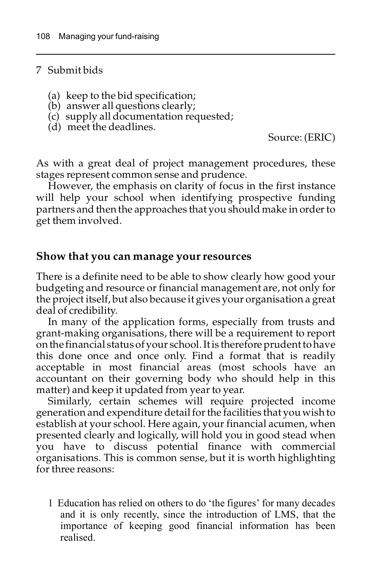#### 7 Submit bids

- (a) keep to the bid specification;
- (b) answer all questions clearly;
- (c) supply all documentation requested;
- (d) meet the deadlines.

Source: (ERIC)

As with a great deal of project management procedures, these stages represent common sense and prudence.

However, the emphasis on clarity of focus in the first instance will help your school when identifying prospective funding partners and then the approaches that you should make in order to get them involved.

#### **Show that you can manage your resources**

There is a definite need to be able to show clearly how good your budgeting and resource or financial management are, not only for the project itself, but also because it gives your organisation a great deal of credibility.

In many of the application forms, especially from trusts and grant-making organisations, there will be a requirement to report on the financial status of your school. It is therefore prudent to have this done once and once only. Find a format that is readily acceptable in most financial areas (most schools have an accountant on their governing body who should help in this matter) and keep it updated from year to year.

Similarly, certain schemes will require projected income generation and expenditure detail for the facilities that you wish to establish at your school. Here again, your financial acumen, when presented clearly and logically, will hold you in good stead when you have to discuss potential finance with commercial organisations. This is common sense, but it is worth highlighting for three reasons:

1 Education has relied on others to do 'the figures' for many decades and it is only recently, since the introduction of LMS, that the importance of keeping good financial information has been realised.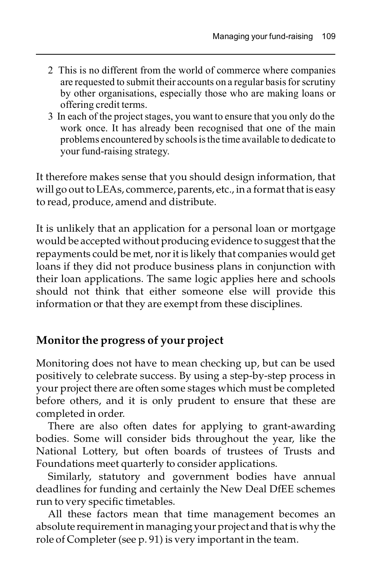- 2 This is no different from the world of commerce where companies are requested to submit their accounts on a regular basis for scrutiny by other organisations, especially those who are making loans or offering credit terms.
- 3 In each of the project stages, you want to ensure that you only do the work once. It has already been recognised that one of the main problems encountered by schools is the time available to dedicate to your fund-raising strategy.

It therefore makes sense that you should design information, that will go out to LEAs, commerce, parents, etc., in a format that is easy to read, produce, amend and distribute.

It is unlikely that an application for a personal loan or mortgage would be accepted without producing evidence to suggest that the repayments could be met, nor it is likely that companies would get loans if they did not produce business plans in conjunction with their loan applications. The same logic applies here and schools should not think that either someone else will provide this information or that they are exempt from these disciplines.

#### **Monitor the progress of your project**

Monitoring does not have to mean checking up, but can be used positively to celebrate success. By using a step-by-step process in your project there are often some stages which must be completed before others, and it is only prudent to ensure that these are completed in order.

There are also often dates for applying to grant-awarding bodies. Some will consider bids throughout the year, like the National Lottery, but often boards of trustees of Trusts and Foundations meet quarterly to consider applications.

Similarly, statutory and government bodies have annual deadlines for funding and certainly the New Deal DfEE schemes run to very specific timetables.

All these factors mean that time management becomes an absolute requirement in managing your project and that is why the role of Completer (see p. 91) is very important in the team.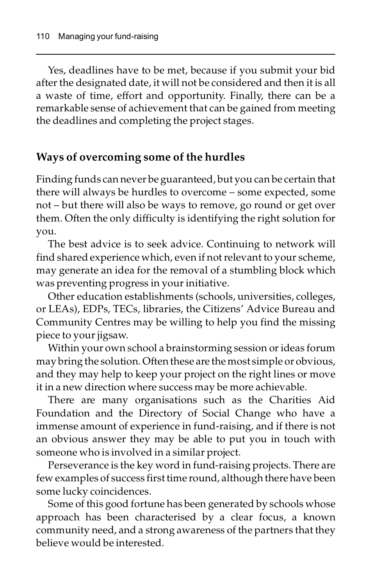Yes, deadlines have to be met, because if you submit your bid after the designated date, it will not be considered and then it is all a waste of time, effort and opportunity. Finally, there can be a remarkable sense of achievement that can be gained from meeting the deadlines and completing the project stages.

#### **Ways of overcoming some of the hurdles**

Finding funds can never be guaranteed, but you can be certain that there will always be hurdles to overcome – some expected, some not – but there will also be ways to remove, go round or get over them. Often the only difficulty is identifying the right solution for you.

The best advice is to seek advice. Continuing to network will find shared experience which, even if not relevant to your scheme, may generate an idea for the removal of a stumbling block which was preventing progress in your initiative.

Other education establishments (schools, universities, colleges, or LEAs), EDPs, TECs, libraries, the Citizens' Advice Bureau and Community Centres may be willing to help you find the missing piece to your jigsaw.

Within your own school a brainstorming session or ideas forum may bring the solution. Often these are the most simple or obvious, and they may help to keep your project on the right lines or move it in a new direction where success may be more achievable.

There are many organisations such as the Charities Aid Foundation and the Directory of Social Change who have a immense amount of experience in fund-raising, and if there is not an obvious answer they may be able to put you in touch with someone who is involved in a similar project.

Perseverance is the key word in fund-raising projects. There are few examples of success first time round, although there have been some lucky coincidences.

Some of this good fortune has been generated by schools whose approach has been characterised by a clear focus, a known community need, and a strong awareness of the partners that they believe would be interested.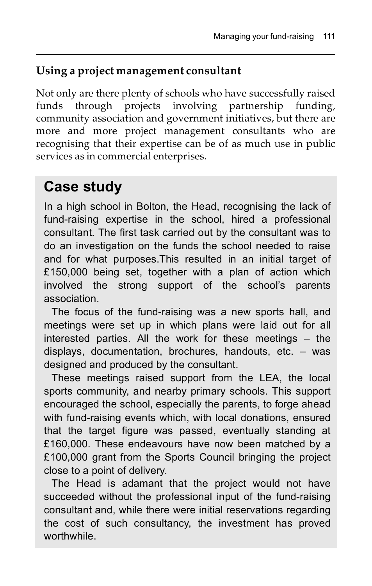# **Using a project management consultant**

Not only are there plenty of schools who have successfully raised funds through projects involving partnership funding, community association and government initiatives, but there are more and more project management consultants who are recognising that their expertise can be of as much use in public services as in commercial enterprises.

# **Case study**

In a high school in Bolton, the Head, recognising the lack of fund-raising expertise in the school, hired a professional consultant. The first task carried out by the consultant was to do an investigation on the funds the school needed to raise and for what purposes.This resulted in an initial target of £150,000 being set, together with a plan of action which involved the strong support of the school's parents association.

The focus of the fund-raising was a new sports hall, and meetings were set up in which plans were laid out for all interested parties. All the work for these meetings – the displays, documentation, brochures, handouts, etc. – was designed and produced by the consultant.

These meetings raised support from the LEA, the local sports community, and nearby primary schools. This support encouraged the school, especially the parents, to forge ahead with fund-raising events which, with local donations, ensured that the target figure was passed, eventually standing at £160,000. These endeavours have now been matched by a £100,000 grant from the Sports Council bringing the project close to a point of delivery.

The Head is adamant that the project would not have succeeded without the professional input of the fund-raising consultant and, while there were initial reservations regarding the cost of such consultancy, the investment has proved worthwhile.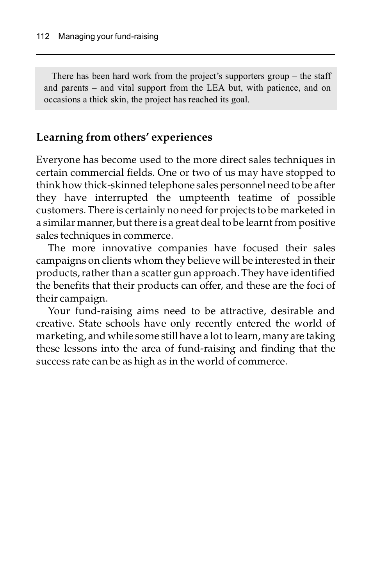There has been hard work from the project's supporters group – the staff and parents – and vital support from the LEA but, with patience, and on occasions a thick skin, the project has reached its goal.

#### **Learning from others' experiences**

Everyone has become used to the more direct sales techniques in certain commercial fields. One or two of us may have stopped to think how thick-skinned telephone sales personnel need to be after they have interrupted the umpteenth teatime of possible customers. There is certainly no need for projects to be marketed in a similar manner, but there is a great deal to be learnt from positive sales techniques in commerce.

The more innovative companies have focused their sales campaigns on clients whom they believe will be interested in their products, rather than a scatter gun approach. They have identified the benefits that their products can offer, and these are the foci of their campaign.

Your fund-raising aims need to be attractive, desirable and creative. State schools have only recently entered the world of marketing, and while some still have a lot to learn, many are taking these lessons into the area of fund-raising and finding that the success rate can be as high as in the world of commerce.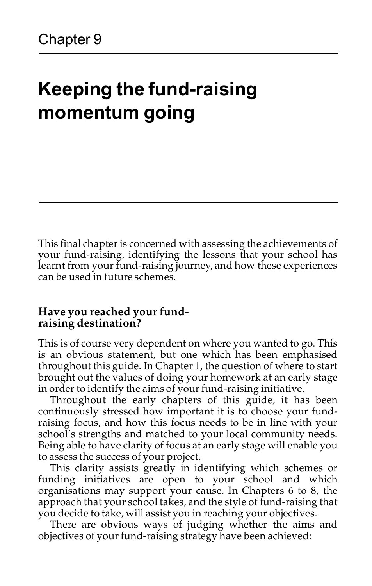# **Keeping the fund-raising momentum going**

This final chapter is concerned with assessing the achievements of your fund-raising, identifying the lessons that your school has learnt from your fund-raising journey, and how these experiences can be used in future schemes.

#### **Have you reached your fundraising destination?**

This is of course very dependent on where you wanted to go. This is an obvious statement, but one which has been emphasised throughout this guide. In Chapter 1, the question of where to start brought out the values of doing your homework at an early stage in order to identify the aims of your fund-raising initiative.

Throughout the early chapters of this guide, it has been continuously stressed how important it is to choose your fundraising focus, and how this focus needs to be in line with your school's strengths and matched to your local community needs. Being able to have clarity of focus at an early stage will enable you to assess the success of your project.

This clarity assists greatly in identifying which schemes or funding initiatives are open to your school and which organisations may support your cause. In Chapters 6 to 8, the approach that your school takes, and the style of fund-raising that you decide to take, will assist you in reaching your objectives.

There are obvious ways of judging whether the aims and objectives of your fund-raising strategy have been achieved: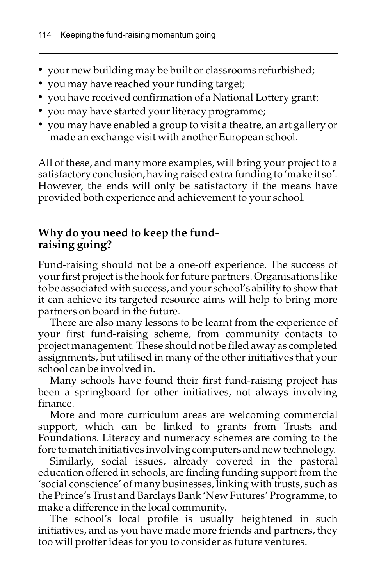- your new building may be built or classrooms refurbished;
- you may have reached your funding target;
- you have received confirmation of a National Lottery grant;
- you may have started your literacy programme;
- you may have enabled a group to visit a theatre, an art gallery or made an exchange visit with another European school.

All of these, and many more examples, will bring your project to a satisfactory conclusion, having raised extra funding to 'make it so'. However, the ends will only be satisfactory if the means have provided both experience and achievement to your school.

## **Why do you need to keep the fundraising going?**

Fund-raising should not be a one-off experience. The success of your first project is the hook for future partners. Organisations like to be associated with success, and your school's ability to show that it can achieve its targeted resource aims will help to bring more partners on board in the future.

There are also many lessons to be learnt from the experience of your first fund-raising scheme, from community contacts to project management. These should not be filed away as completed assignments, but utilised in many of the other initiatives that your school can be involved in.

Many schools have found their first fund-raising project has been a springboard for other initiatives, not always involving finance.

More and more curriculum areas are welcoming commercial support, which can be linked to grants from Trusts and Foundations. Literacy and numeracy schemes are coming to the fore to match initiatives involving computers and new technology.

Similarly, social issues, already covered in the pastoral education offered in schools, are finding funding support from the 'social conscience' of many businesses, linking with trusts, such as the Prince's Trust and Barclays Bank 'New Futures' Programme, to make a difference in the local community.

The school's local profile is usually heightened in such initiatives, and as you have made more friends and partners, they too will proffer ideas for you to consider as future ventures.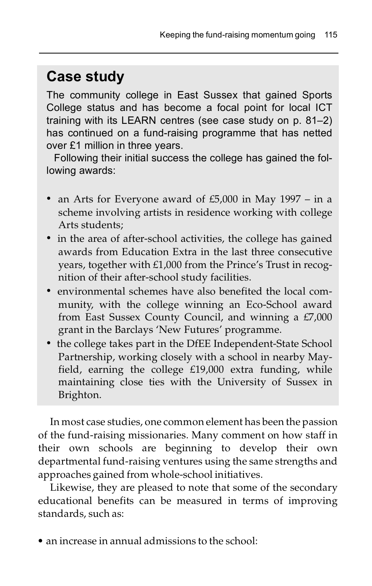# **Case study**

The community college in East Sussex that gained Sports College status and has become a focal point for local ICT training with its LEARN centres (see case study on p. 81–2) has continued on a fund-raising programme that has netted over £1 million in three years.

Following their initial success the college has gained the following awards:

- an Arts for Everyone award of £5,000 in May 1997 in a scheme involving artists in residence working with college Arts students;
- in the area of after-school activities, the college has gained awards from Education Extra in the last three consecutive years, together with £1,000 from the Prince's Trust in recognition of their after-school study facilities.
- environmental schemes have also benefited the local community, with the college winning an Eco-School award from East Sussex County Council, and winning a £7,000 grant in the Barclays 'New Futures' programme.
- the college takes part in the DfEE Independent-State School Partnership, working closely with a school in nearby Mayfield, earning the college £19,000 extra funding, while maintaining close ties with the University of Sussex in Brighton.

In most case studies, one common element has been the passion of the fund-raising missionaries. Many comment on how staff in their own schools are beginning to develop their own departmental fund-raising ventures using the same strengths and approaches gained from whole-school initiatives.

Likewise, they are pleased to note that some of the secondary educational benefits can be measured in terms of improving standards, such as:

• an increase in annual admissions to the school: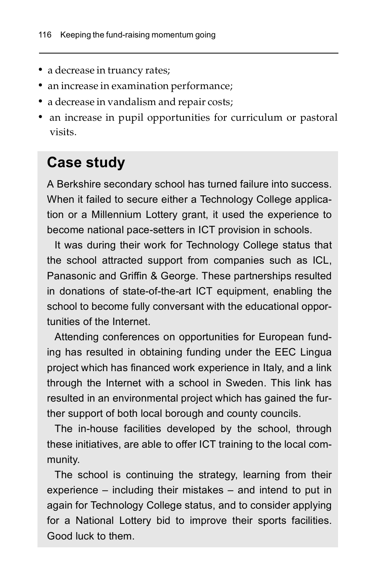- a decrease in truancy rates;
- an increase in examination performance;
- a decrease in vandalism and repair costs;
- an increase in pupil opportunities for curriculum or pastoral visits.

# **Case study**

A Berkshire secondary school has turned failure into success. When it failed to secure either a Technology College application or a Millennium Lottery grant, it used the experience to become national pace-setters in ICT provision in schools.

It was during their work for Technology College status that the school attracted support from companies such as ICL, Panasonic and Griffin & George. These partnerships resulted in donations of state-of-the-art ICT equipment, enabling the school to become fully conversant with the educational opportunities of the Internet.

Attending conferences on opportunities for European funding has resulted in obtaining funding under the EEC Lingua project which has financed work experience in Italy, and a link through the Internet with a school in Sweden. This link has resulted in an environmental project which has gained the further support of both local borough and county councils.

The in-house facilities developed by the school, through these initiatives, are able to offer ICT training to the local community.

The school is continuing the strategy, learning from their experience – including their mistakes – and intend to put in again for Technology College status, and to consider applying for a National Lottery bid to improve their sports facilities. Good luck to them.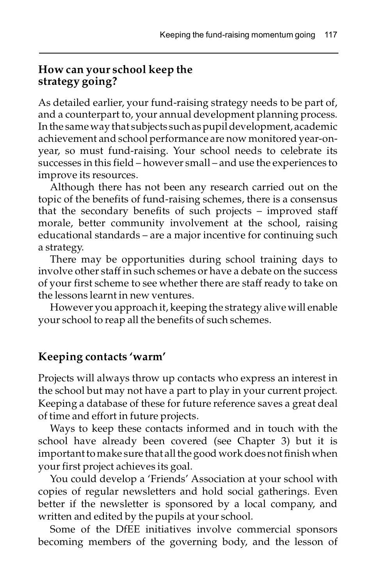#### **How can your school keep the strategy going?**

As detailed earlier, your fund-raising strategy needs to be part of, and a counterpart to, your annual development planning process. In the same way that subjects such as pupil development, academic achievement and school performance are now monitored year-onyear, so must fund-raising. Your school needs to celebrate its successes in this field – however small – and use the experiences to improve its resources.

Although there has not been any research carried out on the topic of the benefits of fund-raising schemes, there is a consensus that the secondary benefits of such projects  $-$  improved staff morale, better community involvement at the school, raising educational standards – are a major incentive for continuing such a strategy.

There may be opportunities during school training days to involve other staff in such schemes or have a debate on the success of your first scheme to see whether there are staff ready to take on the lessons learnt in new ventures.

However you approach it, keeping the strategy alive will enable your school to reap all the benefits of such schemes.

#### **Keeping contacts 'warm'**

Projects will always throw up contacts who express an interest in the school but may not have a part to play in your current project. Keeping a database of these for future reference saves a great deal of time and effort in future projects.

Ways to keep these contacts informed and in touch with the school have already been covered (see Chapter 3) but it is important to make sure that all the good work does not finish when your first project achieves its goal.

You could develop a 'Friends' Association at your school with copies of regular newsletters and hold social gatherings. Even better if the newsletter is sponsored by a local company, and written and edited by the pupils at your school.

Some of the DfEE initiatives involve commercial sponsors becoming members of the governing body, and the lesson of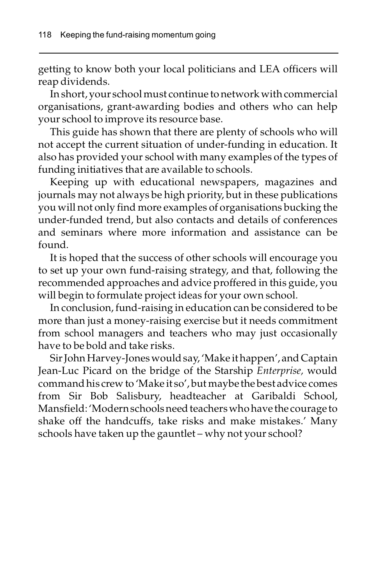getting to know both your local politicians and LEA officers will reap dividends.

In short, your school must continue to network with commercial organisations, grant-awarding bodies and others who can help your school to improve its resource base.

This guide has shown that there are plenty of schools who will not accept the current situation of under-funding in education. It also has provided your school with many examples of the types of funding initiatives that are available to schools.

Keeping up with educational newspapers, magazines and journals may not always be high priority, but in these publications you will not only find more examples of organisations bucking the under-funded trend, but also contacts and details of conferences and seminars where more information and assistance can be found.

It is hoped that the success of other schools will encourage you to set up your own fund-raising strategy, and that, following the recommended approaches and advice proffered in this guide, you will begin to formulate project ideas for your own school.

In conclusion, fund-raising in education can be considered to be more than just a money-raising exercise but it needs commitment from school managers and teachers who may just occasionally have to be bold and take risks.

Sir John Harvey-Jones would say, 'Make it happen', and Captain Jean-Luc Picard on the bridge of the Starship *Enterprise,* would command his crew to 'Make it so', but maybe the best advice comes from Sir Bob Salisbury, headteacher at Garibaldi School, Mansfield: 'Modern schools need teachers who have the courage to shake off the handcuffs, take risks and make mistakes.' Many schools have taken up the gauntlet – why not your school?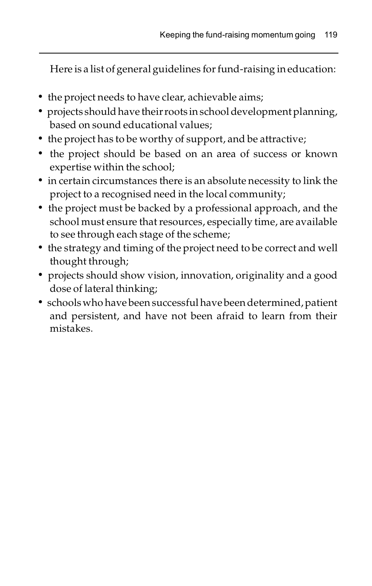Here is a list of general guidelines for fund-raising in education:

- the project needs to have clear, achievable aims;
- projects should have their roots in school development planning, based on sound educational values;
- the project has to be worthy of support, and be attractive;
- the project should be based on an area of success or known expertise within the school;
- in certain circumstances there is an absolute necessity to link the project to a recognised need in the local community;
- the project must be backed by a professional approach, and the school must ensure that resources, especially time, are available to see through each stage of the scheme;
- the strategy and timing of the project need to be correct and well thought through;
- projects should show vision, innovation, originality and a good dose of lateral thinking;
- schools who have been successful have been determined, patient and persistent, and have not been afraid to learn from their mistakes.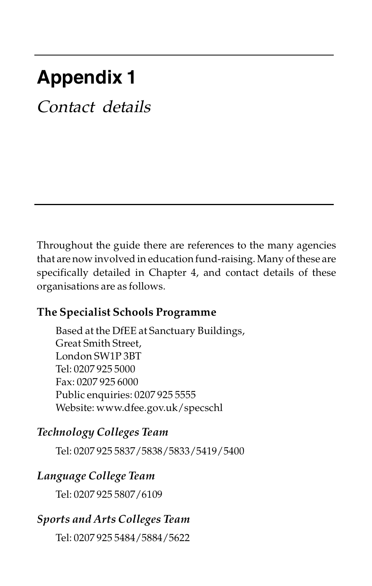# **Appendix 1**

Contact details

Throughout the guide there are references to the many agencies that are now involved in education fund-raising. Many of these are specifically detailed in Chapter 4, and contact details of these organisations are as follows.

#### **The Specialist Schools Programme**

Based at the DfEE at Sanctuary Buildings, Great Smith Street, London SW1P 3BT Tel: 0207 925 5000 Fax: 0207 925 6000 Public enquiries: 0207 925 5555 Website: www.dfee.gov.uk/specschl

#### *Technology Colleges Team*

Tel: 0207 925 5837/5838/5833/5419/5400

#### *Language College Team*

Tel: 0207 925 5807/6109

#### *Sports and Arts Colleges Team*

Tel: 0207 925 5484/5884/5622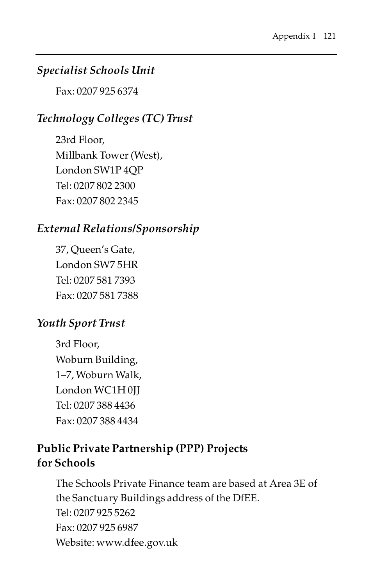## *Specialist Schools Unit*

Fax: 0207 925 6374

#### *Technology Colleges (TC) Trust*

23rd Floor, Millbank Tower (West), London SW1P 4QP Tel: 0207 802 2300 Fax: 0207 802 2345

#### *External Relations/Sponsorship*

37, Queen's Gate, London SW7 5HR Tel: 0207 581 7393 Fax: 0207 581 7388

#### *Youth Sport Trust*

3rd Floor, Woburn Building, 1–7, Woburn Walk, London WC1H0JJ Tel: 0207 388 4436 Fax: 0207 388 4434

# **Public Private Partnership (PPP) Projects for Schools**

The Schools Private Finance team are based at Area 3E of the Sanctuary Buildings address of the DfEE. Tel: 0207 925 5262 Fax: 0207 925 6987 Website: www.dfee.gov.uk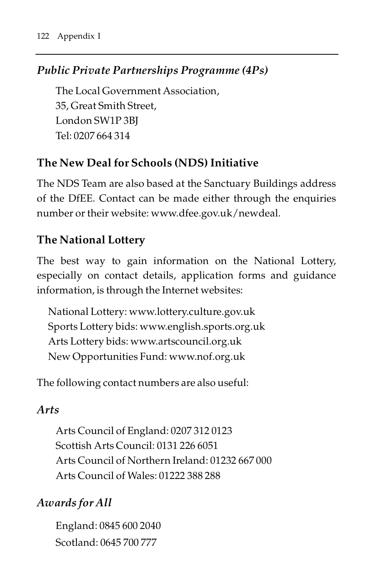## *Public Private Partnerships Programme (4Ps)*

The Local Government Association, 35, Great Smith Street, London SW1P 3BJ Tel: 0207 664 314

# **The NewDeal for Schools (NDS) Initiative**

The NDS Team are also based at the Sanctuary Buildings address of the DfEE. Contact can be made either through the enquiries number or their website: www.dfee.gov.uk/newdeal.

# **The National Lottery**

The best way to gain information on the National Lottery, especially on contact details, application forms and guidance information, is through the Internet websites:

National Lottery: www.lottery.culture.gov.uk Sports Lottery bids: www.english.sports.org.uk Arts Lottery bids: www.artscouncil.org.uk New Opportunities Fund: www.nof.org.uk

The following contact numbers are also useful:

#### *Arts*

Arts Council of England: 0207 312 0123 Scottish Arts Council: 0131 226 6051 Arts Council of Northern Ireland: 01232 667 000 Arts Council of Wales: 01222 388 288

# *Awards for All*

England: 0845 600 2040 Scotland: 0645 700 777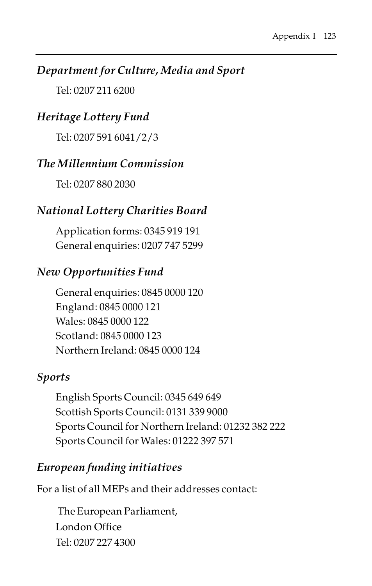# *Department for Culture, Media and Sport*

Tel: 0207 211 6200

## *Heritage Lottery Fund*

Tel: 0207 591 6041/2/3

#### *The Millennium Commission*

Tel: 0207 880 2030

#### *National Lottery Charities Board*

Application forms: 0345 919 191 General enquiries: 0207 747 5299

# *New Opportunities Fund*

General enquiries: 0845 0000 120 England: 0845 0000 121 Wales: 0845 0000 122 Scotland: 0845 0000 123 Northern Ireland: 0845 0000 124

#### *Sports*

English Sports Council: 0345 649 649 Scottish Sports Council: 0131 339 9000 Sports Council for Northern Ireland: 01232 382 222 Sports Council for Wales: 01222 397 571

# *European funding initiatives*

For a list of all MEPs and their addresses contact:

The European Parliament, London Office Tel: 0207 227 4300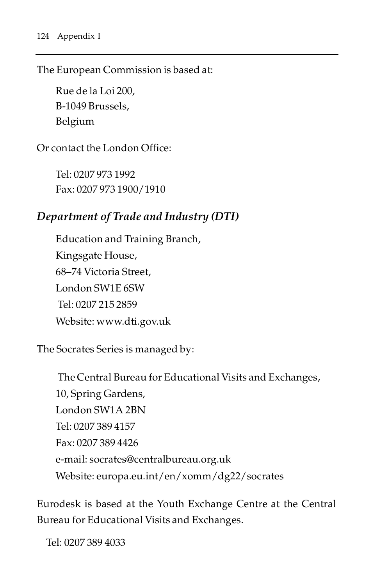The European Commission is based at:

Rue de la Loi 200, B-1049 Brussels, Belgium

Or contact the London Office:

Tel: 0207 973 1992 Fax: 0207 973 1900/1910

#### *Department of Trade and Industry (DTI)*

Education and Training Branch, Kingsgate House, 68–74 Victoria Street, London SW1E 6SW Tel: 0207 215 2859 Website: www.dti.gov.uk

The Socrates Series is managed by:

The Central Bureau for Educational Visits and Exchanges, 10, Spring Gardens, London SW1A 2BN Tel: 0207 389 4157 Fax: 0207 389 4426 e-mail: socrates@centralbureau.org.uk Website: europa.eu.int/en/xomm/dg22/socrates

Eurodesk is based at the Youth Exchange Centre at the Central Bureau for Educational Visits and Exchanges.

Tel: 0207 389 4033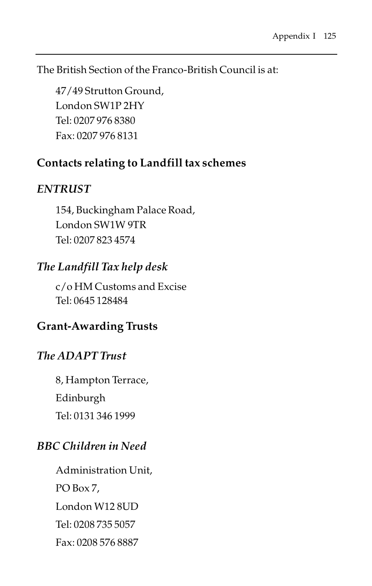The British Section of the Franco-British Council is at:

47/49 Strutton Ground, London SW1P 2HY Tel: 0207 976 8380 Fax: 0207 976 8131

#### **Contacts relating to Landfill tax schemes**

#### *ENTRUST*

154, Buckingham Palace Road, London SW1W 9TR Tel: 0207 823 4574

#### *The Landfill Tax help desk*

c/o HM Customs and Excise Tel: 0645 128484

#### **Grant-Awarding Trusts**

#### *The ADAPT Trust*

8, Hampton Terrace, Edinburgh Tel: 0131 346 1999

#### *BBC Children in Need*

Administration Unit, PO Box 7, London W12 8UD Tel: 0208 735 5057 Fax: 0208 576 8887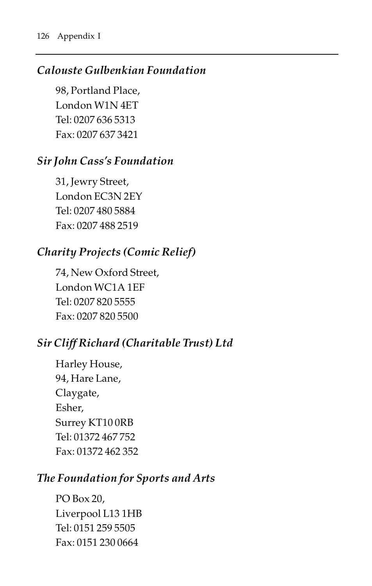#### *Calouste Gulbenkian Foundation*

98, Portland Place, London W1N 4ET Tel: 0207 636 5313 Fax: 0207 637 3421

#### *Sir John Cass's Foundation*

31, Jewry Street, London EC3N 2EY Tel: 0207 480 5884 Fax: 0207 488 2519

#### *Charity Projects (Comic Relief)*

74, New Oxford Street, London WC1A 1EF Tel: 0207 820 5555 Fax: 0207 820 5500

#### *Sir Cliff Richard (Charitable Trust) Ltd*

Harley House, 94, Hare Lane, Claygate, Esher, Surrey KT10 0RB Tel: 01372 467 752 Fax: 01372 462 352

# *The Foundation for Sports and Arts*

PO Box 20, Liverpool L13 1HB Tel: 0151 259 5505 Fax: 0151 230 0664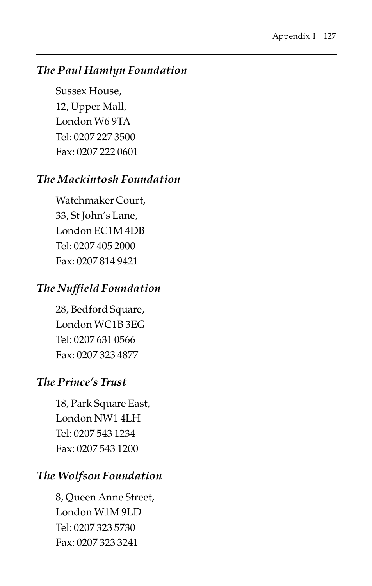#### *The Paul Hamlyn Foundation*

Sussex House, 12, Upper Mall, London W6 9TA Tel: 0207 227 3500 Fax: 0207 222 0601

#### *The Mackintosh Foundation*

Watchmaker Court, 33, St John's Lane, London EC1M 4DB Tel: 0207 405 2000 Fax: 0207 814 9421

#### *The Nuffield Foundation*

28, Bedford Square, London WC1B 3EG Tel: 0207 631 0566 Fax: 0207 323 4877

#### *The Prince's Trust*

18, Park Square East, London NW1 4LH Tel: 0207 543 1234 Fax: 0207 543 1200

#### *The Wolfson Foundation*

8, Queen Anne Street, London W1M 9LD Tel: 0207 323 5730 Fax: 0207 323 3241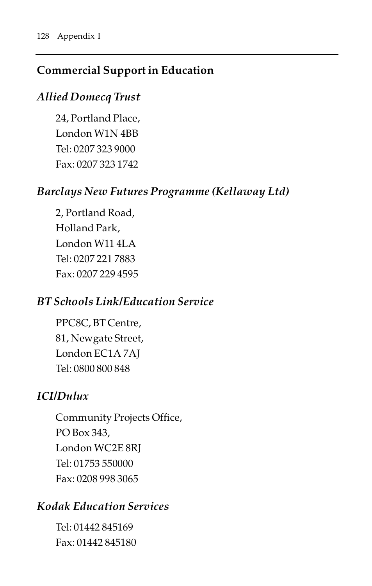#### **Commercial Support in Education**

#### *Allied Domecq Trust*

24, Portland Place, London W1N 4BB Tel: 0207 323 9000 Fax: 0207 323 1742

#### *Barclays New Futures Programme (Kellaway Ltd)*

2, Portland Road, Holland Park, London W11 4LA Tel: 0207 221 7883 Fax: 0207 229 4595

# *BT Schools Link/Education Service*

PPC8C, BT Centre, 81, Newgate Street, London EC1A 7AJ Tel: 0800 800 848

#### *ICI/Dulux*

Community Projects Office, PO Box 343, London WC2E 8RJ Tel: 01753 550000 Fax: 0208 998 3065

#### *Kodak Education Services*

Tel: 01442 845169 Fax: 01442 845180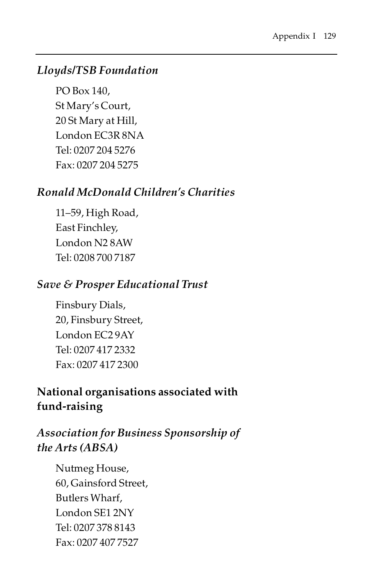#### *Lloyds/TSB Foundation*

PO Box 140, St Mary's Court, 20 St Mary at Hill, London EC3R 8NA Tel: 0207 204 5276 Fax: 0207 204 5275

#### *Ronald McDonald Children's Charities*

11–59, High Road, East Finchley, London N2 8AW Tel: 0208 700 7187

#### *Save & Prosper Educational Trust*

Finsbury Dials, 20, Finsbury Street, London EC2 9AY Tel: 0207 417 2332 Fax: 0207 417 2300

# **National organisations associated with fund-raising**

#### *Association for Business Sponsorship of the Arts (ABSA)*

Nutmeg House, 60, Gainsford Street, Butlers Wharf, London SE1 2NY Tel: 0207 378 8143 Fax: 0207 407 7527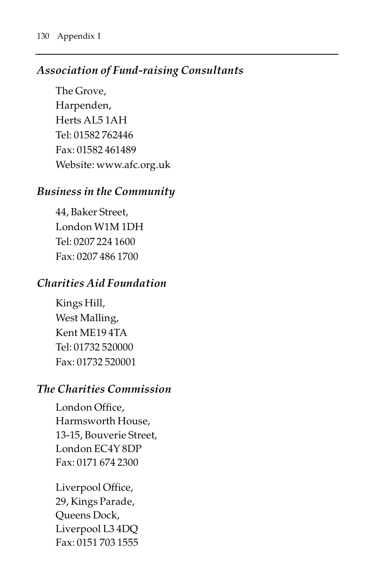#### *Association of Fund-raising Consultants*

The Grove, Harpenden, Herts AL5 1AH Tel: 01582 762446 Fax: 01582 461489 Website: www.afc.org.uk

#### *Business in the Community*

44, Baker Street, London W1M 1DH Tel: 0207 224 1600 Fax: 0207 486 1700

#### *Charities Aid Foundation*

Kings Hill, West Malling, Kent ME19 4TA Tel: 01732 520000 Fax: 01732 520001

#### *The Charities Commission*

London Office, Harmsworth House, 13-15, Bouverie Street, London EC4Y 8DP Fax: 0171 674 2300

Liverpool Office, 29, Kings Parade, Queens Dock, Liverpool L3 4DQ Fax: 0151 703 1555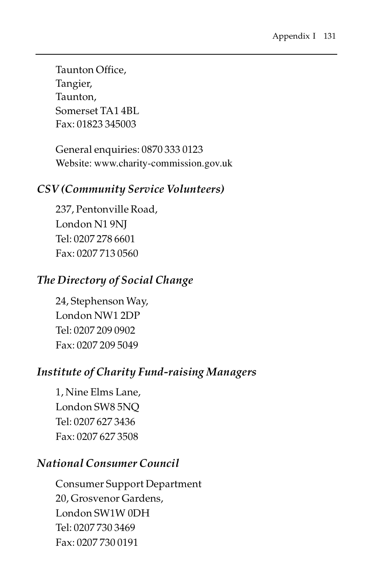Taunton Office, Tangier, Taunton, Somerset TA1 4BL Fax: 01823 345003

General enquiries: 0870 333 0123 Website: www.charity-commission.gov.uk

#### *CSV (Community Service Volunteers)*

237, Pentonville Road, London N1 9NJ Tel: 0207 278 6601 Fax: 0207 713 0560

#### *The Directory of Social Change*

24, Stephenson Way, London NW1 2DP Tel: 0207 209 0902 Fax: 0207 209 5049

#### *Institute of Charity Fund-raising Managers*

1, Nine Elms Lane, London SW8 5NQ Tel: 0207 627 3436 Fax: 0207 627 3508

#### *National Consumer Council*

Consumer Support Department 20, Grosvenor Gardens, London SW1W 0DH Tel: 0207 730 3469 Fax: 0207 730 0191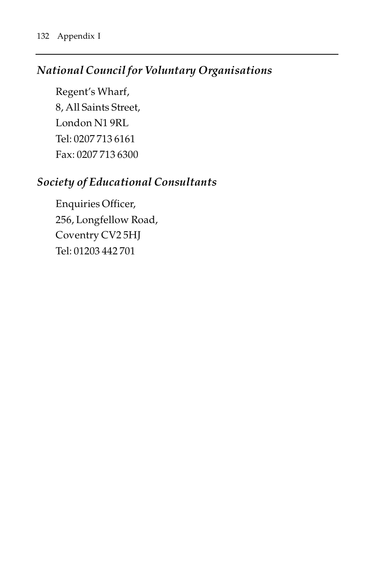# *National Council for Voluntary Organisations*

Regent's Wharf, 8, All Saints Street, London N1 9RL Tel: 0207 713 6161 Fax: 0207 713 6300

#### *Society of Educational Consultants*

Enquiries Officer, 256, Longfellow Road, Coventry CV2 5HJ Tel: 01203 442 701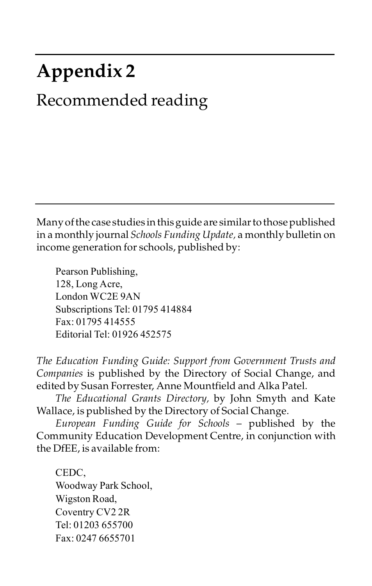# **Appendix 2**  Recommended reading

Many of the case studies in this guide are similar to those published in a monthly journal *Schools Funding Update,* a monthly bulletin on income generation for schools, published by:

Pearson Publishing, 128, Long Acre, London WC2E 9AN Subscriptions Tel: 01795 414884 Fax: 01795 414555 Editorial Tel: 01926 452575

*The Education Funding Guide: Support from Government Trusts and Companies* is published by the Directory of Social Change, and edited by Susan Forrester, Anne Mountfield and Alka Patel.

*The Educational Grants Directory,* by John Smyth and Kate Wallace, is published by the Directory of Social Change.

*European Funding Guide for Schools* – published by the Community Education Development Centre, in conjunction with the DfEE, is available from:

CEDC, Woodway Park School, Wigston Road, Coventry CV2 2R Tel: 01203 655700 Fax: 0247 6655701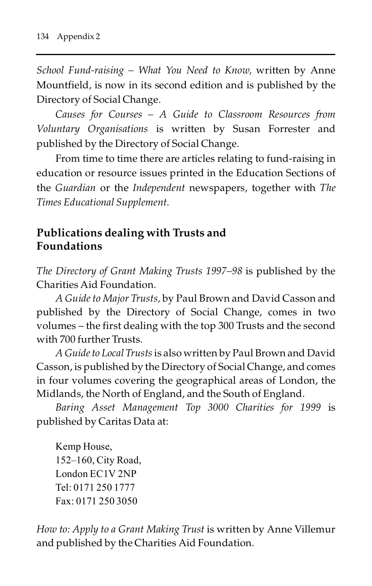*School Fund-raising – What You Need to Know,* written by Anne Mountfield, is now in its second edition and is published by the Directory of Social Change.

*Causes for Courses – A Guide to Classroom Resources from Voluntary Organisations* is written by Susan Forrester and published by the Directory of Social Change.

From time to time there are articles relating to fund-raising in education or resource issues printed in the Education Sections of the *Guardian* or the *Independent* newspapers, together with *The Times Educational Supplement.* 

### **Publications dealing with Trusts and Foundations**

*The Directory of Grant Making Trusts 1997–98* is published by the Charities Aid Foundation.

*A Guide to Major Trusts,* by Paul Brown and David Casson and published by the Directory of Social Change, comes in two volumes – the first dealing with the top 300 Trusts and the second with 700 further Trusts.

*A Guide to Local Trusts* is also written by Paul Brown and David Casson, is published by the Directory of Social Change, and comes in four volumes covering the geographical areas of London, the Midlands, the North of England, and the South of England.

*Baring Asset Management Top 3000 Charities for 1999* is published by Caritas Data at:

Kemp House, 152–160, City Road, London EC1V 2NP Tel: 0171 250 1777 Fax: 0171 250 3050

*How to: Apply to a Grant Making Trust* is written by Anne Villemur and published by the Charities Aid Foundation.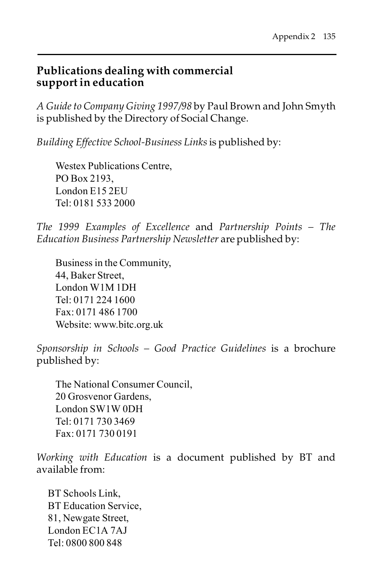### **Publications dealing with commercial support in education**

*A Guide to Company Giving 1997/98* by Paul Brown and John Smyth is published by the Directory of Social Change.

*Building Effective School-Business Links* is published by:

Westex Publications Centre, PO Box 2193, London E15 2EU Tel: 0181 533 2000

*The 1999 Examples of Excellence* and *Partnership Points – The Education Business Partnership Newsletter* are published by:

Business in the Community, 44, Baker Street, London W1M 1DH Tel: 0171 224 1600 Fax: 0171 486 1700 Website: www.bitc.org.uk

*Sponsorship in Schools – Good Practice Guidelines* is a brochure published by:

The National Consumer Council, 20 Grosvenor Gardens, London SW1W 0DH Tel: 0171 730 3469 Fax: 0171 730 0191

*Working with Education* is a document published by BT and available from:

BT Schools Link, BT Education Service, 81, Newgate Street, London EC1A 7AJ Tel: 0800 800 848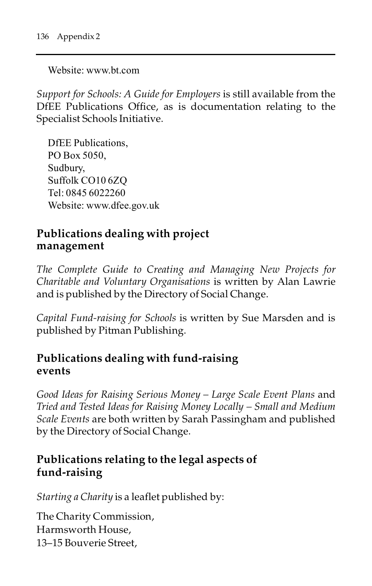Website: www.bt.com

*Support for Schools: A Guide for Employers* is still available from the DfEE Publications Office, as is documentation relating to the Specialist Schools Initiative.

DfEE Publications, PO Box 5050, Sudbury, Suffolk CO10 6ZQ Tel: 0845 6022260 Website: www.dfee.gov.uk

# **Publications dealing with project management**

*The Complete Guide to Creating and Managing New Projects for Charitable and Voluntary Organisations* is written by Alan Lawrie and is published by the Directory of Social Change.

*Capital Fund-raising for Schools* is written by Sue Marsden and is published by Pitman Publishing.

### **Publications dealing with fund-raising events**

*Good Ideas for Raising Serious Money – Large Scale Event Plans* and *Tried and Tested Ideas for Raising Money Locally – Small and Medium Scale Events* are both written by Sarah Passingham and published by the Directory of Social Change.

# **Publications relating to the legal aspects of fund-raising**

*Starting a Charity* is a leaflet published by:

The Charity Commission, Harmsworth House, 13–15 Bouverie Street,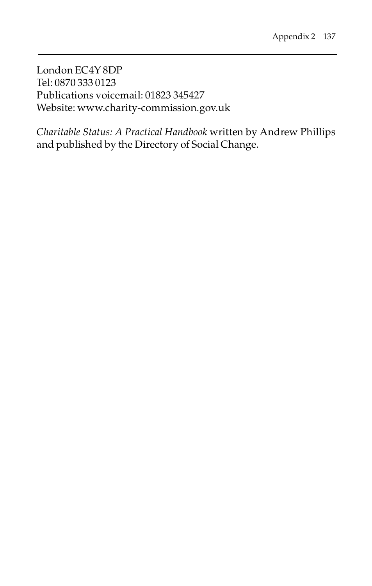London EC4Y 8DP Tel: 0870 333 0123 Publications voicemail: 01823 345427 Website: www.charity-commission.gov.uk

*Charitable Status: A Practical Handbook* written by Andrew Phillips and published by the Directory of Social Change.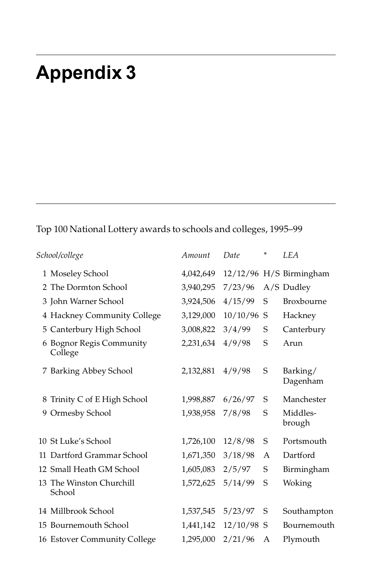# **Appendix 3**

# Top 100 National Lottery awards to schools and colleges, 1995–99

| School/college |                                    | Amount    | Date         | ÷ | <b>LEA</b>                |
|----------------|------------------------------------|-----------|--------------|---|---------------------------|
|                | 1 Moseley School                   | 4,042,649 |              |   | $12/12/96$ H/S Birmingham |
|                | 2 The Dormton School               | 3,940,295 | 7/23/96      |   | A/S Dudley                |
|                | 3 John Warner School               | 3,924,506 | 4/15/99      | S | Broxbourne                |
|                | 4 Hackney Community College        | 3,129,000 | 10/10/96     | S | Hackney                   |
|                | 5 Canterbury High School           | 3,008,822 | 3/4/99       | S | Canterbury                |
| 6              | Bognor Regis Community<br>College  | 2,231,634 | 4/9/98       | S | Arun                      |
|                | 7 Barking Abbey School             | 2,132,881 | 4/9/98       | S | Barking/<br>Dagenham      |
|                | 8 Trinity C of E High School       | 1,998,887 | 6/26/97      | S | Manchester                |
|                | 9 Ormesby School                   | 1,938,958 | 7/8/98       | S | Middles-<br>brough        |
|                | 10 St Luke's School                | 1,726,100 | 12/8/98      | S | Portsmouth                |
|                | 11 Dartford Grammar School         | 1,671,350 | 3/18/98      | А | Dartford                  |
|                | 12 Small Heath GM School           | 1,605,083 | 2/5/97       | S | Birmingham                |
|                | 13 The Winston Churchill<br>School | 1,572,625 | 5/14/99      | S | Woking                    |
|                | 14 Millbrook School                | 1,537,545 | 5/23/97      | S | Southampton               |
|                | 15 Bournemouth School              | 1,441,142 | $12/10/98$ S |   | Bournemouth               |
|                | 16 Estover Community College       | 1,295,000 | 2/21/96      | А | Plymouth                  |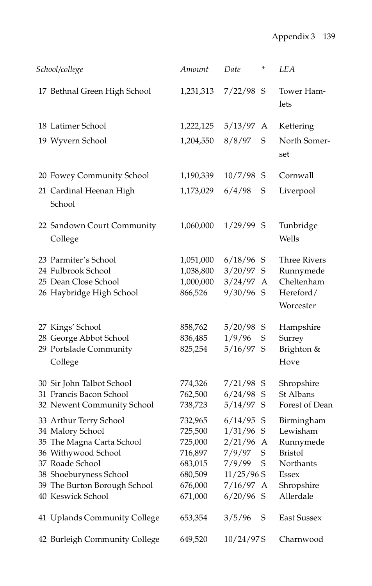| School/college                        | Amount    | Date        | × | LEA                 |
|---------------------------------------|-----------|-------------|---|---------------------|
| 17 Bethnal Green High School          | 1,231,313 | 7/22/98 S   |   | Tower Ham-<br>lets  |
| 18 Latimer School                     | 1,222,125 | 5/13/97     | А | Kettering           |
| 19 Wyvern School                      | 1,204,550 | 8/8/97      | S | North Somer-<br>set |
| 20 Fowey Community School             | 1,190,339 | 10/7/98     | S | Cornwall            |
| 21 Cardinal Heenan High<br>School     | 1,173,029 | 6/4/98      | S | Liverpool           |
| 22 Sandown Court Community<br>College | 1,060,000 | $1/29/99$ S |   | Tunbridge<br>Wells  |
| 23 Parmiter's School                  | 1,051,000 | $6/18/96$ S |   | <b>Three Rivers</b> |
| 24 Fulbrook School                    | 1,038,800 | 3/20/97     | S | Runnymede           |
| 25 Dean Close School                  | 1,000,000 | 3/24/97     | A | Cheltenham          |
| 26 Haybridge High School              | 866,526   | 9/30/96     | S | Hereford/           |
|                                       |           |             |   | Worcester           |
| 27 Kings' School                      | 858,762   | 5/20/98 S   |   | Hampshire           |
| 28 George Abbot School                | 836,485   | 1/9/96      | S | Surrey              |
| 29 Portslade Community                | 825,254   | 5/16/97     | S | Brighton &          |
| College                               |           |             |   | Hove                |
| 30 Sir John Talbot School             | 774,326   | 7/21/98 S   |   | Shropshire          |
| 31 Francis Bacon School               | 762,500   | 6/24/98     | S | St Albans           |
| 32 Newent Community School            | 738,723   | 5/14/97     | S | Forest of Dean      |
| 33 Arthur Terry School                | 732,965   | 6/14/95     | S | Birmingham          |
| 34 Malory School                      | 725,500   | 1/31/96     | S | Lewisham            |
| 35 The Magna Carta School             | 725,000   | 2/21/96     | А | Runnymede           |
| 36 Withywood School                   | 716,897   | 7/9/97      | S | <b>Bristol</b>      |
| 37 Roade School                       | 683,015   | 7/9/99      | S | Northants           |
| 38 Shoeburyness School                | 680,509   | 11/25/96 S  |   | Essex               |
| 39 The Burton Borough School          | 676,000   | 7/16/97     | А | Shropshire          |
| 40 Keswick School                     | 671,000   | 6/20/96     | S | Allerdale           |
| 41 Uplands Community College          | 653,354   | 3/5/96      | S | <b>East Sussex</b>  |
| 42 Burleigh Community College         | 649,520   | 10/24/97S   |   | Charnwood           |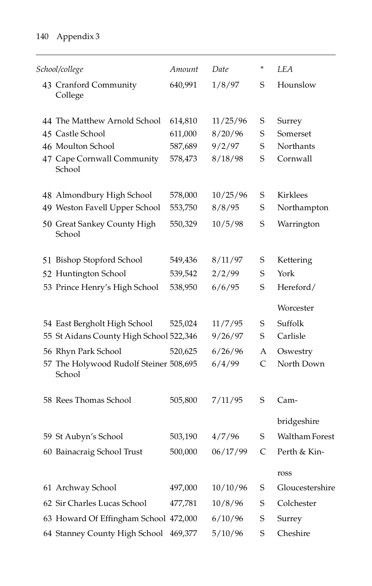### 140 Appendix 3

| School/college                                   | Amount  | Date     | *            | LEA                   |
|--------------------------------------------------|---------|----------|--------------|-----------------------|
| 43 Cranford Community<br>College                 | 640,991 | 1/8/97   | S            | Hounslow              |
| 44 The Matthew Arnold School                     | 614,810 | 11/25/96 | S            | Surrey                |
| 45 Castle School                                 | 611,000 | 8/20/96  | S            | Somerset              |
| 46 Moulton School                                | 587,689 | 9/2/97   | S            | Northants             |
| 47 Cape Cornwall Community<br>School             | 578,473 | 8/18/98  | S            | Cornwall              |
| 48 Almondbury High School                        | 578,000 | 10/25/96 | S            | Kirklees              |
| 49 Weston Favell Upper School                    | 553,750 | 8/8/95   | S            | Northampton           |
| 50 Great Sankey County High<br>School            | 550,329 | 10/5/98  | S            | Warrington            |
| 51 Bishop Stopford School                        | 549,436 | 8/11/97  | S            | Kettering             |
| 52 Huntington School                             | 539,542 | 2/2/99   | S            | York                  |
| 53 Prince Henry's High School                    | 538,950 | 6/6/95   | S            | Hereford/             |
|                                                  |         |          |              | Worcester             |
| 54 East Bergholt High School                     | 525,024 | 11/7/95  | S            | Suffolk               |
| 55 St Aidans County High School 522,346          |         | 9/26/97  | S            | Carlisle              |
| 56 Rhyn Park School                              | 520,625 | 6/26/96  | А            | Oswestry              |
| 57 The Holywood Rudolf Steiner 508,695<br>School |         | 6/4/99   | $\mathsf{C}$ | North Down            |
| 58 Rees Thomas School                            | 505,800 | 7/11/95  | S            | Cam-                  |
|                                                  |         |          |              | bridgeshire           |
| 59 St Aubyn's School                             | 503,190 | 4/7/96   | S            | <b>Waltham Forest</b> |
| 60 Bainacraig School Trust                       | 500,000 | 06/17/99 | C            | Perth & Kin-          |
|                                                  |         |          |              | ross                  |
| 61 Archway School                                | 497,000 | 10/10/96 | S            | Gloucestershire       |
| 62 Sir Charles Lucas School                      | 477,781 | 10/8/96  | S            | Colchester            |
| 63 Howard Of Effingham School 472,000            |         | 6/10/96  | S            | Surrey                |
| 64 Stanney County High School                    | 469,377 | 5/10/96  | S            | Cheshire              |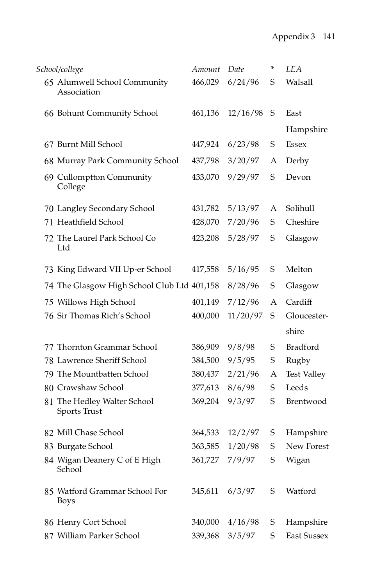|  | School/college                              | Amount  | Date     | * | LEA                |
|--|---------------------------------------------|---------|----------|---|--------------------|
|  | 65 Alumwell School Community<br>Association | 466,029 | 6/24/96  | S | Walsall            |
|  | 66 Bohunt Community School                  | 461,136 | 12/16/98 | S | East               |
|  |                                             |         |          |   | Hampshire          |
|  | 67 Burnt Mill School                        | 447,924 | 6/23/98  | S | Essex              |
|  | 68 Murray Park Community School             | 437,798 | 3/20/97  | А | Derby              |
|  | 69 Cullomptton Community<br>College         | 433,070 | 9/29/97  | S | Devon              |
|  | 70 Langley Secondary School                 | 431,782 | 5/13/97  | А | Solihull           |
|  | 71 Heathfield School                        | 428,070 | 7/20/96  | S | Cheshire           |
|  | 72 The Laurel Park School Co<br>Ltd         | 423,208 | 5/28/97  | S | Glasgow            |
|  | 73 King Edward VII Up-er School             | 417,558 | 5/16/95  | S | Melton             |
|  | 74 The Glasgow High School Club Ltd 401,158 |         | 8/28/96  | S | Glasgow            |
|  | 75 Willows High School                      | 401,149 | 7/12/96  | А | Cardiff            |
|  | 76 Sir Thomas Rich's School                 | 400,000 | 11/20/97 | S | Gloucester-        |
|  |                                             |         |          |   | shire              |
|  | 77 Thornton Grammar School                  | 386,909 | 9/8/98   | S | <b>Bradford</b>    |
|  | 78 Lawrence Sheriff School                  | 384,500 | 9/5/95   | S | Rugby              |
|  | 79 The Mountbatten School                   | 380,437 | 2/21/96  | А | <b>Test Valley</b> |
|  | 80 Crawshaw School                          | 377,613 | 8/6/98   | S | Leeds              |
|  | 81 The Hedley Walter School<br>Sports Trust | 369,204 | 9/3/97   | S | Brentwood          |
|  | 82 Mill Chase School                        | 364,533 | 12/2/97  | S | Hampshire          |
|  | 83 Burgate School                           | 363,585 | 1/20/98  | S | New Forest         |
|  | 84 Wigan Deanery C of E High<br>School      | 361,727 | 7/9/97   | S | Wigan              |
|  | 85 Watford Grammar School For<br>Boys       | 345,611 | 6/3/97   | S | Watford            |
|  | 86 Henry Cort School                        | 340,000 | 4/16/98  | S | Hampshire          |
|  | 87 William Parker School                    | 339,368 | 3/5/97   | S | <b>East Sussex</b> |
|  |                                             |         |          |   |                    |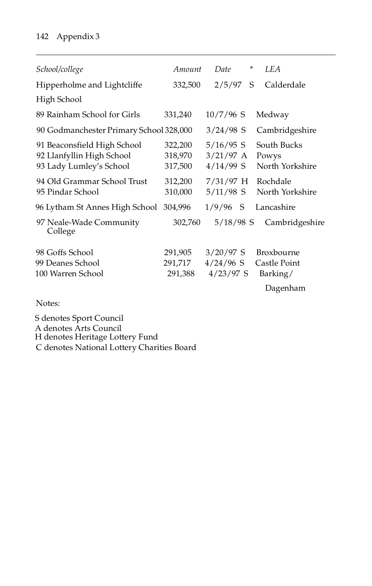#### 142 Appendix 3

| School/college                                                                      | Amount                        | <i>Date</i>                               | *<br>LEA                                |
|-------------------------------------------------------------------------------------|-------------------------------|-------------------------------------------|-----------------------------------------|
| Hipperholme and Lightcliffe                                                         | 332,500                       | 2/5/97                                    | S<br>Calderdale                         |
| High School                                                                         |                               |                                           |                                         |
| 89 Rainham School for Girls                                                         | 331,240                       | $10/7/96$ S                               | Medway                                  |
| 90 Godmanchester Primary School 328,000                                             |                               | $3/24/98$ S                               | Cambridgeshire                          |
| 91 Beaconsfield High School<br>92 Llanfyllin High School<br>93 Lady Lumley's School | 322,200<br>318,970<br>317,500 | $5/16/95$ S<br>$3/21/97$ A<br>$4/14/99$ S | South Bucks<br>Powys<br>North Yorkshire |
| 94 Old Grammar School Trust<br>95 Pindar School                                     | 312,200<br>310,000            | 7/31/97 H<br>$5/11/98$ S                  | Rochdale<br>North Yorkshire             |
| 96 Lytham St Annes High School                                                      | 304,996                       | 1/9/96<br>S                               | Lancashire                              |
| 97 Neale-Wade Community<br>College                                                  | 302,760                       | $5/18/98$ S                               | Cambridgeshire                          |
| 98 Goffs School                                                                     | 291,905                       | $3/20/97$ S                               | Broxbourne                              |
| 99 Deanes School                                                                    | 291,717                       | $4/24/96$ S                               | Castle Point                            |
| 100 Warren School                                                                   | 291,388                       | $4/23/97$ S                               | Barking/                                |
|                                                                                     |                               |                                           | Dagenham                                |
| Notes:                                                                              |                               |                                           |                                         |

S denotes Sport Council A denotes Arts Council H denotes Heritage Lottery Fund C denotes National Lottery Charities Board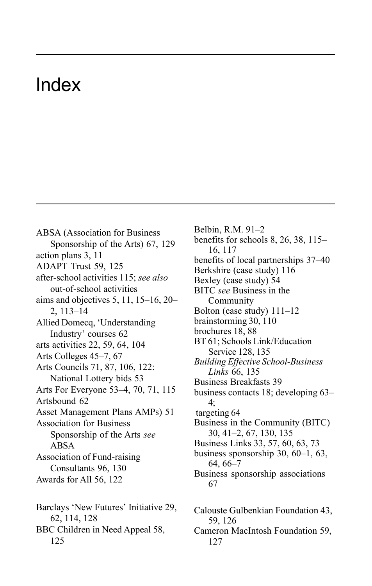# Index

ABSA (Association for Business Sponsorship of the Arts) 67, 129 action plans 3, 11 ADAPT Trust 59, 125 after-school activities 115; *see also* out-of-school activities aims and objectives 5, 11, 15–16, 20– 2, 113–14 Allied Domecq, 'Understanding Industry' courses 62 arts activities 22, 59, 64, 104 Arts Colleges 45–7, 67 Arts Councils 71, 87, 106, 122: National Lottery bids 53 Arts For Everyone 53–4, 70, 71, 115 Artsbound 62 Asset Management Plans AMPs) 51 Association for Business Sponsorship of the Arts *see* ABSA Association of Fund-raising Consultants 96, 130 Awards for All 56, 122

Barclays 'New Futures' Initiative 29, 62, 114, 128 BBC Children in Need Appeal 58, 125

Belbin, R.M. 91–2 benefits for schools 8, 26, 38, 115– 16, 117 benefits of local partnerships 37–40 Berkshire (case study) 116 Bexley (case study) 54 BITC *see* Business in the Community Bolton (case study) 111–12 brainstorming 30, 110 brochures 18, 88 BT 61; Schools Link/Education Service 128, 135 *Building Effective School-Business Links* 66, 135 Business Breakfasts 39 business contacts 18; developing 63– 4; targeting 64 Business in the Community (BITC) 30, 41–2, 67, 130, 135 Business Links 33, 57, 60, 63, 73 business sponsorship 30, 60–1, 63, 64, 66–7 Business sponsorship associations 67

Calouste Gulbenkian Foundation 43, 59, 126 Cameron MacIntosh Foundation 59,

127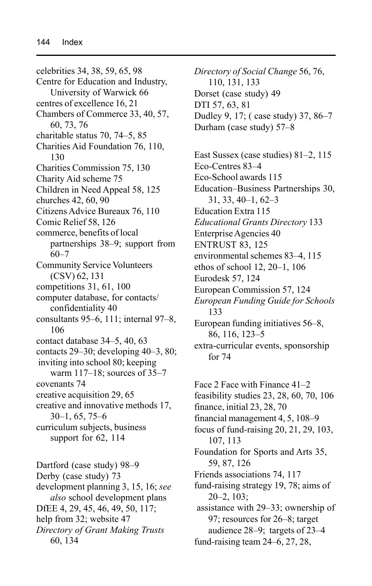celebrities 34, 38, 59, 65, 98 Centre for Education and Industry, University of Warwick 66 centres of excellence 16, 21 Chambers of Commerce 33, 40, 57, 60, 73, 76 charitable status 70, 74–5, 85 Charities Aid Foundation 76, 110, 130 Charities Commission 75, 130 Charity Aid scheme 75 Children in Need Appeal 58, 125 churches 42, 60, 90 Citizens Advice Bureaux 76, 110 Comic Relief 58, 126 commerce, benefits of local partnerships 38–9; support from 60–7 Community Service Volunteers (CSV) 62, 131 competitions 31, 61, 100 computer database, for contacts/ confidentiality 40 consultants 95–6, 111; internal 97–8, 106 contact database 34–5, 40, 63 contacts 29–30; developing 40–3, 80; inviting into school 80; keeping warm 117–18; sources of 35–7 covenants 74 creative acquisition 29, 65 creative and innovative methods 17, 30–1, 65, 75–6 curriculum subjects, business support for 62, 114 Dartford (case study) 98–9 Derby (case study) 73

development planning 3, 15, 16; *see also* school development plans

- DfEE 4, 29, 45, 46, 49, 50, 117;
- help from 32; website 47
- *Directory of Grant Making Trusts* 60, 134

*Directory of Social Change* 56, 76, 110, 131, 133 Dorset (case study) 49 DTI 57, 63, 81 Dudley 9, 17; ( case study) 37, 86–7 Durham (case study) 57–8 East Sussex (case studies) 81–2, 115 Eco-Centres 83–4 Eco-School awards 115 Education–Business Partnerships 30, 31, 33, 40–1, 62–3 Education Extra 115 *Educational Grants Directory* 133 Enterprise Agencies 40 ENTRUST 83, 125 environmental schemes 83–4, 115 ethos of school 12, 20–1, 106 Eurodesk 57, 124 European Commission 57, 124 *European Funding Guide for Schools* 133 European funding initiatives 56–8, 86, 116, 123–5 extra-curricular events, sponsorship for 74

Face 2 Face with Finance 41–2 feasibility studies 23, 28, 60, 70, 106 finance, initial 23, 28, 70 financial management 4, 5, 108–9 focus of fund-raising 20, 21, 29, 103, 107, 113 Foundation for Sports and Arts 35, 59, 87, 126 Friends associations 74, 117 fund-raising strategy 19, 78; aims of 20–2, 103; assistance with 29–33; ownership of 97; resources for 26–8; target audience 28–9; targets of 23–4 fund-raising team 24–6, 27, 28,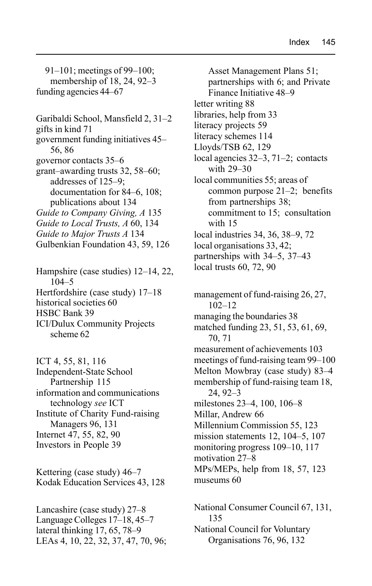91–101; meetings of 99–100; membership of 18, 24, 92–3 funding agencies 44–67

Garibaldi School, Mansfield 2, 31–2 gifts in kind 71 government funding initiatives 45– 56, 86 governor contacts 35–6 grant–awarding trusts 32, 58–60; addresses of 125–9; documentation for 84–6, 108; publications about 134 *Guide to Company Giving, A* 135 *Guide to Local Trusts, A* 60, 134 *Guide to Major Trusts A* 134 Gulbenkian Foundation 43, 59, 126

Hampshire (case studies) 12–14, 22, 104–5 Hertfordshire (case study) 17–18 historical societies 60 HSBC Bank 39 ICI/Dulux Community Projects scheme 62

ICT 4, 55, 81, 116 Independent-State School Partnership 115 information and communications technology *see* ICT Institute of Charity Fund-raising Managers 96, 131 Internet 47, 55, 82, 90 Investors in People 39

Kettering (case study) 46–7 Kodak Education Services 43, 128

Lancashire (case study) 27–8 Language Colleges 17–18, 45–7 lateral thinking 17, 65, 78–9 LEAs 4, 10, 22, 32, 37, 47, 70, 96;

Asset Management Plans 51; partnerships with 6; and Private Finance Initiative 48–9 letter writing 88 libraries, help from 33 literacy projects 59 literacy schemes 114 Lloyds/TSB 62, 129 local agencies 32–3, 71–2; contacts with 29–30 local communities 55; areas of common purpose 21–2; benefits from partnerships 38; commitment to 15; consultation with 15 local industries 34, 36, 38–9, 72 local organisations 33, 42; partnerships with 34–5, 37–43 local trusts 60, 72, 90

management of fund-raising 26, 27, 102–12 managing the boundaries 38 matched funding 23, 51, 53, 61, 69, 70, 71 measurement of achievements 103 meetings of fund-raising team 99–100 Melton Mowbray (case study) 83–4 membership of fund-raising team 18, 24, 92–3 milestones 23–4, 100, 106–8 Millar, Andrew 66 Millennium Commission 55, 123 mission statements 12, 104–5, 107 monitoring progress 109–10, 117 motivation 27–8 MPs/MEPs, help from 18, 57, 123 museums 60

National Consumer Council 67, 131, 135 National Council for Voluntary Organisations 76, 96, 132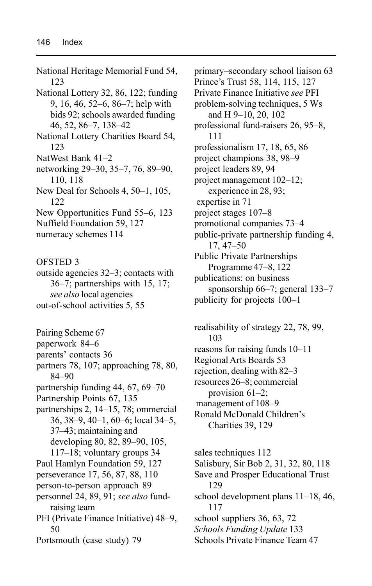National Heritage Memorial Fund 54, 123 National Lottery 32, 86, 122; funding 9, 16, 46, 52–6, 86–7; help with bids 92; schools awarded funding 46, 52, 86–7, 138–42 National Lottery Charities Board 54, 123 NatWest Bank 41–2 networking 29–30, 35–7, 76, 89–90, 110, 118 New Deal for Schools 4, 50–1, 105, 122 New Opportunities Fund 55–6, 123 Nuffield Foundation 59, 127 numeracy schemes 114

OFSTED 3 outside agencies 32–3; contacts with 36–7; partnerships with 15, 17; *see also* local agencies out-of-school activities 5, 55

Pairing Scheme 67 paperwork 84–6 parents' contacts 36 partners 78, 107; approaching 78, 80, 84–90 partnership funding 44, 67, 69–70 Partnership Points 67, 135 partnerships 2, 14–15, 78; ommercial 36, 38–9, 40–1, 60–6; local 34–5, 37–43; maintaining and developing 80, 82, 89–90, 105, 117–18; voluntary groups 34 Paul Hamlyn Foundation 59, 127 perseverance 17, 56, 87, 88, 110 person-to-person approach 89 personnel 24, 89, 91; *see also* fundraising team PFI (Private Finance Initiative) 48–9, 50 Portsmouth (case study) 79

primary–secondary school liaison 63 Prince's Trust 58, 114, 115, 127 Private Finance Initiative *see* PFI problem-solving techniques, 5 Ws and H 9–10, 20, 102 professional fund-raisers 26, 95–8, 111 professionalism 17, 18, 65, 86 project champions 38, 98–9 project leaders 89, 94 project management 102–12; experience in 28, 93; expertise in 71 project stages 107–8 promotional companies 73–4 public-private partnership funding 4, 17, 47–50 Public Private Partnerships Programme 47–8, 122 publications: on business sponsorship 66–7; general 133–7 publicity for projects 100–1

realisability of strategy 22, 78, 99, 103 reasons for raising funds 10–11 Regional Arts Boards 53 rejection, dealing with 82–3 resources 26–8; commercial provision 61–2; management of 108–9 Ronald McDonald Children's Charities 39, 129

sales techniques 112 Salisbury, Sir Bob 2, 31, 32, 80, 118 Save and Prosper Educational Trust 129 school development plans 11–18, 46, 117 school suppliers 36, 63, 72 *Schools Funding Update* 133 Schools Private Finance Team 47